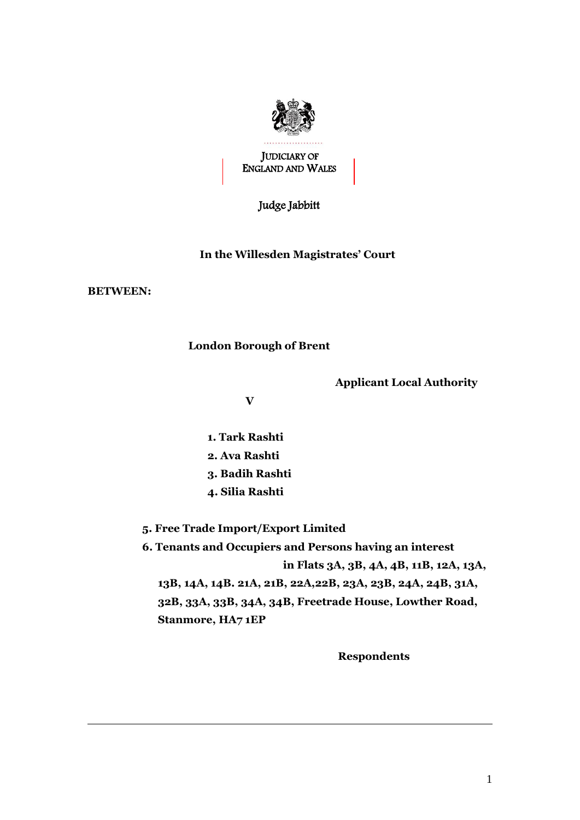

JUDICIARY OF ENGLAND AND WALES

Judge Jabbitt

## **In the Willesden Magistrates' Court**

**BETWEEN:**

## **London Borough of Brent**

 **Applicant Local Authority**

 **V**

- **1. Tark Rashti**
- **2. Ava Rashti**
- **3. Badih Rashti**
- **4. Silia Rashti**
- **5. Free Trade Import/Export Limited**

 **6. Tenants and Occupiers and Persons having an interest in Flats 3A, 3B, 4A, 4B, 11B, 12A, 13A, 13B, 14A, 14B. 21A, 21B, 22A,22B, 23A, 23B, 24A, 24B, 31A, 32B, 33A, 33B, 34A, 34B, Freetrade House, Lowther Road, Stanmore, HA7 1EP**

 **Respondents**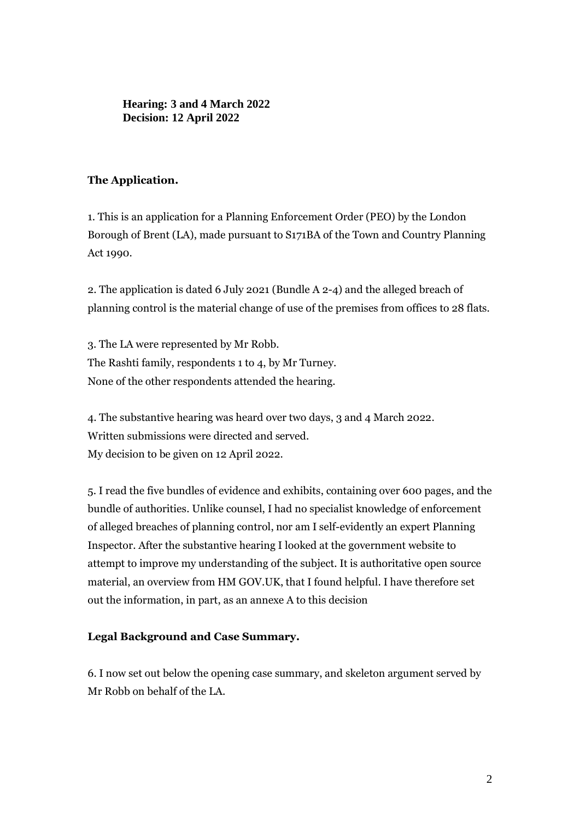**Hearing: 3 and 4 March 2022 Decision: 12 April 2022**

## **The Application.**

1. This is an application for a Planning Enforcement Order (PEO) by the London Borough of Brent (LA), made pursuant to S171BA of the Town and Country Planning Act 1990.

2. The application is dated 6 July 2021 (Bundle A 2-4) and the alleged breach of planning control is the material change of use of the premises from offices to 28 flats.

3. The LA were represented by Mr Robb. The Rashti family, respondents 1 to 4, by Mr Turney. None of the other respondents attended the hearing.

4. The substantive hearing was heard over two days, 3 and 4 March 2022. Written submissions were directed and served. My decision to be given on 12 April 2022.

5. I read the five bundles of evidence and exhibits, containing over 600 pages, and the bundle of authorities. Unlike counsel, I had no specialist knowledge of enforcement of alleged breaches of planning control, nor am I self-evidently an expert Planning Inspector. After the substantive hearing I looked at the government website to attempt to improve my understanding of the subject. It is authoritative open source material, an overview from HM GOV.UK, that I found helpful. I have therefore set out the information, in part, as an annexe A to this decision

## **Legal Background and Case Summary.**

6. I now set out below the opening case summary, and skeleton argument served by Mr Robb on behalf of the LA.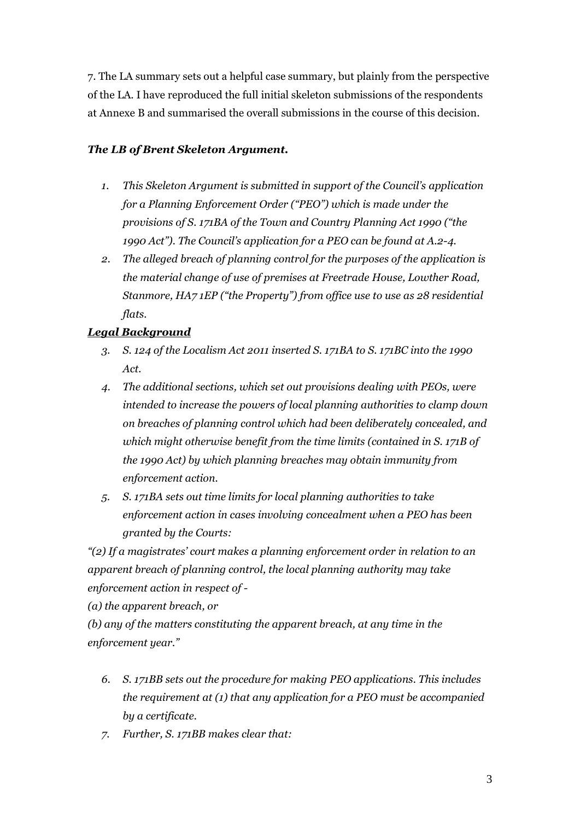7. The LA summary sets out a helpful case summary, but plainly from the perspective of the LA. I have reproduced the full initial skeleton submissions of the respondents at Annexe B and summarised the overall submissions in the course of this decision.

## *The LB of Brent Skeleton Argument.*

- *1. This Skeleton Argument is submitted in support of the Council's application for a Planning Enforcement Order ("PEO") which is made under the provisions of S. 171BA of the Town and Country Planning Act 1990 ("the 1990 Act"). The Council's application for a PEO can be found at A.2-4.*
- *2. The alleged breach of planning control for the purposes of the application is the material change of use of premises at Freetrade House, Lowther Road, Stanmore, HA7 1EP ("the Property") from office use to use as 28 residential flats.*

## *Legal Background*

- *3. S. 124 of the Localism Act 2011 inserted S. 171BA to S. 171BC into the 1990 Act.*
- *4. The additional sections, which set out provisions dealing with PEOs, were intended to increase the powers of local planning authorities to clamp down on breaches of planning control which had been deliberately concealed, and which might otherwise benefit from the time limits (contained in S. 171B of the 1990 Act) by which planning breaches may obtain immunity from enforcement action.*
- *5. S. 171BA sets out time limits for local planning authorities to take enforcement action in cases involving concealment when a PEO has been granted by the Courts:*

*"(2) If a magistrates' court makes a planning enforcement order in relation to an apparent breach of planning control, the local planning authority may take enforcement action in respect of -*

*(a) the apparent breach, or*

*(b) any of the matters constituting the apparent breach, at any time in the enforcement year."*

- *6. S. 171BB sets out the procedure for making PEO applications. This includes the requirement at (1) that any application for a PEO must be accompanied by a certificate.*
- *7. Further, S. 171BB makes clear that:*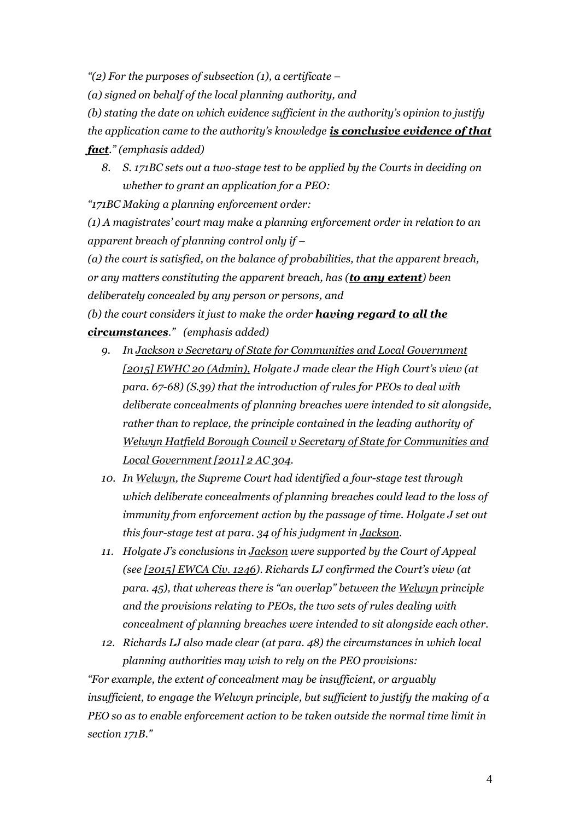*"(2) For the purposes of subsection (1), a certificate –*

*(a) signed on behalf of the local planning authority, and*

*(b) stating the date on which evidence sufficient in the authority's opinion to justify the application came to the authority's knowledge is conclusive evidence of that fact." (emphasis added)*

*8. S. 171BC sets out a two-stage test to be applied by the Courts in deciding on whether to grant an application for a PEO:*

*"171BC Making a planning enforcement order:*

*(1) A magistrates' court may make a planning enforcement order in relation to an apparent breach of planning control only if –*

*(a) the court is satisfied, on the balance of probabilities, that the apparent breach, or any matters constituting the apparent breach, has (to any extent) been deliberately concealed by any person or persons, and*

*(b) the court considers it just to make the order having regard to all the circumstances." (emphasis added)*

- *9. In Jackson v Secretary of State for Communities and Local Government [2015] EWHC 20 (Admin), Holgate J made clear the High Court's view (at para. 67-68) (S.39) that the introduction of rules for PEOs to deal with deliberate concealments of planning breaches were intended to sit alongside, rather than to replace, the principle contained in the leading authority of Welwyn Hatfield Borough Council v Secretary of State for Communities and Local Government [2011] 2 AC 304.*
- *10. In Welwyn, the Supreme Court had identified a four-stage test through which deliberate concealments of planning breaches could lead to the loss of immunity from enforcement action by the passage of time. Holgate J set out this four-stage test at para. 34 of his judgment in Jackson.*
- *11. Holgate J's conclusions in Jackson were supported by the Court of Appeal (see [2015] EWCA Civ. 1246). Richards LJ confirmed the Court's view (at para. 45), that whereas there is "an overlap" between the Welwyn principle and the provisions relating to PEOs, the two sets of rules dealing with concealment of planning breaches were intended to sit alongside each other.*
- *12. Richards LJ also made clear (at para. 48) the circumstances in which local planning authorities may wish to rely on the PEO provisions:*

*"For example, the extent of concealment may be insufficient, or arguably insufficient, to engage the Welwyn principle, but sufficient to justify the making of a PEO so as to enable enforcement action to be taken outside the normal time limit in section 171B."*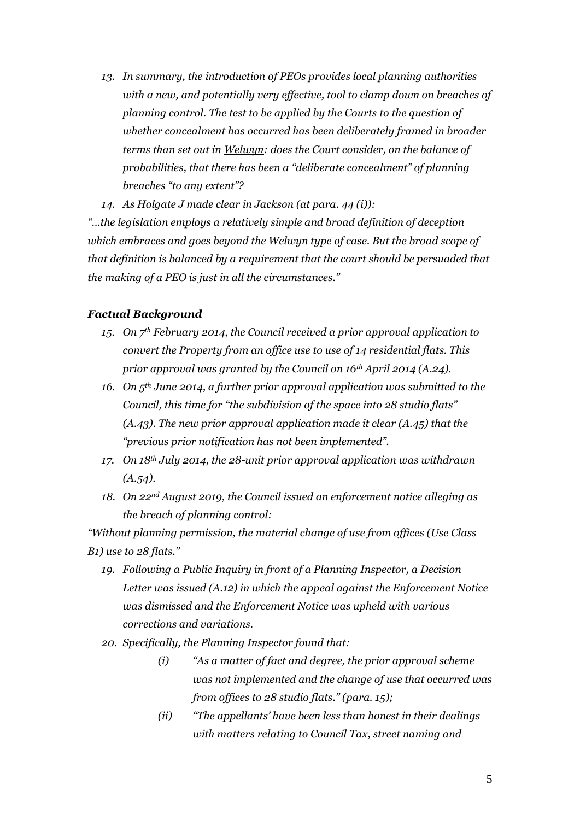*13. In summary, the introduction of PEOs provides local planning authorities with a new, and potentially very effective, tool to clamp down on breaches of planning control. The test to be applied by the Courts to the question of whether concealment has occurred has been deliberately framed in broader terms than set out in Welwyn: does the Court consider, on the balance of probabilities, that there has been a "deliberate concealment" of planning breaches "to any extent"?*

*14. As Holgate J made clear in Jackson (at para. 44 (i)):*

*"…the legislation employs a relatively simple and broad definition of deception which embraces and goes beyond the Welwyn type of case. But the broad scope of that definition is balanced by a requirement that the court should be persuaded that the making of a PEO is just in all the circumstances."*

#### *Factual Background*

- *15. On 7th February 2014, the Council received a prior approval application to convert the Property from an office use to use of 14 residential flats. This prior approval was granted by the Council on 16th April 2014 (A.24).*
- *16. On 5th June 2014, a further prior approval application was submitted to the Council, this time for "the subdivision of the space into 28 studio flats" (A.43). The new prior approval application made it clear (A.45) that the "previous prior notification has not been implemented".*
- *17. On 18th July 2014, the 28-unit prior approval application was withdrawn (A.54).*
- *18. On 22nd August 2019, the Council issued an enforcement notice alleging as the breach of planning control:*

*"Without planning permission, the material change of use from offices (Use Class B1) use to 28 flats."*

- *19. Following a Public Inquiry in front of a Planning Inspector, a Decision Letter was issued (A.12) in which the appeal against the Enforcement Notice was dismissed and the Enforcement Notice was upheld with various corrections and variations.*
- *20. Specifically, the Planning Inspector found that:*
	- *(i) "As a matter of fact and degree, the prior approval scheme was not implemented and the change of use that occurred was from offices to 28 studio flats." (para. 15);*
	- *(ii) "The appellants' have been less than honest in their dealings with matters relating to Council Tax, street naming and*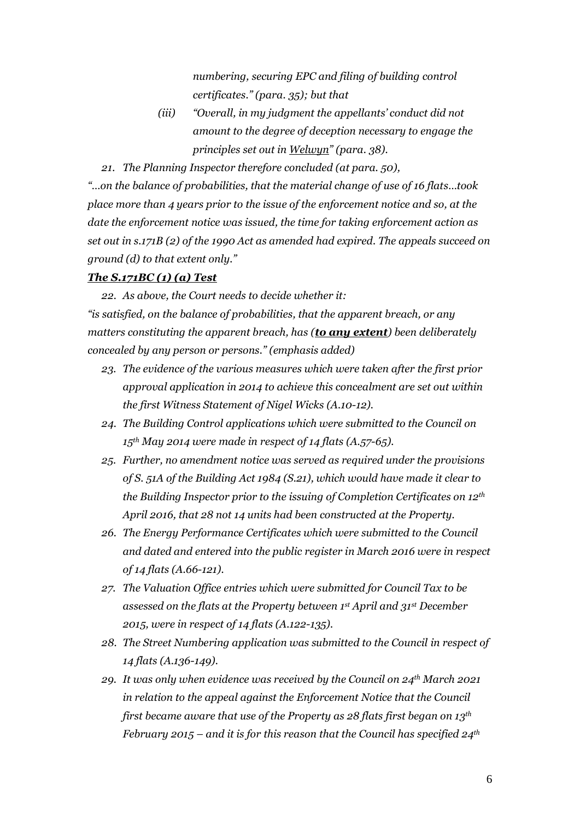*numbering, securing EPC and filing of building control certificates." (para. 35); but that*

*(iii) "Overall, in my judgment the appellants' conduct did not amount to the degree of deception necessary to engage the principles set out in Welwyn" (para. 38).*

*21. The Planning Inspector therefore concluded (at para. 50),*

*"…on the balance of probabilities, that the material change of use of 16 flats…took place more than 4 years prior to the issue of the enforcement notice and so, at the date the enforcement notice was issued, the time for taking enforcement action as set out in s.171B (2) of the 1990 Act as amended had expired. The appeals succeed on ground (d) to that extent only."*

#### *The S.171BC (1) (a) Test*

*22. As above, the Court needs to decide whether it:*

*"is satisfied, on the balance of probabilities, that the apparent breach, or any matters constituting the apparent breach, has (to any extent) been deliberately concealed by any person or persons." (emphasis added)*

- *23. The evidence of the various measures which were taken after the first prior approval application in 2014 to achieve this concealment are set out within the first Witness Statement of Nigel Wicks (A.10-12).*
- *24. The Building Control applications which were submitted to the Council on 15th May 2014 were made in respect of 14 flats (A.57-65).*
- *25. Further, no amendment notice was served as required under the provisions of S. 51A of the Building Act 1984 (S.21), which would have made it clear to the Building Inspector prior to the issuing of Completion Certificates on 12th April 2016, that 28 not 14 units had been constructed at the Property.*
- *26. The Energy Performance Certificates which were submitted to the Council and dated and entered into the public register in March 2016 were in respect of 14 flats (A.66-121).*
- *27. The Valuation Office entries which were submitted for Council Tax to be assessed on the flats at the Property between 1st April and 31st December 2015, were in respect of 14 flats (A.122-135).*
- *28. The Street Numbering application was submitted to the Council in respect of 14 flats (A.136-149).*
- *29. It was only when evidence was received by the Council on 24th March 2021 in relation to the appeal against the Enforcement Notice that the Council first became aware that use of the Property as 28 flats first began on 13th February 2015 – and it is for this reason that the Council has specified 24th*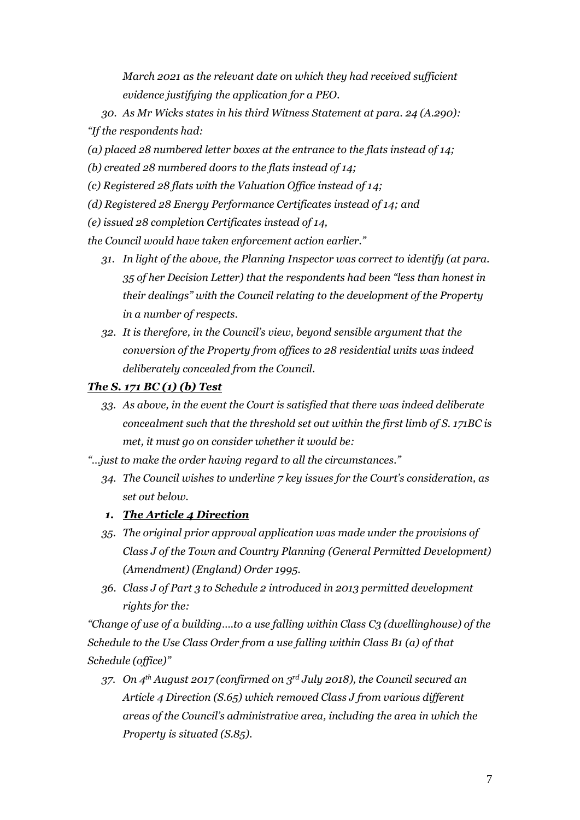*March 2021 as the relevant date on which they had received sufficient evidence justifying the application for a PEO.*

- *30. As Mr Wicks states in his third Witness Statement at para. 24 (A.290): "If the respondents had:*
- *(a) placed 28 numbered letter boxes at the entrance to the flats instead of 14;*
- *(b) created 28 numbered doors to the flats instead of 14;*
- *(c) Registered 28 flats with the Valuation Office instead of 14;*
- *(d) Registered 28 Energy Performance Certificates instead of 14; and*
- *(e) issued 28 completion Certificates instead of 14,*

*the Council would have taken enforcement action earlier."*

- *31. In light of the above, the Planning Inspector was correct to identify (at para. 35 of her Decision Letter) that the respondents had been "less than honest in their dealings" with the Council relating to the development of the Property in a number of respects.*
- *32. It is therefore, in the Council's view, beyond sensible argument that the conversion of the Property from offices to 28 residential units was indeed deliberately concealed from the Council.*

## *The S. 171 BC (1) (b) Test*

- *33. As above, in the event the Court is satisfied that there was indeed deliberate concealment such that the threshold set out within the first limb of S. 171BC is met, it must go on consider whether it would be:*
- *"…just to make the order having regard to all the circumstances."*
	- *34. The Council wishes to underline 7 key issues for the Court's consideration, as set out below.*
	- *1. The Article 4 Direction*
	- *35. The original prior approval application was made under the provisions of Class J of the Town and Country Planning (General Permitted Development) (Amendment) (England) Order 1995.*
	- *36. Class J of Part 3 to Schedule 2 introduced in 2013 permitted development rights for the:*

*"Change of use of a building….to a use falling within Class C3 (dwellinghouse) of the Schedule to the Use Class Order from a use falling within Class B1 (a) of that Schedule (office)"*

*37. On 4th August 2017 (confirmed on 3rd July 2018), the Council secured an Article 4 Direction (S.65) which removed Class J from various different areas of the Council's administrative area, including the area in which the Property is situated (S.85).*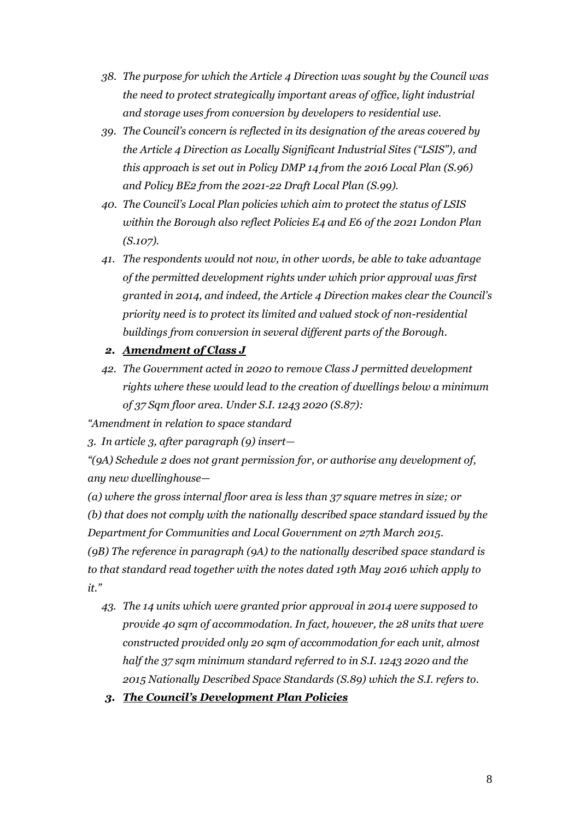- *38. The purpose for which the Article 4 Direction was sought by the Council was the need to protect strategically important areas of office, light industrial and storage uses from conversion by developers to residential use.*
- *39. The Council's concern is reflected in its designation of the areas covered by the Article 4 Direction as Locally Significant Industrial Sites ("LSIS"), and this approach is set out in Policy DMP 14 from the 2016 Local Plan (S.96) and Policy BE2 from the 2021-22 Draft Local Plan (S.99).*
- *40. The Council's Local Plan policies which aim to protect the status of LSIS within the Borough also reflect Policies E4 and E6 of the 2021 London Plan (S.107).*
- *41. The respondents would not now, in other words, be able to take advantage of the permitted development rights under which prior approval was first granted in 2014, and indeed, the Article 4 Direction makes clear the Council's priority need is to protect its limited and valued stock of non-residential buildings from conversion in several different parts of the Borough.*
- *2. Amendment of Class J*
- *42. The Government acted in 2020 to remove Class J permitted development rights where these would lead to the creation of dwellings below a minimum of 37 Sqm floor area. Under S.I. 1243 2020 (S.87):*

*"Amendment in relation to space standard*

*3. In article 3, after paragraph (9) insert—*

*"(9A) Schedule 2 does not grant permission for, or authorise any development of, any new dwellinghouse—*

*(a) where the gross internal floor area is less than 37 square metres in size; or (b) that does not comply with the nationally described space standard issued by the Department for Communities and Local Government on 27th March 2015. (9B) The reference in paragraph (9A) to the nationally described space standard is to that standard read together with the notes dated 19th May 2016 which apply to it."*

- *43. The 14 units which were granted prior approval in 2014 were supposed to provide 40 sqm of accommodation. In fact, however, the 28 units that were constructed provided only 20 sqm of accommodation for each unit, almost half the 37 sqm minimum standard referred to in S.I. 1243 2020 and the 2015 Nationally Described Space Standards (S.89) which the S.I. refers to.*
- *3. The Council's Development Plan Policies*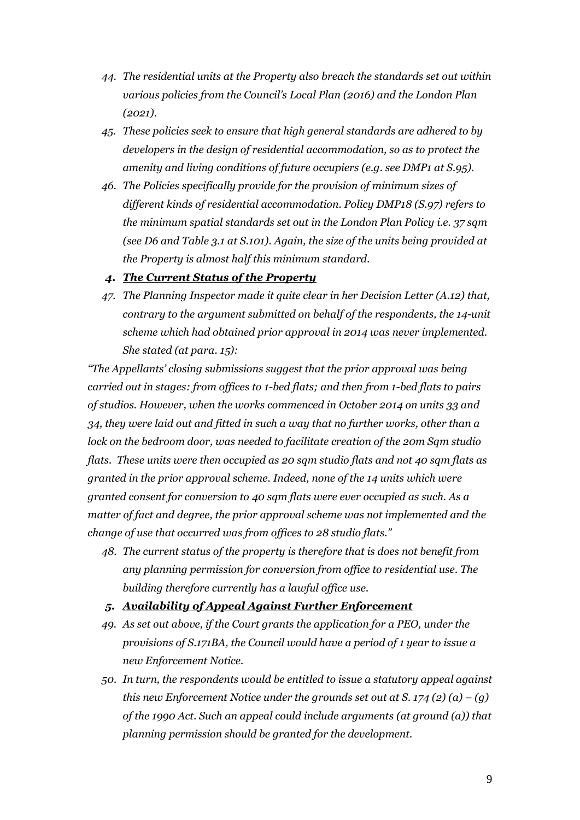- *44. The residential units at the Property also breach the standards set out within various policies from the Council's Local Plan (2016) and the London Plan (2021).*
- *45. These policies seek to ensure that high general standards are adhered to by developers in the design of residential accommodation, so as to protect the amenity and living conditions of future occupiers (e.g. see DMP1 at S.95).*
- *46. The Policies specifically provide for the provision of minimum sizes of different kinds of residential accommodation. Policy DMP18 (S.97) refers to the minimum spatial standards set out in the London Plan Policy i.e. 37 sqm (see D6 and Table 3.1 at S.101). Again, the size of the units being provided at the Property is almost half this minimum standard.*

#### *4. The Current Status of the Property*

*47. The Planning Inspector made it quite clear in her Decision Letter (A.12) that, contrary to the argument submitted on behalf of the respondents, the 14-unit scheme which had obtained prior approval in 2014 was never implemented. She stated (at para. 15):*

*"The Appellants' closing submissions suggest that the prior approval was being carried out in stages: from offices to 1-bed flats; and then from 1-bed flats to pairs of studios. However, when the works commenced in October 2014 on units 33 and 34, they were laid out and fitted in such a way that no further works, other than a lock on the bedroom door, was needed to facilitate creation of the 20m Sqm studio flats. These units were then occupied as 20 sqm studio flats and not 40 sqm flats as granted in the prior approval scheme. Indeed, none of the 14 units which were granted consent for conversion to 40 sqm flats were ever occupied as such. As a matter of fact and degree, the prior approval scheme was not implemented and the change of use that occurred was from offices to 28 studio flats."*

*48. The current status of the property is therefore that is does not benefit from any planning permission for conversion from office to residential use. The building therefore currently has a lawful office use.*

#### *5. Availability of Appeal Against Further Enforcement*

- *49. As set out above, if the Court grants the application for a PEO, under the provisions of S.171BA, the Council would have a period of 1 year to issue a new Enforcement Notice.*
- *50. In turn, the respondents would be entitled to issue a statutory appeal against this new Enforcement Notice under the grounds set out at S. 174 (2)*  $(a) - (q)$ *of the 1990 Act. Such an appeal could include arguments (at ground (a)) that planning permission should be granted for the development.*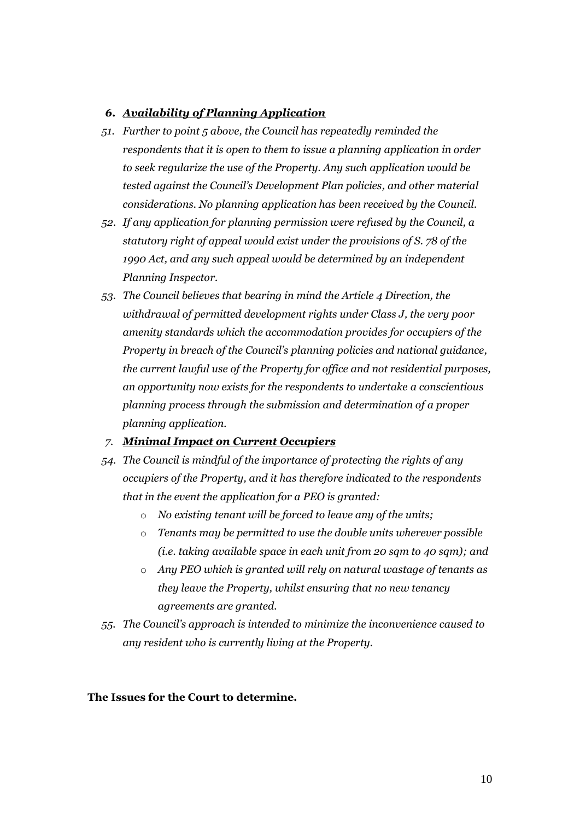### *6. Availability of Planning Application*

- *51. Further to point 5 above, the Council has repeatedly reminded the respondents that it is open to them to issue a planning application in order to seek regularize the use of the Property. Any such application would be tested against the Council's Development Plan policies, and other material considerations. No planning application has been received by the Council.*
- *52. If any application for planning permission were refused by the Council, a statutory right of appeal would exist under the provisions of S. 78 of the 1990 Act, and any such appeal would be determined by an independent Planning Inspector.*
- *53. The Council believes that bearing in mind the Article 4 Direction, the withdrawal of permitted development rights under Class J, the very poor amenity standards which the accommodation provides for occupiers of the Property in breach of the Council's planning policies and national guidance, the current lawful use of the Property for office and not residential purposes, an opportunity now exists for the respondents to undertake a conscientious planning process through the submission and determination of a proper planning application.*
- *7. Minimal Impact on Current Occupiers*
- *54. The Council is mindful of the importance of protecting the rights of any occupiers of the Property, and it has therefore indicated to the respondents that in the event the application for a PEO is granted:*
	- o *No existing tenant will be forced to leave any of the units;*
	- o *Tenants may be permitted to use the double units wherever possible (i.e. taking available space in each unit from 20 sqm to 40 sqm); and*
	- o *Any PEO which is granted will rely on natural wastage of tenants as they leave the Property, whilst ensuring that no new tenancy agreements are granted.*
- *55. The Council's approach is intended to minimize the inconvenience caused to any resident who is currently living at the Property.*

#### **The Issues for the Court to determine.**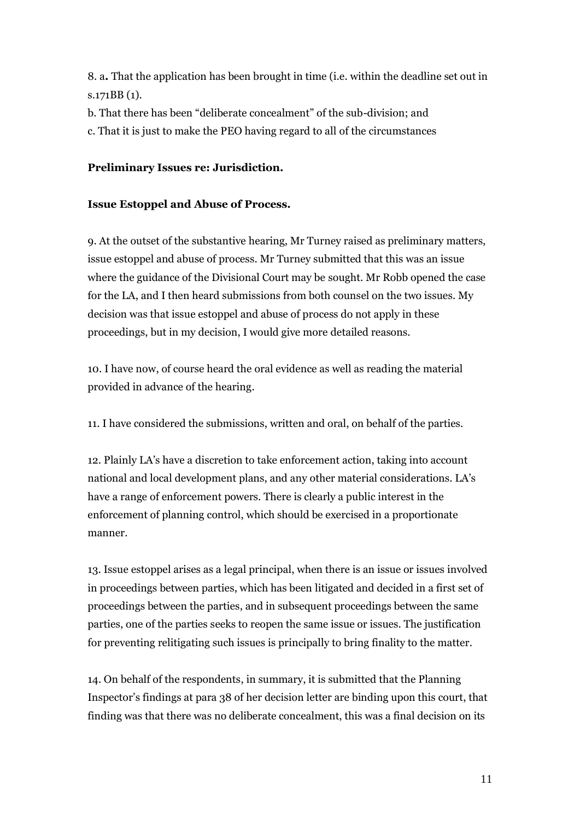8. a**.** That the application has been brought in time (i.e. within the deadline set out in s.171BB (1).

b. That there has been "deliberate concealment" of the sub-division; and

c. That it is just to make the PEO having regard to all of the circumstances

## **Preliminary Issues re: Jurisdiction.**

## **Issue Estoppel and Abuse of Process.**

9. At the outset of the substantive hearing, Mr Turney raised as preliminary matters, issue estoppel and abuse of process. Mr Turney submitted that this was an issue where the guidance of the Divisional Court may be sought. Mr Robb opened the case for the LA, and I then heard submissions from both counsel on the two issues. My decision was that issue estoppel and abuse of process do not apply in these proceedings, but in my decision, I would give more detailed reasons.

10. I have now, of course heard the oral evidence as well as reading the material provided in advance of the hearing.

11. I have considered the submissions, written and oral, on behalf of the parties.

12. Plainly LA's have a discretion to take enforcement action, taking into account national and local development plans, and any other material considerations. LA's have a range of enforcement powers. There is clearly a public interest in the enforcement of planning control, which should be exercised in a proportionate manner.

13. Issue estoppel arises as a legal principal, when there is an issue or issues involved in proceedings between parties, which has been litigated and decided in a first set of proceedings between the parties, and in subsequent proceedings between the same parties, one of the parties seeks to reopen the same issue or issues. The justification for preventing relitigating such issues is principally to bring finality to the matter.

14. On behalf of the respondents, in summary, it is submitted that the Planning Inspector's findings at para 38 of her decision letter are binding upon this court, that finding was that there was no deliberate concealment, this was a final decision on its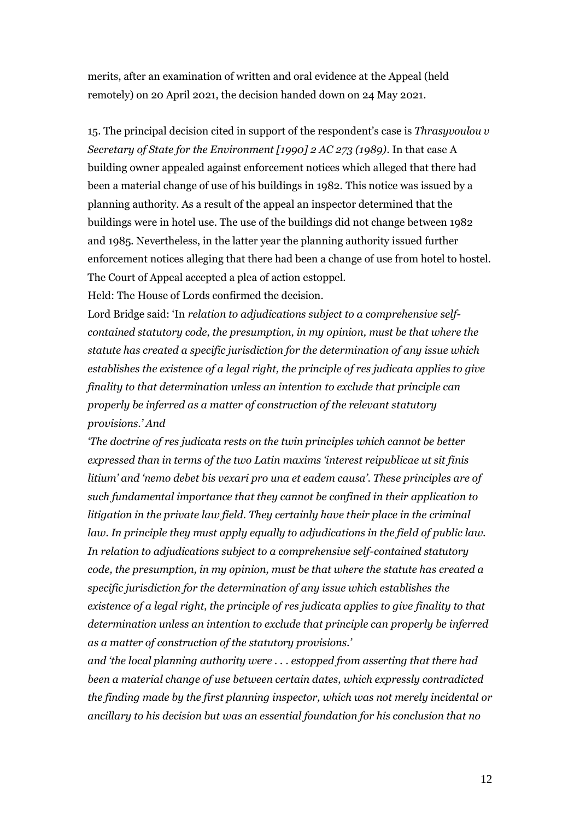merits, after an examination of written and oral evidence at the Appeal (held remotely) on 20 April 2021, the decision handed down on 24 May 2021.

15. The principal decision cited in support of the respondent's case is *Thrasyvoulou v Secretary of State for the Environment [1990] 2 AC 273 (1989).* In that case A building owner appealed against enforcement notices which alleged that there had been a material change of use of his buildings in 1982. This notice was issued by a planning authority. As a result of the appeal an inspector determined that the buildings were in hotel use. The use of the buildings did not change between 1982 and 1985. Nevertheless, in the latter year the planning authority issued further enforcement notices alleging that there had been a change of use from hotel to hostel. The Court of Appeal accepted a plea of action estoppel.

Held: The House of Lords confirmed the decision.

Lord Bridge said: 'In *relation to adjudications subject to a comprehensive selfcontained statutory code, the presumption, in my opinion, must be that where the statute has created a specific jurisdiction for the determination of any issue which establishes the existence of a legal right, the principle of res judicata applies to give finality to that determination unless an intention to exclude that principle can properly be inferred as a matter of construction of the relevant statutory provisions.' And* 

*'The doctrine of res judicata rests on the twin principles which cannot be better expressed than in terms of the two Latin maxims 'interest reipublicae ut sit finis litium' and 'nemo debet bis vexari pro una et eadem causa'. These principles are of such fundamental importance that they cannot be confined in their application to litigation in the private law field. They certainly have their place in the criminal law. In principle they must apply equally to adjudications in the field of public law. In relation to adjudications subject to a comprehensive self-contained statutory code, the presumption, in my opinion, must be that where the statute has created a specific jurisdiction for the determination of any issue which establishes the existence of a legal right, the principle of res judicata applies to give finality to that determination unless an intention to exclude that principle can properly be inferred as a matter of construction of the statutory provisions.'* 

*and 'the local planning authority were . . . estopped from asserting that there had been a material change of use between certain dates, which expressly contradicted the finding made by the first planning inspector, which was not merely incidental or ancillary to his decision but was an essential foundation for his conclusion that no*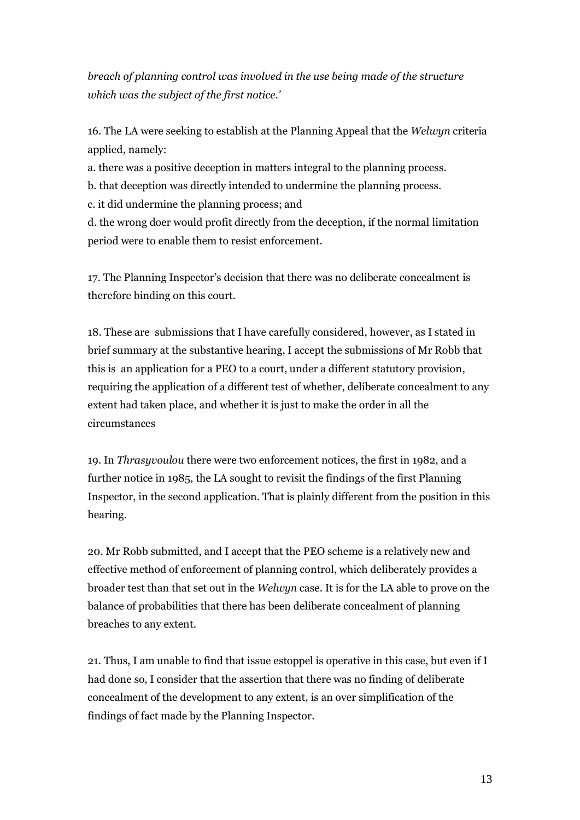*breach of planning control was involved in the use being made of the structure which was the subject of the first notice.'*

16. The LA were seeking to establish at the Planning Appeal that the *Welwyn* criteria applied, namely:

a. there was a positive deception in matters integral to the planning process.

b. that deception was directly intended to undermine the planning process.

c. it did undermine the planning process; and

d. the wrong doer would profit directly from the deception, if the normal limitation period were to enable them to resist enforcement.

17. The Planning Inspector's decision that there was no deliberate concealment is therefore binding on this court.

18. These are submissions that I have carefully considered, however, as I stated in brief summary at the substantive hearing, I accept the submissions of Mr Robb that this is an application for a PEO to a court, under a different statutory provision, requiring the application of a different test of whether, deliberate concealment to any extent had taken place, and whether it is just to make the order in all the circumstances

19. In *Thrasyvoulou* there were two enforcement notices, the first in 1982, and a further notice in 1985, the LA sought to revisit the findings of the first Planning Inspector, in the second application. That is plainly different from the position in this hearing.

20. Mr Robb submitted, and I accept that the PEO scheme is a relatively new and effective method of enforcement of planning control, which deliberately provides a broader test than that set out in the *Welwyn* case. It is for the LA able to prove on the balance of probabilities that there has been deliberate concealment of planning breaches to any extent.

21. Thus, I am unable to find that issue estoppel is operative in this case, but even if I had done so, I consider that the assertion that there was no finding of deliberate concealment of the development to any extent, is an over simplification of the findings of fact made by the Planning Inspector.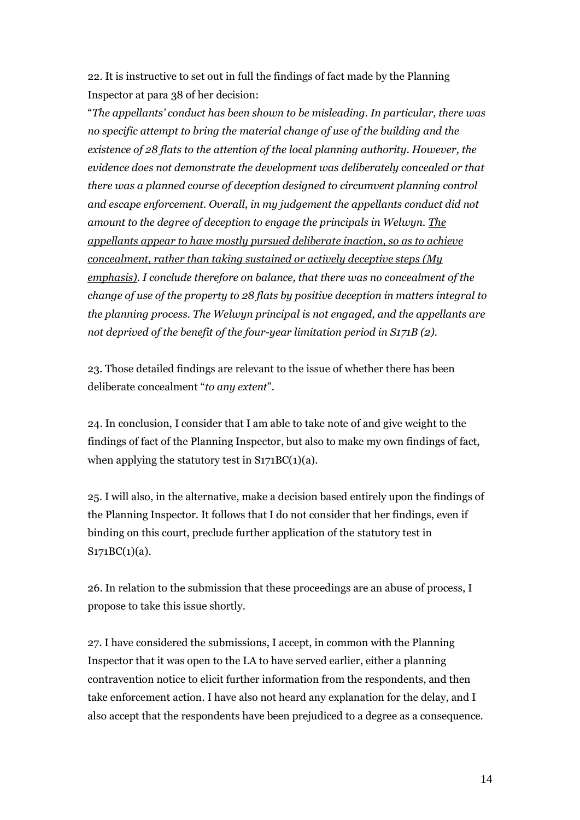22. It is instructive to set out in full the findings of fact made by the Planning Inspector at para 38 of her decision:

"*The appellants' conduct has been shown to be misleading. In particular, there was no specific attempt to bring the material change of use of the building and the existence of 28 flats to the attention of the local planning authority. However, the evidence does not demonstrate the development was deliberately concealed or that there was a planned course of deception designed to circumvent planning control and escape enforcement. Overall, in my judgement the appellants conduct did not amount to the degree of deception to engage the principals in Welwyn. The appellants appear to have mostly pursued deliberate inaction, so as to achieve concealment, rather than taking sustained or actively deceptive steps (My emphasis). I conclude therefore on balance, that there was no concealment of the change of use of the property to 28 flats by positive deception in matters integral to the planning process. The Welwyn principal is not engaged, and the appellants are not deprived of the benefit of the four-year limitation period in S171B (2).*

23. Those detailed findings are relevant to the issue of whether there has been deliberate concealment "*to any extent*".

24. In conclusion, I consider that I am able to take note of and give weight to the findings of fact of the Planning Inspector, but also to make my own findings of fact, when applying the statutory test in  $S171BC(1)(a)$ .

25. I will also, in the alternative, make a decision based entirely upon the findings of the Planning Inspector. It follows that I do not consider that her findings, even if binding on this court, preclude further application of the statutory test in  $S171BC(1)(a)$ .

26. In relation to the submission that these proceedings are an abuse of process, I propose to take this issue shortly.

27. I have considered the submissions, I accept, in common with the Planning Inspector that it was open to the LA to have served earlier, either a planning contravention notice to elicit further information from the respondents, and then take enforcement action. I have also not heard any explanation for the delay, and I also accept that the respondents have been prejudiced to a degree as a consequence.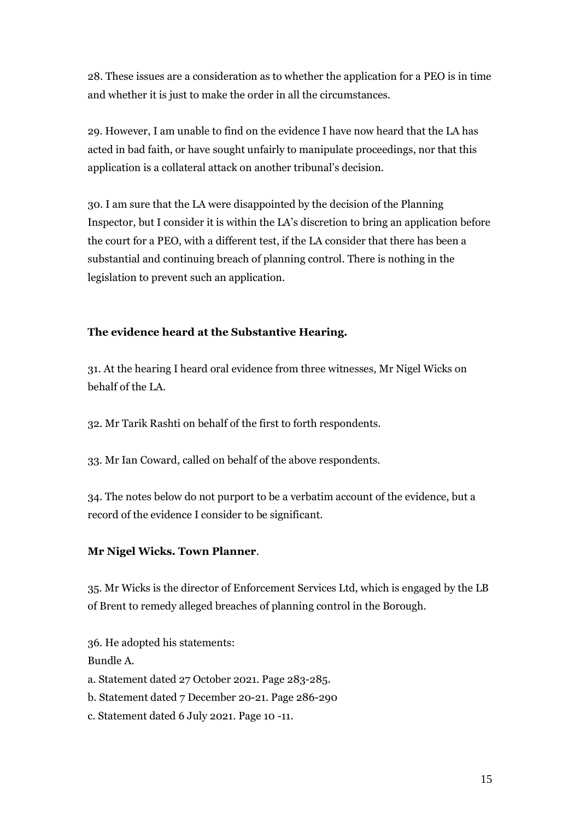28. These issues are a consideration as to whether the application for a PEO is in time and whether it is just to make the order in all the circumstances.

29. However, I am unable to find on the evidence I have now heard that the LA has acted in bad faith, or have sought unfairly to manipulate proceedings, nor that this application is a collateral attack on another tribunal's decision.

30. I am sure that the LA were disappointed by the decision of the Planning Inspector, but I consider it is within the LA's discretion to bring an application before the court for a PEO, with a different test, if the LA consider that there has been a substantial and continuing breach of planning control. There is nothing in the legislation to prevent such an application.

## **The evidence heard at the Substantive Hearing.**

31. At the hearing I heard oral evidence from three witnesses, Mr Nigel Wicks on behalf of the LA.

32. Mr Tarik Rashti on behalf of the first to forth respondents.

33. Mr Ian Coward, called on behalf of the above respondents.

34. The notes below do not purport to be a verbatim account of the evidence, but a record of the evidence I consider to be significant.

## **Mr Nigel Wicks. Town Planner**.

35. Mr Wicks is the director of Enforcement Services Ltd, which is engaged by the LB of Brent to remedy alleged breaches of planning control in the Borough.

36. He adopted his statements: Bundle A. a. Statement dated 27 October 2021. Page 283-285. b. Statement dated 7 December 20-21. Page 286-290 c. Statement dated 6 July 2021. Page 10 -11.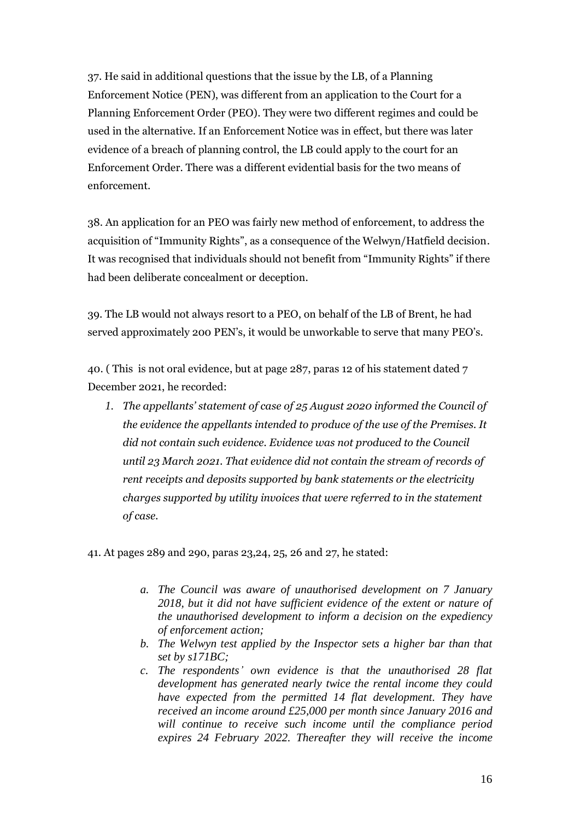37. He said in additional questions that the issue by the LB, of a Planning Enforcement Notice (PEN), was different from an application to the Court for a Planning Enforcement Order (PEO). They were two different regimes and could be used in the alternative. If an Enforcement Notice was in effect, but there was later evidence of a breach of planning control, the LB could apply to the court for an Enforcement Order. There was a different evidential basis for the two means of enforcement.

38. An application for an PEO was fairly new method of enforcement, to address the acquisition of "Immunity Rights", as a consequence of the Welwyn/Hatfield decision. It was recognised that individuals should not benefit from "Immunity Rights" if there had been deliberate concealment or deception.

39. The LB would not always resort to a PEO, on behalf of the LB of Brent, he had served approximately 200 PEN's, it would be unworkable to serve that many PEO's.

40. ( This is not oral evidence, but at page 287, paras 12 of his statement dated 7 December 2021, he recorded:

*1. The appellants' statement of case of 25 August 2020 informed the Council of the evidence the appellants intended to produce of the use of the Premises. It did not contain such evidence. Evidence was not produced to the Council until 23 March 2021. That evidence did not contain the stream of records of rent receipts and deposits supported by bank statements or the electricity charges supported by utility invoices that were referred to in the statement of case.*

41. At pages 289 and 290, paras 23,24, 25, 26 and 27, he stated:

- *a. The Council was aware of unauthorised development on 7 January 2018, but it did not have sufficient evidence of the extent or nature of the unauthorised development to inform a decision on the expediency of enforcement action;*
- *b. The Welwyn test applied by the Inspector sets a higher bar than that set by s171BC;*
- *c. The respondents' own evidence is that the unauthorised 28 flat development has generated nearly twice the rental income they could have expected from the permitted 14 flat development. They have received an income around £25,000 per month since January 2016 and will continue to receive such income until the compliance period expires 24 February 2022. Thereafter they will receive the income*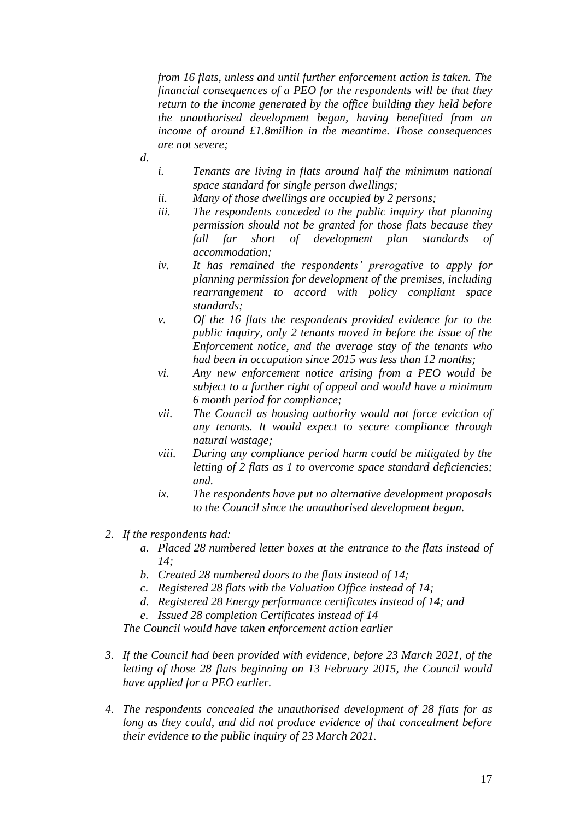*from 16 flats, unless and until further enforcement action is taken. The financial consequences of a PEO for the respondents will be that they return to the income generated by the office building they held before the unauthorised development began, having benefitted from an income of around £1.8million in the meantime. Those consequences are not severe;*

- *d.*
- *i. Tenants are living in flats around half the minimum national space standard for single person dwellings;*
- *ii. Many of those dwellings are occupied by 2 persons;*
- *iii. The respondents conceded to the public inquiry that planning permission should not be granted for those flats because they fall far short of development plan standards of accommodation;*
- *iv. It has remained the respondents' prerogative to apply for planning permission for development of the premises, including rearrangement to accord with policy compliant space standards;*
- *v. Of the 16 flats the respondents provided evidence for to the public inquiry, only 2 tenants moved in before the issue of the Enforcement notice, and the average stay of the tenants who had been in occupation since 2015 was less than 12 months;*
- *vi. Any new enforcement notice arising from a PEO would be subject to a further right of appeal and would have a minimum 6 month period for compliance;*
- *vii. The Council as housing authority would not force eviction of any tenants. It would expect to secure compliance through natural wastage;*
- *viii. During any compliance period harm could be mitigated by the letting of 2 flats as 1 to overcome space standard deficiencies; and.*
- *ix. The respondents have put no alternative development proposals to the Council since the unauthorised development begun.*
- *2. If the respondents had:*
	- *a. Placed 28 numbered letter boxes at the entrance to the flats instead of 14;*
	- *b. Created 28 numbered doors to the flats instead of 14;*
	- *c. Registered 28 flats with the Valuation Office instead of 14;*
	- *d. Registered 28 Energy performance certificates instead of 14; and*
	- *e. Issued 28 completion Certificates instead of 14*

*The Council would have taken enforcement action earlier*

- *3. If the Council had been provided with evidence, before 23 March 2021, of the letting of those 28 flats beginning on 13 February 2015, the Council would have applied for a PEO earlier.*
- *4. The respondents concealed the unauthorised development of 28 flats for as long as they could, and did not produce evidence of that concealment before their evidence to the public inquiry of 23 March 2021.*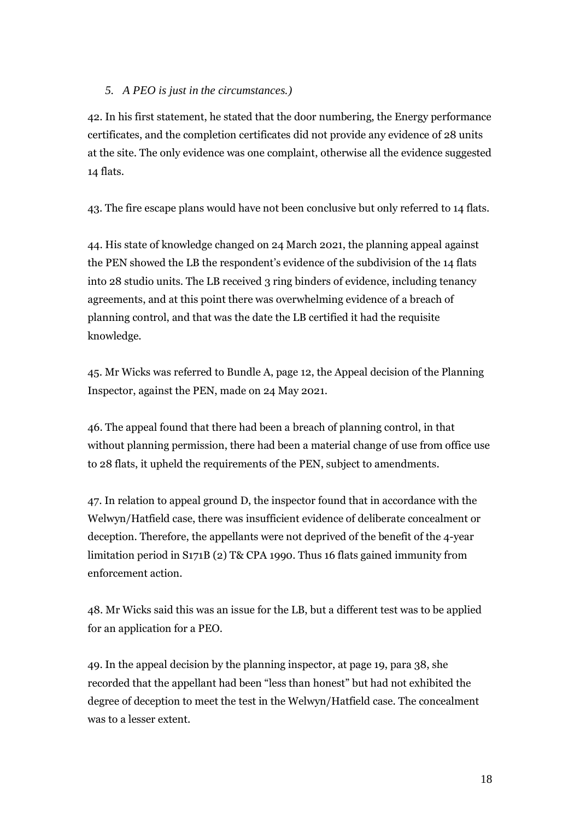### *5. A PEO is just in the circumstances.)*

42. In his first statement, he stated that the door numbering, the Energy performance certificates, and the completion certificates did not provide any evidence of 28 units at the site. The only evidence was one complaint, otherwise all the evidence suggested 14 flats.

43. The fire escape plans would have not been conclusive but only referred to 14 flats.

44. His state of knowledge changed on 24 March 2021, the planning appeal against the PEN showed the LB the respondent's evidence of the subdivision of the 14 flats into 28 studio units. The LB received 3 ring binders of evidence, including tenancy agreements, and at this point there was overwhelming evidence of a breach of planning control, and that was the date the LB certified it had the requisite knowledge.

45. Mr Wicks was referred to Bundle A, page 12, the Appeal decision of the Planning Inspector, against the PEN, made on 24 May 2021.

46. The appeal found that there had been a breach of planning control, in that without planning permission, there had been a material change of use from office use to 28 flats, it upheld the requirements of the PEN, subject to amendments.

47. In relation to appeal ground D, the inspector found that in accordance with the Welwyn/Hatfield case, there was insufficient evidence of deliberate concealment or deception. Therefore, the appellants were not deprived of the benefit of the 4-year limitation period in S171B (2) T& CPA 1990. Thus 16 flats gained immunity from enforcement action.

48. Mr Wicks said this was an issue for the LB, but a different test was to be applied for an application for a PEO.

49. In the appeal decision by the planning inspector, at page 19, para 38, she recorded that the appellant had been "less than honest" but had not exhibited the degree of deception to meet the test in the Welwyn/Hatfield case. The concealment was to a lesser extent.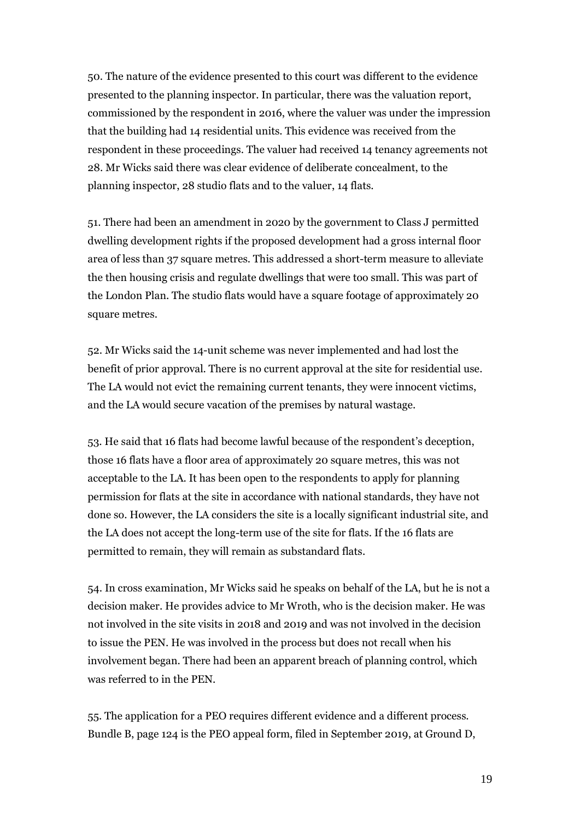50. The nature of the evidence presented to this court was different to the evidence presented to the planning inspector. In particular, there was the valuation report, commissioned by the respondent in 2016, where the valuer was under the impression that the building had 14 residential units. This evidence was received from the respondent in these proceedings. The valuer had received 14 tenancy agreements not 28. Mr Wicks said there was clear evidence of deliberate concealment, to the planning inspector, 28 studio flats and to the valuer, 14 flats.

51. There had been an amendment in 2020 by the government to Class J permitted dwelling development rights if the proposed development had a gross internal floor area of less than 37 square metres. This addressed a short-term measure to alleviate the then housing crisis and regulate dwellings that were too small. This was part of the London Plan. The studio flats would have a square footage of approximately 20 square metres.

52. Mr Wicks said the 14-unit scheme was never implemented and had lost the benefit of prior approval. There is no current approval at the site for residential use. The LA would not evict the remaining current tenants, they were innocent victims, and the LA would secure vacation of the premises by natural wastage.

53. He said that 16 flats had become lawful because of the respondent's deception, those 16 flats have a floor area of approximately 20 square metres, this was not acceptable to the LA. It has been open to the respondents to apply for planning permission for flats at the site in accordance with national standards, they have not done so. However, the LA considers the site is a locally significant industrial site, and the LA does not accept the long-term use of the site for flats. If the 16 flats are permitted to remain, they will remain as substandard flats.

54. In cross examination, Mr Wicks said he speaks on behalf of the LA, but he is not a decision maker. He provides advice to Mr Wroth, who is the decision maker. He was not involved in the site visits in 2018 and 2019 and was not involved in the decision to issue the PEN. He was involved in the process but does not recall when his involvement began. There had been an apparent breach of planning control, which was referred to in the PEN.

55. The application for a PEO requires different evidence and a different process. Bundle B, page 124 is the PEO appeal form, filed in September 2019, at Ground D,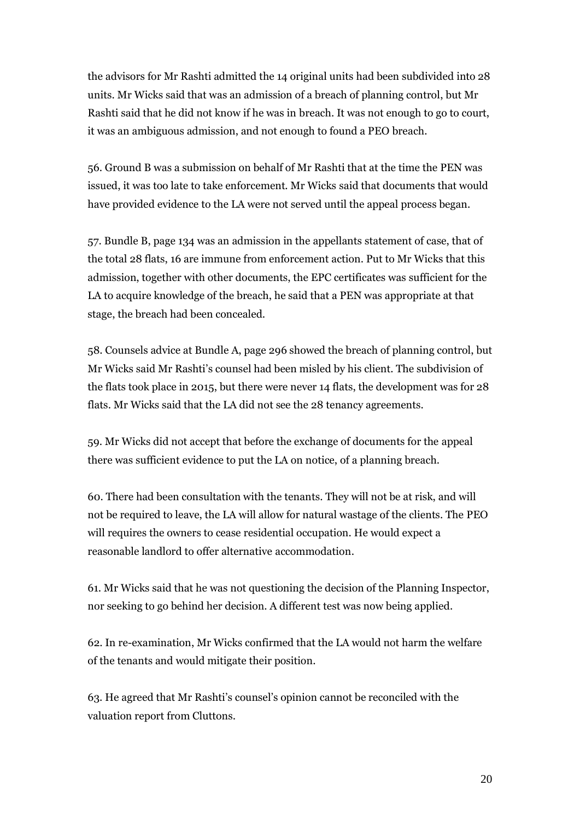the advisors for Mr Rashti admitted the 14 original units had been subdivided into 28 units. Mr Wicks said that was an admission of a breach of planning control, but Mr Rashti said that he did not know if he was in breach. It was not enough to go to court, it was an ambiguous admission, and not enough to found a PEO breach.

56. Ground B was a submission on behalf of Mr Rashti that at the time the PEN was issued, it was too late to take enforcement. Mr Wicks said that documents that would have provided evidence to the LA were not served until the appeal process began.

57. Bundle B, page 134 was an admission in the appellants statement of case, that of the total 28 flats, 16 are immune from enforcement action. Put to Mr Wicks that this admission, together with other documents, the EPC certificates was sufficient for the LA to acquire knowledge of the breach, he said that a PEN was appropriate at that stage, the breach had been concealed.

58. Counsels advice at Bundle A, page 296 showed the breach of planning control, but Mr Wicks said Mr Rashti's counsel had been misled by his client. The subdivision of the flats took place in 2015, but there were never 14 flats, the development was for 28 flats. Mr Wicks said that the LA did not see the 28 tenancy agreements.

59. Mr Wicks did not accept that before the exchange of documents for the appeal there was sufficient evidence to put the LA on notice, of a planning breach.

60. There had been consultation with the tenants. They will not be at risk, and will not be required to leave, the LA will allow for natural wastage of the clients. The PEO will requires the owners to cease residential occupation. He would expect a reasonable landlord to offer alternative accommodation.

61. Mr Wicks said that he was not questioning the decision of the Planning Inspector, nor seeking to go behind her decision. A different test was now being applied.

62. In re-examination, Mr Wicks confirmed that the LA would not harm the welfare of the tenants and would mitigate their position.

63. He agreed that Mr Rashti's counsel's opinion cannot be reconciled with the valuation report from Cluttons.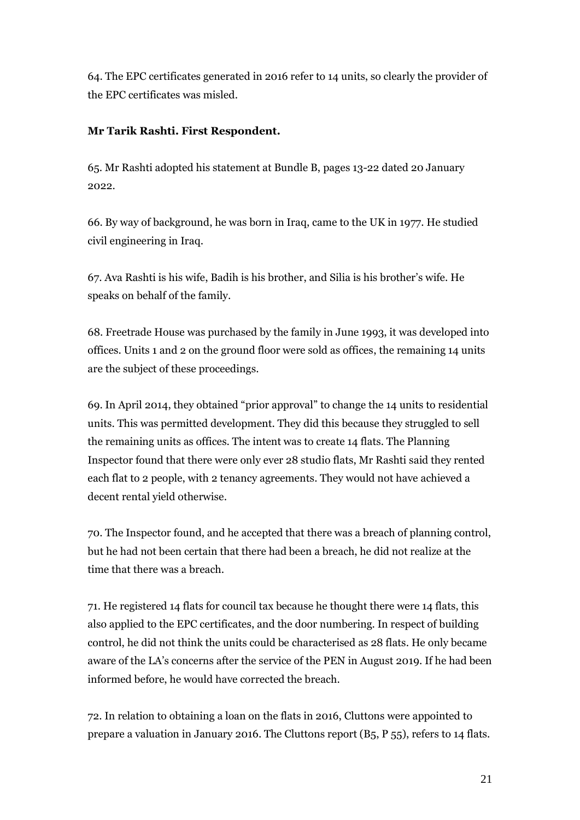64. The EPC certificates generated in 2016 refer to 14 units, so clearly the provider of the EPC certificates was misled.

## **Mr Tarik Rashti. First Respondent.**

65. Mr Rashti adopted his statement at Bundle B, pages 13-22 dated 20 January 2022.

66. By way of background, he was born in Iraq, came to the UK in 1977. He studied civil engineering in Iraq.

67. Ava Rashti is his wife, Badih is his brother, and Silia is his brother's wife. He speaks on behalf of the family.

68. Freetrade House was purchased by the family in June 1993, it was developed into offices. Units 1 and 2 on the ground floor were sold as offices, the remaining 14 units are the subject of these proceedings.

69. In April 2014, they obtained "prior approval" to change the 14 units to residential units. This was permitted development. They did this because they struggled to sell the remaining units as offices. The intent was to create 14 flats. The Planning Inspector found that there were only ever 28 studio flats, Mr Rashti said they rented each flat to 2 people, with 2 tenancy agreements. They would not have achieved a decent rental yield otherwise.

70. The Inspector found, and he accepted that there was a breach of planning control, but he had not been certain that there had been a breach, he did not realize at the time that there was a breach.

71. He registered 14 flats for council tax because he thought there were 14 flats, this also applied to the EPC certificates, and the door numbering. In respect of building control, he did not think the units could be characterised as 28 flats. He only became aware of the LA's concerns after the service of the PEN in August 2019. If he had been informed before, he would have corrected the breach.

72. In relation to obtaining a loan on the flats in 2016, Cluttons were appointed to prepare a valuation in January 2016. The Cluttons report (B5, P 55), refers to 14 flats.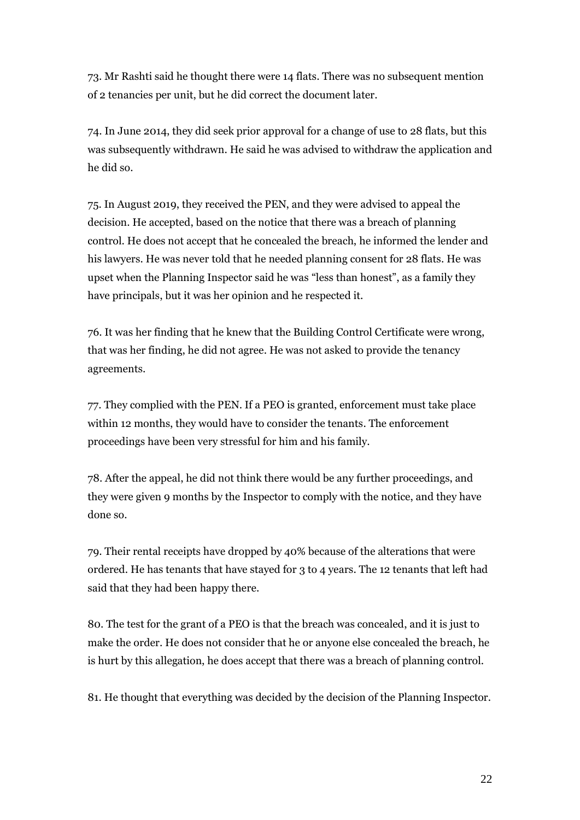73. Mr Rashti said he thought there were 14 flats. There was no subsequent mention of 2 tenancies per unit, but he did correct the document later.

74. In June 2014, they did seek prior approval for a change of use to 28 flats, but this was subsequently withdrawn. He said he was advised to withdraw the application and he did so.

75. In August 2019, they received the PEN, and they were advised to appeal the decision. He accepted, based on the notice that there was a breach of planning control. He does not accept that he concealed the breach, he informed the lender and his lawyers. He was never told that he needed planning consent for 28 flats. He was upset when the Planning Inspector said he was "less than honest", as a family they have principals, but it was her opinion and he respected it.

76. It was her finding that he knew that the Building Control Certificate were wrong, that was her finding, he did not agree. He was not asked to provide the tenancy agreements.

77. They complied with the PEN. If a PEO is granted, enforcement must take place within 12 months, they would have to consider the tenants. The enforcement proceedings have been very stressful for him and his family.

78. After the appeal, he did not think there would be any further proceedings, and they were given 9 months by the Inspector to comply with the notice, and they have done so.

79. Their rental receipts have dropped by 40% because of the alterations that were ordered. He has tenants that have stayed for 3 to 4 years. The 12 tenants that left had said that they had been happy there.

80. The test for the grant of a PEO is that the breach was concealed, and it is just to make the order. He does not consider that he or anyone else concealed the breach, he is hurt by this allegation, he does accept that there was a breach of planning control.

81. He thought that everything was decided by the decision of the Planning Inspector.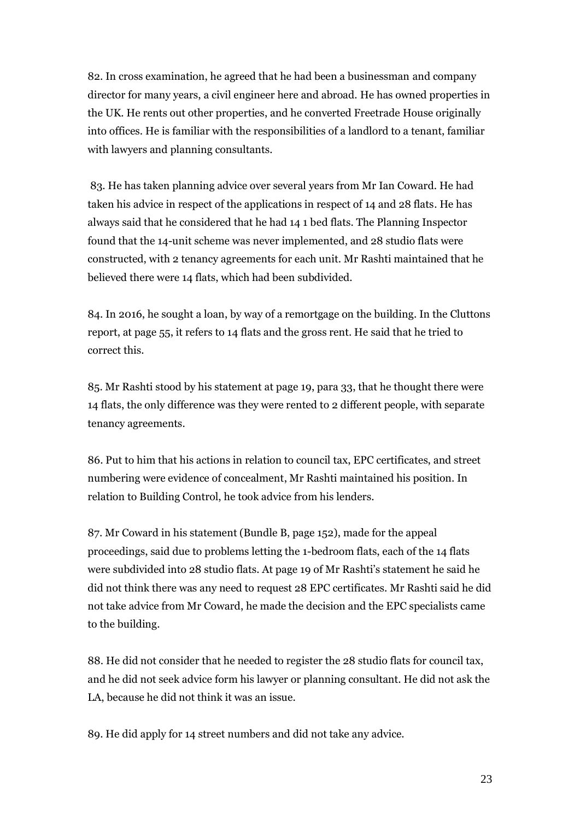82. In cross examination, he agreed that he had been a businessman and company director for many years, a civil engineer here and abroad. He has owned properties in the UK. He rents out other properties, and he converted Freetrade House originally into offices. He is familiar with the responsibilities of a landlord to a tenant, familiar with lawyers and planning consultants.

83. He has taken planning advice over several years from Mr Ian Coward. He had taken his advice in respect of the applications in respect of 14 and 28 flats. He has always said that he considered that he had 14 1 bed flats. The Planning Inspector found that the 14-unit scheme was never implemented, and 28 studio flats were constructed, with 2 tenancy agreements for each unit. Mr Rashti maintained that he believed there were 14 flats, which had been subdivided.

84. In 2016, he sought a loan, by way of a remortgage on the building. In the Cluttons report, at page 55, it refers to 14 flats and the gross rent. He said that he tried to correct this.

85. Mr Rashti stood by his statement at page 19, para 33, that he thought there were 14 flats, the only difference was they were rented to 2 different people, with separate tenancy agreements.

86. Put to him that his actions in relation to council tax, EPC certificates, and street numbering were evidence of concealment, Mr Rashti maintained his position. In relation to Building Control, he took advice from his lenders.

87. Mr Coward in his statement (Bundle B, page 152), made for the appeal proceedings, said due to problems letting the 1-bedroom flats, each of the 14 flats were subdivided into 28 studio flats. At page 19 of Mr Rashti's statement he said he did not think there was any need to request 28 EPC certificates. Mr Rashti said he did not take advice from Mr Coward, he made the decision and the EPC specialists came to the building.

88. He did not consider that he needed to register the 28 studio flats for council tax, and he did not seek advice form his lawyer or planning consultant. He did not ask the LA, because he did not think it was an issue.

89. He did apply for 14 street numbers and did not take any advice.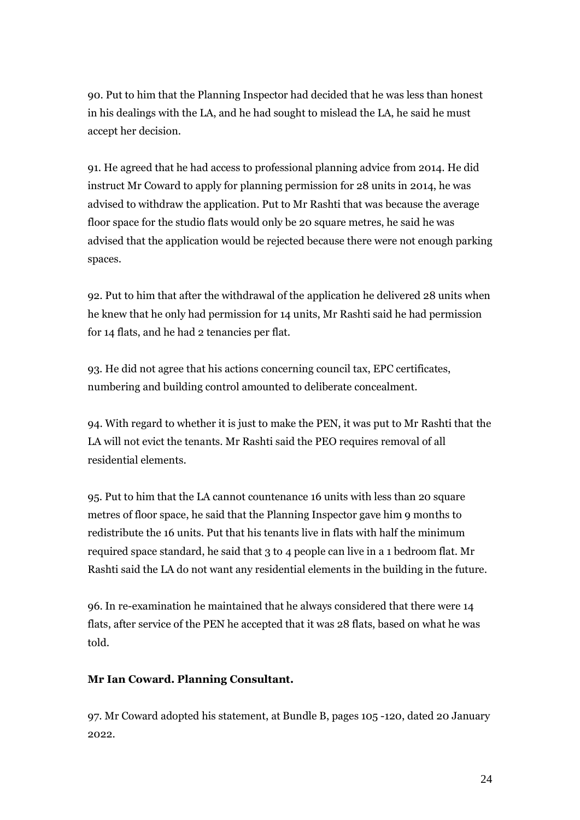90. Put to him that the Planning Inspector had decided that he was less than honest in his dealings with the LA, and he had sought to mislead the LA, he said he must accept her decision.

91. He agreed that he had access to professional planning advice from 2014. He did instruct Mr Coward to apply for planning permission for 28 units in 2014, he was advised to withdraw the application. Put to Mr Rashti that was because the average floor space for the studio flats would only be 20 square metres, he said he was advised that the application would be rejected because there were not enough parking spaces.

92. Put to him that after the withdrawal of the application he delivered 28 units when he knew that he only had permission for 14 units, Mr Rashti said he had permission for 14 flats, and he had 2 tenancies per flat.

93. He did not agree that his actions concerning council tax, EPC certificates, numbering and building control amounted to deliberate concealment.

94. With regard to whether it is just to make the PEN, it was put to Mr Rashti that the LA will not evict the tenants. Mr Rashti said the PEO requires removal of all residential elements.

95. Put to him that the LA cannot countenance 16 units with less than 20 square metres of floor space, he said that the Planning Inspector gave him 9 months to redistribute the 16 units. Put that his tenants live in flats with half the minimum required space standard, he said that 3 to 4 people can live in a 1 bedroom flat. Mr Rashti said the LA do not want any residential elements in the building in the future.

96. In re-examination he maintained that he always considered that there were 14 flats, after service of the PEN he accepted that it was 28 flats, based on what he was told.

### **Mr Ian Coward. Planning Consultant.**

97. Mr Coward adopted his statement, at Bundle B, pages 105 -120, dated 20 January 2022.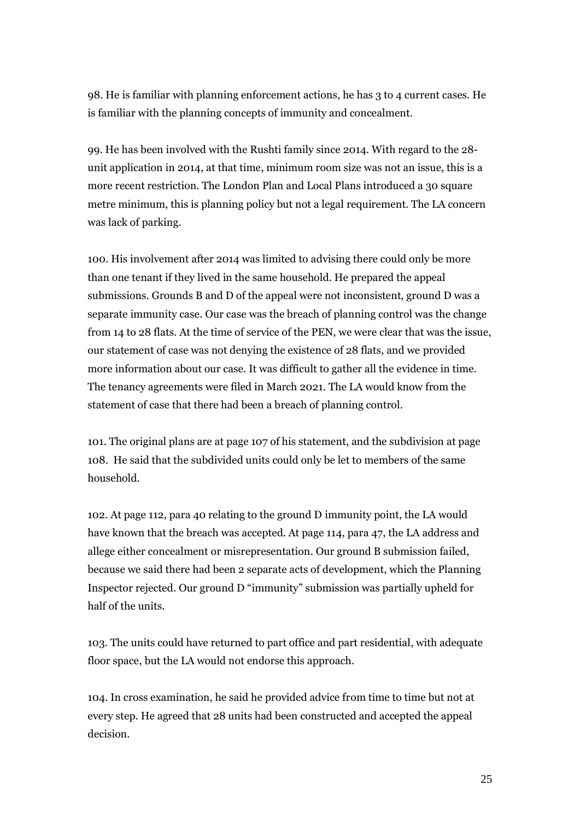98. He is familiar with planning enforcement actions, he has 3 to 4 current cases. He is familiar with the planning concepts of immunity and concealment.

99. He has been involved with the Rushti family since 2014. With regard to the 28 unit application in 2014, at that time, minimum room size was not an issue, this is a more recent restriction. The London Plan and Local Plans introduced a 30 square metre minimum, this is planning policy but not a legal requirement. The LA concern was lack of parking.

100. His involvement after 2014 was limited to advising there could only be more than one tenant if they lived in the same household. He prepared the appeal submissions. Grounds B and D of the appeal were not inconsistent, ground D was a separate immunity case. Our case was the breach of planning control was the change from 14 to 28 flats. At the time of service of the PEN, we were clear that was the issue, our statement of case was not denying the existence of 28 flats, and we provided more information about our case. It was difficult to gather all the evidence in time. The tenancy agreements were filed in March 2021. The LA would know from the statement of case that there had been a breach of planning control.

101. The original plans are at page 107 of his statement, and the subdivision at page 108. He said that the subdivided units could only be let to members of the same household.

102. At page 112, para 40 relating to the ground D immunity point, the LA would have known that the breach was accepted. At page 114, para 47, the LA address and allege either concealment or misrepresentation. Our ground B submission failed, because we said there had been 2 separate acts of development, which the Planning Inspector rejected. Our ground D "immunity" submission was partially upheld for half of the units.

103. The units could have returned to part office and part residential, with adequate floor space, but the LA would not endorse this approach.

104. In cross examination, he said he provided advice from time to time but not at every step. He agreed that 28 units had been constructed and accepted the appeal decision.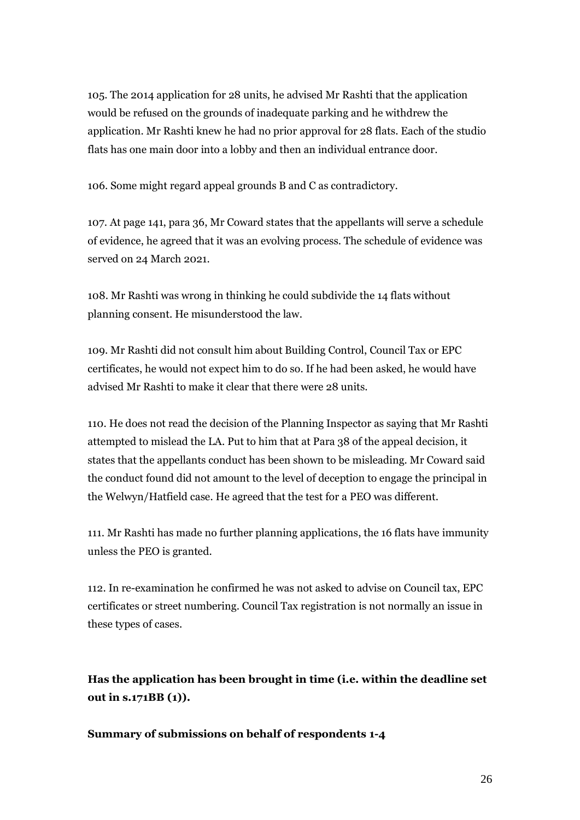105. The 2014 application for 28 units, he advised Mr Rashti that the application would be refused on the grounds of inadequate parking and he withdrew the application. Mr Rashti knew he had no prior approval for 28 flats. Each of the studio flats has one main door into a lobby and then an individual entrance door.

106. Some might regard appeal grounds B and C as contradictory.

107. At page 141, para 36, Mr Coward states that the appellants will serve a schedule of evidence, he agreed that it was an evolving process. The schedule of evidence was served on 24 March 2021.

108. Mr Rashti was wrong in thinking he could subdivide the 14 flats without planning consent. He misunderstood the law.

109. Mr Rashti did not consult him about Building Control, Council Tax or EPC certificates, he would not expect him to do so. If he had been asked, he would have advised Mr Rashti to make it clear that there were 28 units.

110. He does not read the decision of the Planning Inspector as saying that Mr Rashti attempted to mislead the LA. Put to him that at Para 38 of the appeal decision, it states that the appellants conduct has been shown to be misleading. Mr Coward said the conduct found did not amount to the level of deception to engage the principal in the Welwyn/Hatfield case. He agreed that the test for a PEO was different.

111. Mr Rashti has made no further planning applications, the 16 flats have immunity unless the PEO is granted.

112. In re-examination he confirmed he was not asked to advise on Council tax, EPC certificates or street numbering. Council Tax registration is not normally an issue in these types of cases.

**Has the application has been brought in time (i.e. within the deadline set out in s.171BB (1)).**

### **Summary of submissions on behalf of respondents 1-4**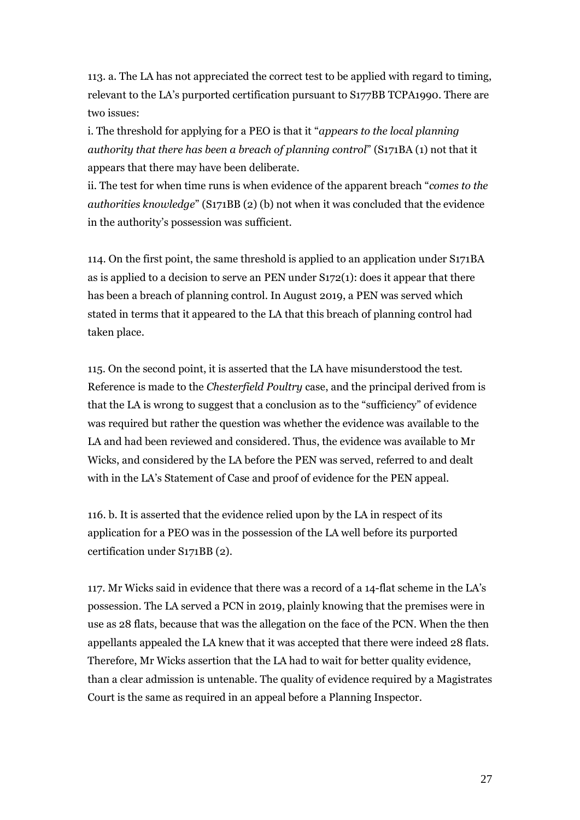113. a. The LA has not appreciated the correct test to be applied with regard to timing, relevant to the LA's purported certification pursuant to S177BB TCPA1990. There are two issues:

i. The threshold for applying for a PEO is that it "*appears to the local planning authority that there has been a breach of planning control*" (S171BA (1) not that it appears that there may have been deliberate.

ii. The test for when time runs is when evidence of the apparent breach "*comes to the authorities knowledge*" (S171BB (2) (b) not when it was concluded that the evidence in the authority's possession was sufficient.

114. On the first point, the same threshold is applied to an application under S171BA as is applied to a decision to serve an PEN under S172(1): does it appear that there has been a breach of planning control. In August 2019, a PEN was served which stated in terms that it appeared to the LA that this breach of planning control had taken place.

115. On the second point, it is asserted that the LA have misunderstood the test. Reference is made to the *Chesterfield Poultry* case, and the principal derived from is that the LA is wrong to suggest that a conclusion as to the "sufficiency" of evidence was required but rather the question was whether the evidence was available to the LA and had been reviewed and considered. Thus, the evidence was available to Mr Wicks, and considered by the LA before the PEN was served, referred to and dealt with in the LA's Statement of Case and proof of evidence for the PEN appeal.

116. b. It is asserted that the evidence relied upon by the LA in respect of its application for a PEO was in the possession of the LA well before its purported certification under S171BB (2).

117. Mr Wicks said in evidence that there was a record of a 14-flat scheme in the LA's possession. The LA served a PCN in 2019, plainly knowing that the premises were in use as 28 flats, because that was the allegation on the face of the PCN. When the then appellants appealed the LA knew that it was accepted that there were indeed 28 flats. Therefore, Mr Wicks assertion that the LA had to wait for better quality evidence, than a clear admission is untenable. The quality of evidence required by a Magistrates Court is the same as required in an appeal before a Planning Inspector.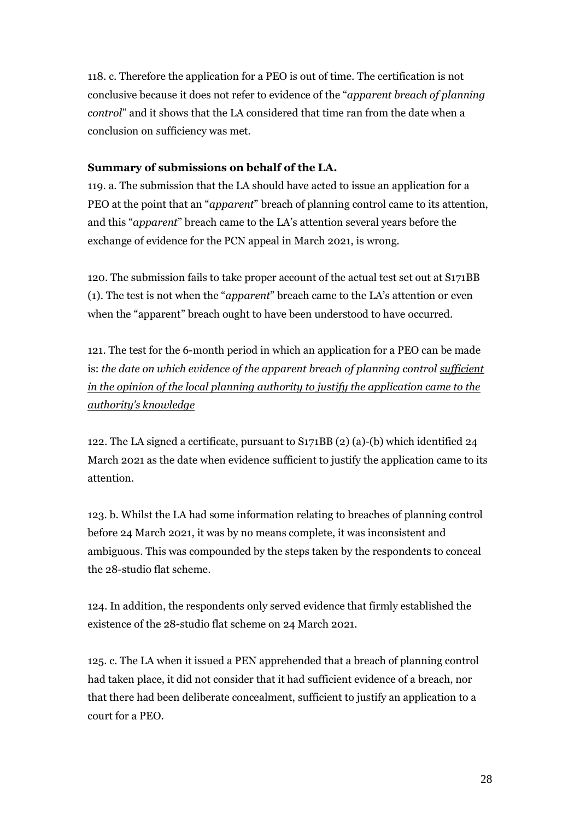118. c. Therefore the application for a PEO is out of time. The certification is not conclusive because it does not refer to evidence of the "*apparent breach of planning control*" and it shows that the LA considered that time ran from the date when a conclusion on sufficiency was met.

### **Summary of submissions on behalf of the LA.**

119. a. The submission that the LA should have acted to issue an application for a PEO at the point that an "*apparent*" breach of planning control came to its attention, and this "*apparent*" breach came to the LA's attention several years before the exchange of evidence for the PCN appeal in March 2021, is wrong.

120. The submission fails to take proper account of the actual test set out at S171BB (1). The test is not when the "*apparent*" breach came to the LA's attention or even when the "apparent" breach ought to have been understood to have occurred.

121. The test for the 6-month period in which an application for a PEO can be made is: *the date on which evidence of the apparent breach of planning control sufficient in the opinion of the local planning authority to justify the application came to the authority's knowledge*

122. The LA signed a certificate, pursuant to S171BB (2) (a)-(b) which identified 24 March 2021 as the date when evidence sufficient to justify the application came to its attention.

123. b. Whilst the LA had some information relating to breaches of planning control before 24 March 2021, it was by no means complete, it was inconsistent and ambiguous. This was compounded by the steps taken by the respondents to conceal the 28-studio flat scheme.

124. In addition, the respondents only served evidence that firmly established the existence of the 28-studio flat scheme on 24 March 2021.

125. c. The LA when it issued a PEN apprehended that a breach of planning control had taken place, it did not consider that it had sufficient evidence of a breach, nor that there had been deliberate concealment, sufficient to justify an application to a court for a PEO.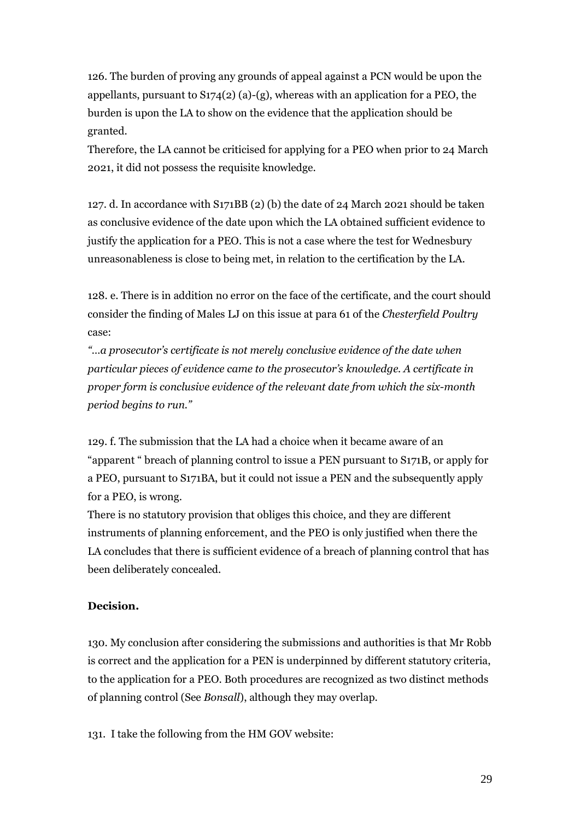126. The burden of proving any grounds of appeal against a PCN would be upon the appellants, pursuant to S174(2) (a)-(g), whereas with an application for a PEO, the burden is upon the LA to show on the evidence that the application should be granted.

Therefore, the LA cannot be criticised for applying for a PEO when prior to 24 March 2021, it did not possess the requisite knowledge.

127. d. In accordance with S171BB (2) (b) the date of 24 March 2021 should be taken as conclusive evidence of the date upon which the LA obtained sufficient evidence to justify the application for a PEO. This is not a case where the test for Wednesbury unreasonableness is close to being met, in relation to the certification by the LA.

128. e. There is in addition no error on the face of the certificate, and the court should consider the finding of Males LJ on this issue at para 61 of the *Chesterfield Poultry* case:

*"…a prosecutor's certificate is not merely conclusive evidence of the date when particular pieces of evidence came to the prosecutor's knowledge. A certificate in proper form is conclusive evidence of the relevant date from which the six-month period begins to run."*

129. f. The submission that the LA had a choice when it became aware of an "apparent " breach of planning control to issue a PEN pursuant to S171B, or apply for a PEO, pursuant to S171BA, but it could not issue a PEN and the subsequently apply for a PEO, is wrong.

There is no statutory provision that obliges this choice, and they are different instruments of planning enforcement, and the PEO is only justified when there the LA concludes that there is sufficient evidence of a breach of planning control that has been deliberately concealed.

### **Decision.**

130. My conclusion after considering the submissions and authorities is that Mr Robb is correct and the application for a PEN is underpinned by different statutory criteria, to the application for a PEO. Both procedures are recognized as two distinct methods of planning control (See *Bonsall*), although they may overlap.

131. I take the following from the HM GOV website: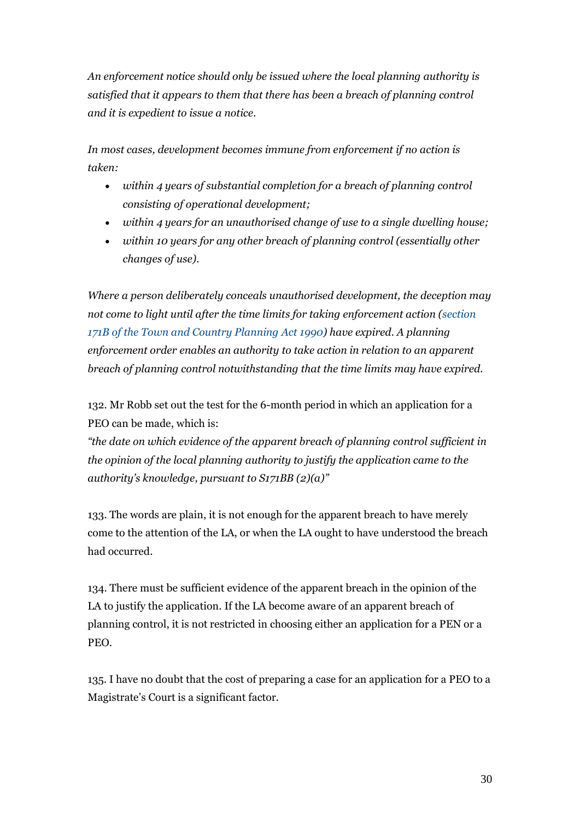*An enforcement notice should only be issued where the local planning authority is satisfied that it appears to them that there has been a breach of planning control and it is expedient to issue a notice.*

*In most cases, development becomes immune from enforcement if no action is taken:*

- *within 4 years of substantial completion for a breach of planning control consisting of operational development;*
- *within 4 years for an unauthorised change of use to a single dwelling house;*
- *within 10 years for any other breach of planning control (essentially other changes of use).*

*Where a person deliberately conceals unauthorised development, the deception may not come to light until after the time limits for taking enforcement action (section [171B of the Town and Country Planning](http://www.legislation.gov.uk/ukpga/1990/8/section/171B) Act 1990) have expired. A planning enforcement order enables an authority to take action in relation to an apparent breach of planning control notwithstanding that the time limits may have expired.*

132. Mr Robb set out the test for the 6-month period in which an application for a PEO can be made, which is:

*"the date on which evidence of the apparent breach of planning control sufficient in the opinion of the local planning authority to justify the application came to the authority's knowledge, pursuant to S171BB (2)(a)"*

133. The words are plain, it is not enough for the apparent breach to have merely come to the attention of the LA, or when the LA ought to have understood the breach had occurred.

134. There must be sufficient evidence of the apparent breach in the opinion of the LA to justify the application. If the LA become aware of an apparent breach of planning control, it is not restricted in choosing either an application for a PEN or a PEO.

135. I have no doubt that the cost of preparing a case for an application for a PEO to a Magistrate's Court is a significant factor.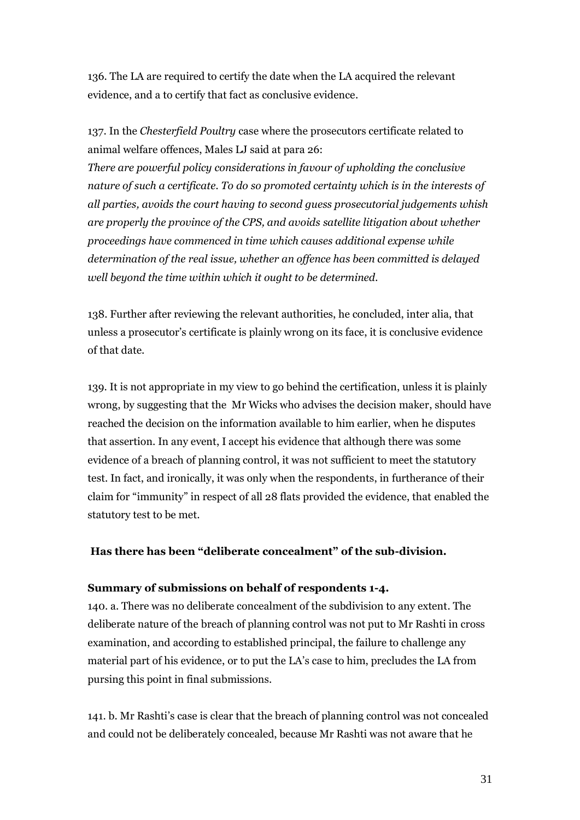136. The LA are required to certify the date when the LA acquired the relevant evidence, and a to certify that fact as conclusive evidence.

137. In the *Chesterfield Poultry* case where the prosecutors certificate related to animal welfare offences, Males LJ said at para 26:

*There are powerful policy considerations in favour of upholding the conclusive nature of such a certificate. To do so promoted certainty which is in the interests of all parties, avoids the court having to second guess prosecutorial judgements whish are properly the province of the CPS, and avoids satellite litigation about whether proceedings have commenced in time which causes additional expense while determination of the real issue, whether an offence has been committed is delayed well beyond the time within which it ought to be determined.*

138. Further after reviewing the relevant authorities, he concluded, inter alia, that unless a prosecutor's certificate is plainly wrong on its face, it is conclusive evidence of that date.

139. It is not appropriate in my view to go behind the certification, unless it is plainly wrong, by suggesting that the Mr Wicks who advises the decision maker, should have reached the decision on the information available to him earlier, when he disputes that assertion. In any event, I accept his evidence that although there was some evidence of a breach of planning control, it was not sufficient to meet the statutory test. In fact, and ironically, it was only when the respondents, in furtherance of their claim for "immunity" in respect of all 28 flats provided the evidence, that enabled the statutory test to be met.

### **Has there has been "deliberate concealment" of the sub-division.**

#### **Summary of submissions on behalf of respondents 1-4.**

140. a. There was no deliberate concealment of the subdivision to any extent. The deliberate nature of the breach of planning control was not put to Mr Rashti in cross examination, and according to established principal, the failure to challenge any material part of his evidence, or to put the LA's case to him, precludes the LA from pursing this point in final submissions.

141. b. Mr Rashti's case is clear that the breach of planning control was not concealed and could not be deliberately concealed, because Mr Rashti was not aware that he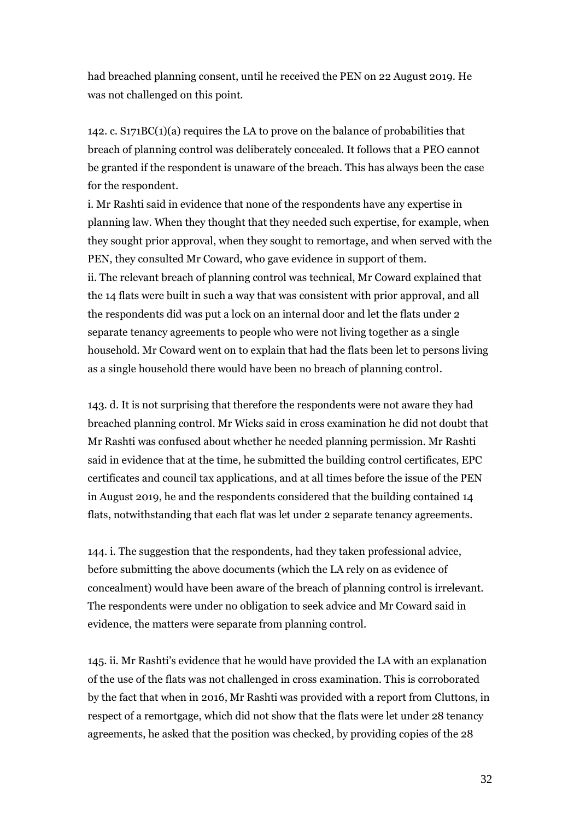had breached planning consent, until he received the PEN on 22 August 2019. He was not challenged on this point.

142. c. S171BC(1)(a) requires the LA to prove on the balance of probabilities that breach of planning control was deliberately concealed. It follows that a PEO cannot be granted if the respondent is unaware of the breach. This has always been the case for the respondent.

i. Mr Rashti said in evidence that none of the respondents have any expertise in planning law. When they thought that they needed such expertise, for example, when they sought prior approval, when they sought to remortage, and when served with the PEN, they consulted Mr Coward, who gave evidence in support of them. ii. The relevant breach of planning control was technical, Mr Coward explained that the 14 flats were built in such a way that was consistent with prior approval, and all the respondents did was put a lock on an internal door and let the flats under 2 separate tenancy agreements to people who were not living together as a single household. Mr Coward went on to explain that had the flats been let to persons living as a single household there would have been no breach of planning control.

143. d. It is not surprising that therefore the respondents were not aware they had breached planning control. Mr Wicks said in cross examination he did not doubt that Mr Rashti was confused about whether he needed planning permission. Mr Rashti said in evidence that at the time, he submitted the building control certificates, EPC certificates and council tax applications, and at all times before the issue of the PEN in August 2019, he and the respondents considered that the building contained 14 flats, notwithstanding that each flat was let under 2 separate tenancy agreements.

144. i. The suggestion that the respondents, had they taken professional advice, before submitting the above documents (which the LA rely on as evidence of concealment) would have been aware of the breach of planning control is irrelevant. The respondents were under no obligation to seek advice and Mr Coward said in evidence, the matters were separate from planning control.

145. ii. Mr Rashti's evidence that he would have provided the LA with an explanation of the use of the flats was not challenged in cross examination. This is corroborated by the fact that when in 2016, Mr Rashti was provided with a report from Cluttons, in respect of a remortgage, which did not show that the flats were let under 28 tenancy agreements, he asked that the position was checked, by providing copies of the 28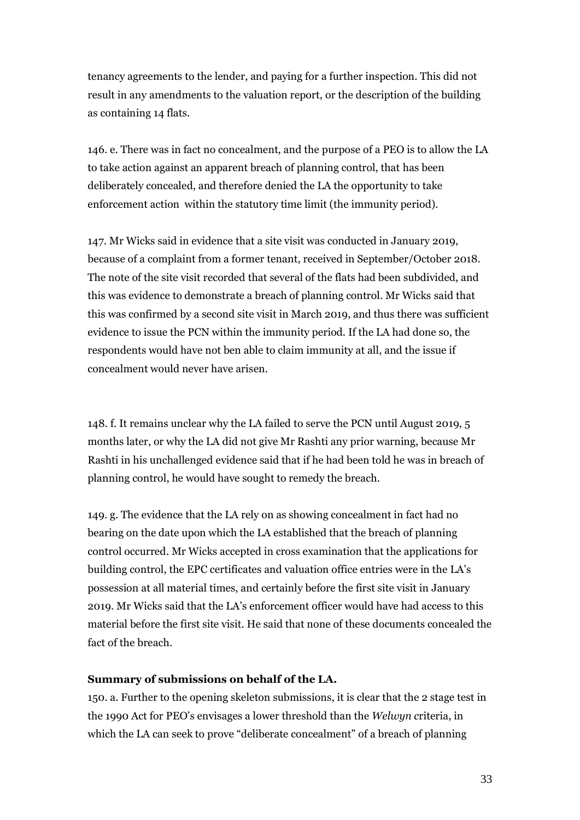tenancy agreements to the lender, and paying for a further inspection. This did not result in any amendments to the valuation report, or the description of the building as containing 14 flats.

146. e. There was in fact no concealment, and the purpose of a PEO is to allow the LA to take action against an apparent breach of planning control, that has been deliberately concealed, and therefore denied the LA the opportunity to take enforcement action within the statutory time limit (the immunity period).

147. Mr Wicks said in evidence that a site visit was conducted in January 2019, because of a complaint from a former tenant, received in September/October 2018. The note of the site visit recorded that several of the flats had been subdivided, and this was evidence to demonstrate a breach of planning control. Mr Wicks said that this was confirmed by a second site visit in March 2019, and thus there was sufficient evidence to issue the PCN within the immunity period. If the LA had done so, the respondents would have not ben able to claim immunity at all, and the issue if concealment would never have arisen.

148. f. It remains unclear why the LA failed to serve the PCN until August 2019, 5 months later, or why the LA did not give Mr Rashti any prior warning, because Mr Rashti in his unchallenged evidence said that if he had been told he was in breach of planning control, he would have sought to remedy the breach.

149. g. The evidence that the LA rely on as showing concealment in fact had no bearing on the date upon which the LA established that the breach of planning control occurred. Mr Wicks accepted in cross examination that the applications for building control, the EPC certificates and valuation office entries were in the LA's possession at all material times, and certainly before the first site visit in January 2019. Mr Wicks said that the LA's enforcement officer would have had access to this material before the first site visit. He said that none of these documents concealed the fact of the breach.

#### **Summary of submissions on behalf of the LA.**

150. a. Further to the opening skeleton submissions, it is clear that the 2 stage test in the 1990 Act for PEO's envisages a lower threshold than the *Welwyn c*riteria, in which the LA can seek to prove "deliberate concealment" of a breach of planning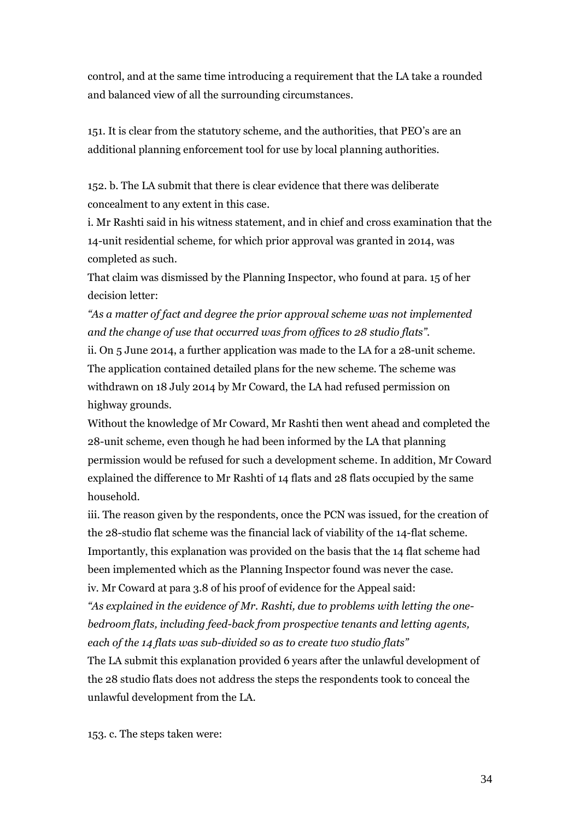control, and at the same time introducing a requirement that the LA take a rounded and balanced view of all the surrounding circumstances.

151. It is clear from the statutory scheme, and the authorities, that PEO's are an additional planning enforcement tool for use by local planning authorities.

152. b. The LA submit that there is clear evidence that there was deliberate concealment to any extent in this case.

i. Mr Rashti said in his witness statement, and in chief and cross examination that the 14-unit residential scheme, for which prior approval was granted in 2014, was completed as such.

That claim was dismissed by the Planning Inspector, who found at para. 15 of her decision letter:

*"As a matter of fact and degree the prior approval scheme was not implemented and the change of use that occurred was from offices to 28 studio flats".*

ii. On 5 June 2014, a further application was made to the LA for a 28-unit scheme. The application contained detailed plans for the new scheme. The scheme was withdrawn on 18 July 2014 by Mr Coward, the LA had refused permission on highway grounds.

Without the knowledge of Mr Coward, Mr Rashti then went ahead and completed the 28-unit scheme, even though he had been informed by the LA that planning permission would be refused for such a development scheme. In addition, Mr Coward explained the difference to Mr Rashti of 14 flats and 28 flats occupied by the same household.

iii. The reason given by the respondents, once the PCN was issued, for the creation of the 28-studio flat scheme was the financial lack of viability of the 14-flat scheme. Importantly, this explanation was provided on the basis that the 14 flat scheme had been implemented which as the Planning Inspector found was never the case. iv. Mr Coward at para 3.8 of his proof of evidence for the Appeal said:

*"As explained in the evidence of Mr. Rashti, due to problems with letting the onebedroom flats, including feed-back from prospective tenants and letting agents, each of the 14 flats was sub-divided so as to create two studio flats"*

The LA submit this explanation provided 6 years after the unlawful development of the 28 studio flats does not address the steps the respondents took to conceal the unlawful development from the LA.

153. c. The steps taken were: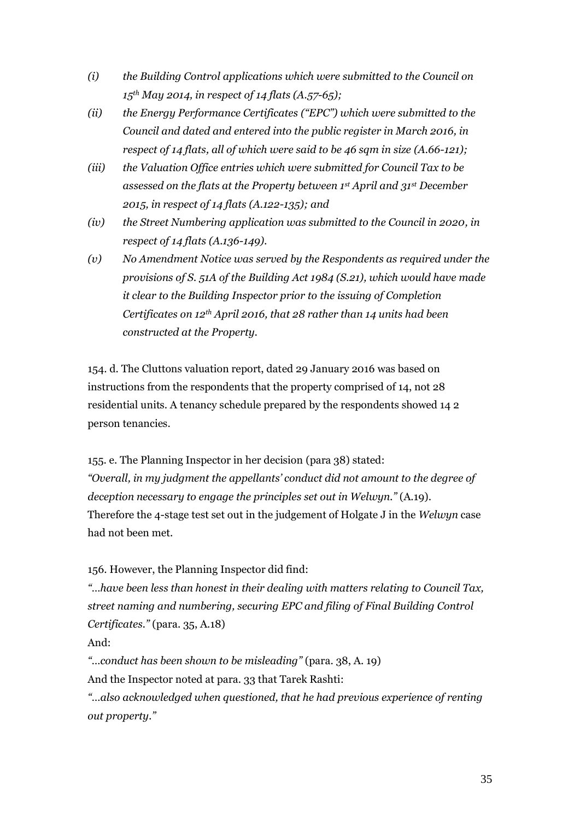- *(i) the Building Control applications which were submitted to the Council on 15th May 2014, in respect of 14 flats (A.57-65);*
- *(ii) the Energy Performance Certificates ("EPC") which were submitted to the Council and dated and entered into the public register in March 2016, in respect of 14 flats, all of which were said to be 46 sqm in size (A.66-121);*
- *(iii) the Valuation Office entries which were submitted for Council Tax to be assessed on the flats at the Property between 1st April and 31st December 2015, in respect of 14 flats (A.122-135); and*
- *(iv) the Street Numbering application was submitted to the Council in 2020, in respect of 14 flats (A.136-149).*
- *(v) No Amendment Notice was served by the Respondents as required under the provisions of S. 51A of the Building Act 1984 (S.21), which would have made it clear to the Building Inspector prior to the issuing of Completion Certificates on 12th April 2016, that 28 rather than 14 units had been constructed at the Property.*

154. d. The Cluttons valuation report, dated 29 January 2016 was based on instructions from the respondents that the property comprised of 14, not 28 residential units. A tenancy schedule prepared by the respondents showed 14 2 person tenancies.

155. e. The Planning Inspector in her decision (para 38) stated: *"Overall, in my judgment the appellants' conduct did not amount to the degree of deception necessary to engage the principles set out in Welwyn."* (A.19). Therefore the 4-stage test set out in the judgement of Holgate J in the *Welwyn* case had not been met.

156. However, the Planning Inspector did find:

*"…have been less than honest in their dealing with matters relating to Council Tax, street naming and numbering, securing EPC and filing of Final Building Control Certificates."* (para. 35, A.18)

And:

*"…conduct has been shown to be misleading"* (para. 38, A. 19)

And the Inspector noted at para. 33 that Tarek Rashti:

*"…also acknowledged when questioned, that he had previous experience of renting out property."*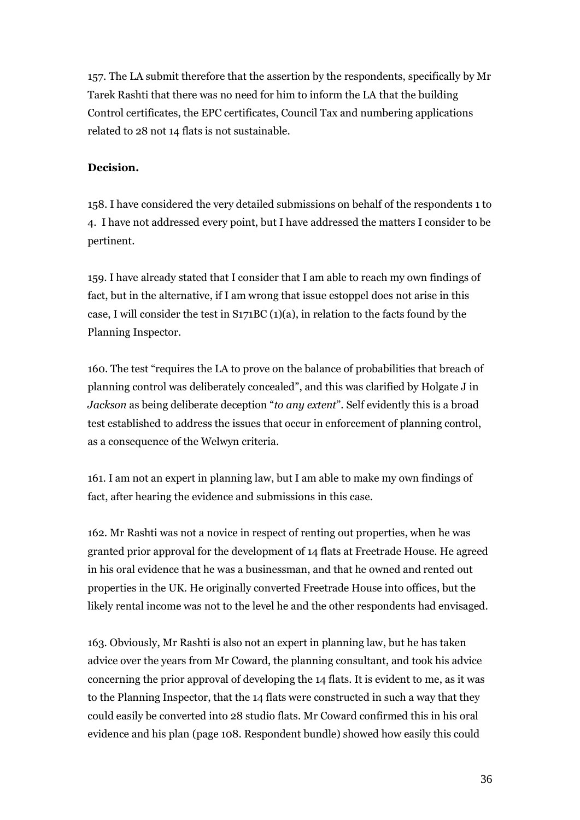157. The LA submit therefore that the assertion by the respondents, specifically by Mr Tarek Rashti that there was no need for him to inform the LA that the building Control certificates, the EPC certificates, Council Tax and numbering applications related to 28 not 14 flats is not sustainable.

### **Decision.**

158. I have considered the very detailed submissions on behalf of the respondents 1 to 4. I have not addressed every point, but I have addressed the matters I consider to be pertinent.

159. I have already stated that I consider that I am able to reach my own findings of fact, but in the alternative, if I am wrong that issue estoppel does not arise in this case, I will consider the test in  $S171BC (1)(a)$ , in relation to the facts found by the Planning Inspector.

160. The test "requires the LA to prove on the balance of probabilities that breach of planning control was deliberately concealed", and this was clarified by Holgate J in *Jackson* as being deliberate deception "*to any extent*". Self evidently this is a broad test established to address the issues that occur in enforcement of planning control, as a consequence of the Welwyn criteria.

161. I am not an expert in planning law, but I am able to make my own findings of fact, after hearing the evidence and submissions in this case.

162. Mr Rashti was not a novice in respect of renting out properties, when he was granted prior approval for the development of 14 flats at Freetrade House. He agreed in his oral evidence that he was a businessman, and that he owned and rented out properties in the UK. He originally converted Freetrade House into offices, but the likely rental income was not to the level he and the other respondents had envisaged.

163. Obviously, Mr Rashti is also not an expert in planning law, but he has taken advice over the years from Mr Coward, the planning consultant, and took his advice concerning the prior approval of developing the 14 flats. It is evident to me, as it was to the Planning Inspector, that the 14 flats were constructed in such a way that they could easily be converted into 28 studio flats. Mr Coward confirmed this in his oral evidence and his plan (page 108. Respondent bundle) showed how easily this could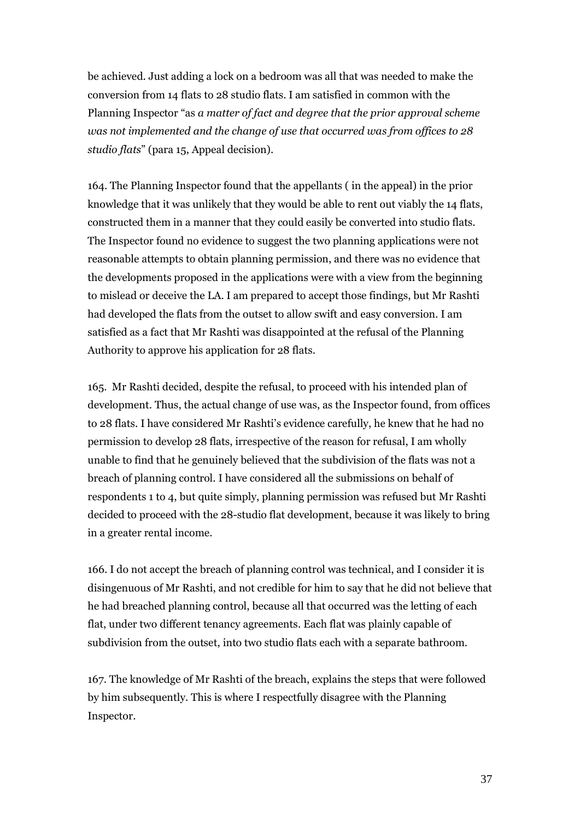be achieved. Just adding a lock on a bedroom was all that was needed to make the conversion from 14 flats to 28 studio flats. I am satisfied in common with the Planning Inspector "as *a matter of fact and degree that the prior approval scheme was not implemented and the change of use that occurred was from offices to 28 studio flats*" (para 15, Appeal decision).

164. The Planning Inspector found that the appellants ( in the appeal) in the prior knowledge that it was unlikely that they would be able to rent out viably the 14 flats, constructed them in a manner that they could easily be converted into studio flats. The Inspector found no evidence to suggest the two planning applications were not reasonable attempts to obtain planning permission, and there was no evidence that the developments proposed in the applications were with a view from the beginning to mislead or deceive the LA. I am prepared to accept those findings, but Mr Rashti had developed the flats from the outset to allow swift and easy conversion. I am satisfied as a fact that Mr Rashti was disappointed at the refusal of the Planning Authority to approve his application for 28 flats.

165. Mr Rashti decided, despite the refusal, to proceed with his intended plan of development. Thus, the actual change of use was, as the Inspector found, from offices to 28 flats. I have considered Mr Rashti's evidence carefully, he knew that he had no permission to develop 28 flats, irrespective of the reason for refusal, I am wholly unable to find that he genuinely believed that the subdivision of the flats was not a breach of planning control. I have considered all the submissions on behalf of respondents 1 to 4, but quite simply, planning permission was refused but Mr Rashti decided to proceed with the 28-studio flat development, because it was likely to bring in a greater rental income.

166. I do not accept the breach of planning control was technical, and I consider it is disingenuous of Mr Rashti, and not credible for him to say that he did not believe that he had breached planning control, because all that occurred was the letting of each flat, under two different tenancy agreements. Each flat was plainly capable of subdivision from the outset, into two studio flats each with a separate bathroom.

167. The knowledge of Mr Rashti of the breach, explains the steps that were followed by him subsequently. This is where I respectfully disagree with the Planning Inspector.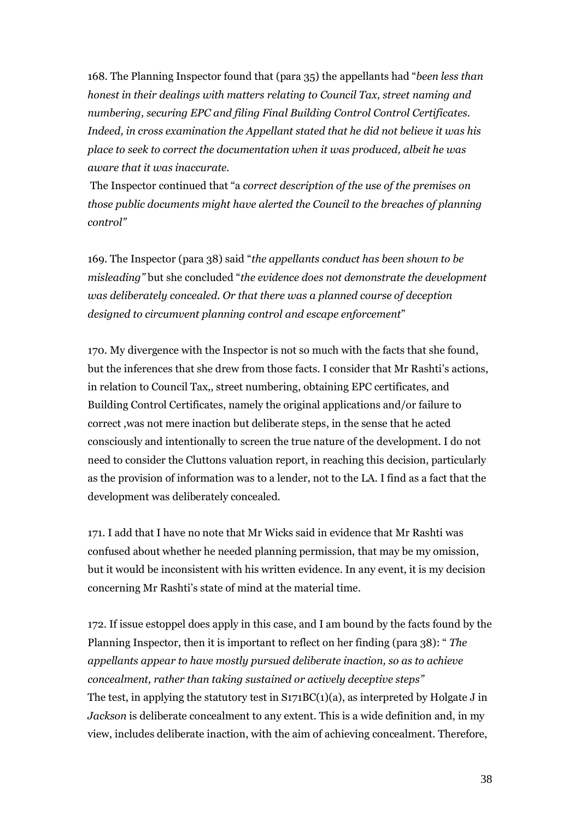168. The Planning Inspector found that (para 35) the appellants had "*been less than honest in their dealings with matters relating to Council Tax, street naming and numbering, securing EPC and filing Final Building Control Control Certificates. Indeed, in cross examination the Appellant stated that he did not believe it was his place to seek to correct the documentation when it was produced, albeit he was aware that it was inaccurate.* 

The Inspector continued that "a *correct description of the use of the premises on those public documents might have alerted the Council to the breaches of planning control"*

169. The Inspector (para 38) said "*the appellants conduct has been shown to be misleading"* but she concluded "*the evidence does not demonstrate the development was deliberately concealed. Or that there was a planned course of deception designed to circumvent planning control and escape enforcement*"

170. My divergence with the Inspector is not so much with the facts that she found, but the inferences that she drew from those facts. I consider that Mr Rashti's actions, in relation to Council Tax,, street numbering, obtaining EPC certificates, and Building Control Certificates, namely the original applications and/or failure to correct ,was not mere inaction but deliberate steps, in the sense that he acted consciously and intentionally to screen the true nature of the development. I do not need to consider the Cluttons valuation report, in reaching this decision, particularly as the provision of information was to a lender, not to the LA. I find as a fact that the development was deliberately concealed.

171. I add that I have no note that Mr Wicks said in evidence that Mr Rashti was confused about whether he needed planning permission, that may be my omission, but it would be inconsistent with his written evidence. In any event, it is my decision concerning Mr Rashti's state of mind at the material time.

172. If issue estoppel does apply in this case, and I am bound by the facts found by the Planning Inspector, then it is important to reflect on her finding (para 38): " *The appellants appear to have mostly pursued deliberate inaction, so as to achieve concealment, rather than taking sustained or actively deceptive steps"* The test, in applying the statutory test in  $S171BC(1)(a)$ , as interpreted by Holgate J in *Jackson* is deliberate concealment to any extent. This is a wide definition and, in my view, includes deliberate inaction, with the aim of achieving concealment. Therefore,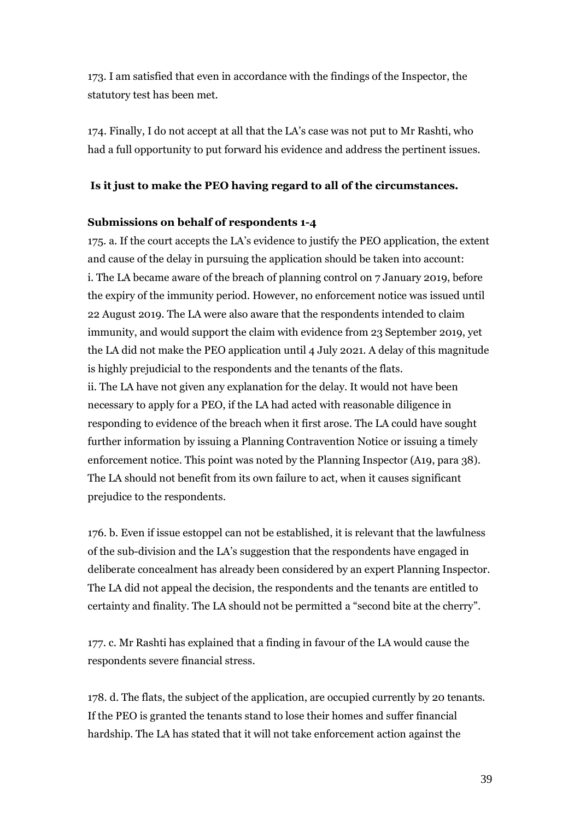173. I am satisfied that even in accordance with the findings of the Inspector, the statutory test has been met.

174. Finally, I do not accept at all that the LA's case was not put to Mr Rashti, who had a full opportunity to put forward his evidence and address the pertinent issues.

### **Is it just to make the PEO having regard to all of the circumstances.**

### **Submissions on behalf of respondents 1-4**

175. a. If the court accepts the LA's evidence to justify the PEO application, the extent and cause of the delay in pursuing the application should be taken into account: i. The LA became aware of the breach of planning control on 7 January 2019, before the expiry of the immunity period. However, no enforcement notice was issued until 22 August 2019. The LA were also aware that the respondents intended to claim immunity, and would support the claim with evidence from 23 September 2019, yet the LA did not make the PEO application until 4 July 2021. A delay of this magnitude is highly prejudicial to the respondents and the tenants of the flats. ii. The LA have not given any explanation for the delay. It would not have been necessary to apply for a PEO, if the LA had acted with reasonable diligence in responding to evidence of the breach when it first arose. The LA could have sought

further information by issuing a Planning Contravention Notice or issuing a timely enforcement notice. This point was noted by the Planning Inspector (A19, para 38). The LA should not benefit from its own failure to act, when it causes significant prejudice to the respondents.

176. b. Even if issue estoppel can not be established, it is relevant that the lawfulness of the sub-division and the LA's suggestion that the respondents have engaged in deliberate concealment has already been considered by an expert Planning Inspector. The LA did not appeal the decision, the respondents and the tenants are entitled to certainty and finality. The LA should not be permitted a "second bite at the cherry".

177. c. Mr Rashti has explained that a finding in favour of the LA would cause the respondents severe financial stress.

178. d. The flats, the subject of the application, are occupied currently by 20 tenants. If the PEO is granted the tenants stand to lose their homes and suffer financial hardship. The LA has stated that it will not take enforcement action against the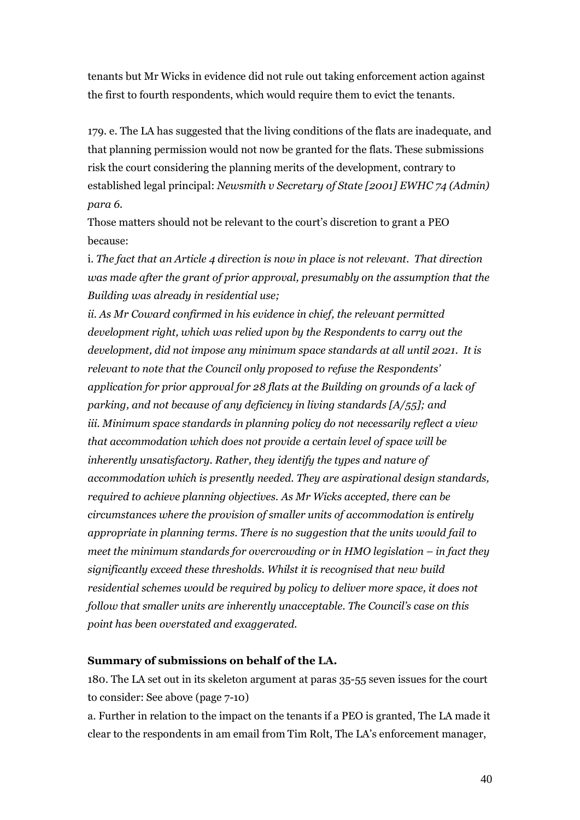tenants but Mr Wicks in evidence did not rule out taking enforcement action against the first to fourth respondents, which would require them to evict the tenants.

179. e. The LA has suggested that the living conditions of the flats are inadequate, and that planning permission would not now be granted for the flats. These submissions risk the court considering the planning merits of the development, contrary to established legal principal: *Newsmith v Secretary of State [2001] EWHC 74 (Admin) para 6.*

Those matters should not be relevant to the court's discretion to grant a PEO because:

i. *The fact that an Article 4 direction is now in place is not relevant. That direction was made after the grant of prior approval, presumably on the assumption that the Building was already in residential use;*

*ii. As Mr Coward confirmed in his evidence in chief, the relevant permitted development right, which was relied upon by the Respondents to carry out the development, did not impose any minimum space standards at all until 2021. It is relevant to note that the Council only proposed to refuse the Respondents' application for prior approval for 28 flats at the Building on grounds of a lack of parking, and not because of any deficiency in living standards [A/55]; and iii. Minimum space standards in planning policy do not necessarily reflect a view that accommodation which does not provide a certain level of space will be inherently unsatisfactory. Rather, they identify the types and nature of accommodation which is presently needed. They are aspirational design standards, required to achieve planning objectives. As Mr Wicks accepted, there can be circumstances where the provision of smaller units of accommodation is entirely appropriate in planning terms. There is no suggestion that the units would fail to meet the minimum standards for overcrowding or in HMO legislation – in fact they significantly exceed these thresholds. Whilst it is recognised that new build residential schemes would be required by policy to deliver more space, it does not follow that smaller units are inherently unacceptable. The Council's case on this point has been overstated and exaggerated.* 

#### **Summary of submissions on behalf of the LA.**

180. The LA set out in its skeleton argument at paras 35-55 seven issues for the court to consider: See above (page 7-10)

a. Further in relation to the impact on the tenants if a PEO is granted, The LA made it clear to the respondents in am email from Tim Rolt, The LA's enforcement manager,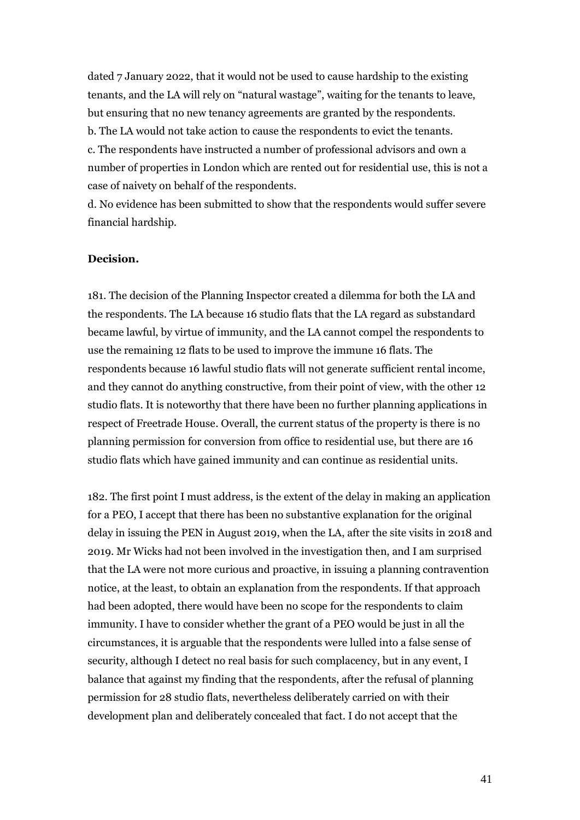dated 7 January 2022, that it would not be used to cause hardship to the existing tenants, and the LA will rely on "natural wastage", waiting for the tenants to leave, but ensuring that no new tenancy agreements are granted by the respondents. b. The LA would not take action to cause the respondents to evict the tenants.

c. The respondents have instructed a number of professional advisors and own a number of properties in London which are rented out for residential use, this is not a case of naivety on behalf of the respondents.

d. No evidence has been submitted to show that the respondents would suffer severe financial hardship.

#### **Decision.**

181. The decision of the Planning Inspector created a dilemma for both the LA and the respondents. The LA because 16 studio flats that the LA regard as substandard became lawful, by virtue of immunity, and the LA cannot compel the respondents to use the remaining 12 flats to be used to improve the immune 16 flats. The respondents because 16 lawful studio flats will not generate sufficient rental income, and they cannot do anything constructive, from their point of view, with the other 12 studio flats. It is noteworthy that there have been no further planning applications in respect of Freetrade House. Overall, the current status of the property is there is no planning permission for conversion from office to residential use, but there are 16 studio flats which have gained immunity and can continue as residential units.

182. The first point I must address, is the extent of the delay in making an application for a PEO, I accept that there has been no substantive explanation for the original delay in issuing the PEN in August 2019, when the LA, after the site visits in 2018 and 2019. Mr Wicks had not been involved in the investigation then, and I am surprised that the LA were not more curious and proactive, in issuing a planning contravention notice, at the least, to obtain an explanation from the respondents. If that approach had been adopted, there would have been no scope for the respondents to claim immunity. I have to consider whether the grant of a PEO would be just in all the circumstances, it is arguable that the respondents were lulled into a false sense of security, although I detect no real basis for such complacency, but in any event, I balance that against my finding that the respondents, after the refusal of planning permission for 28 studio flats, nevertheless deliberately carried on with their development plan and deliberately concealed that fact. I do not accept that the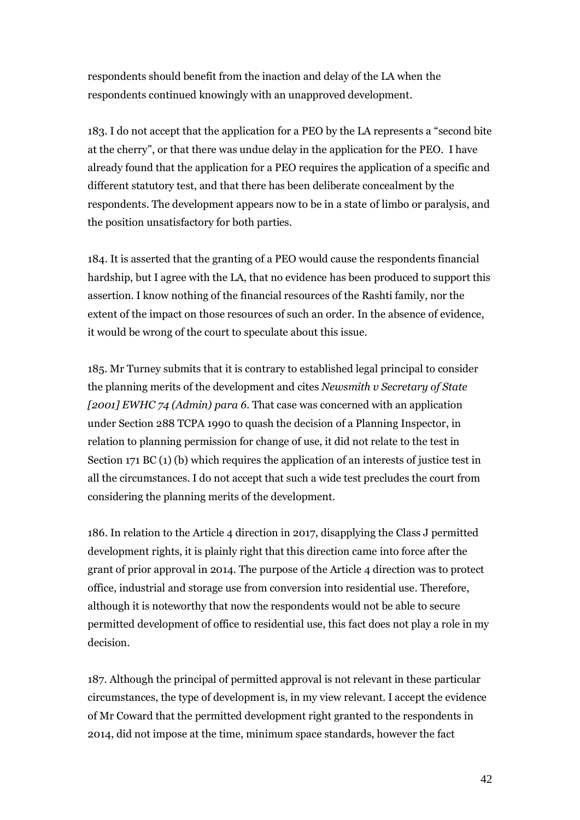respondents should benefit from the inaction and delay of the LA when the respondents continued knowingly with an unapproved development.

183. I do not accept that the application for a PEO by the LA represents a "second bite at the cherry", or that there was undue delay in the application for the PEO. I have already found that the application for a PEO requires the application of a specific and different statutory test, and that there has been deliberate concealment by the respondents. The development appears now to be in a state of limbo or paralysis, and the position unsatisfactory for both parties.

184. It is asserted that the granting of a PEO would cause the respondents financial hardship, but I agree with the LA, that no evidence has been produced to support this assertion. I know nothing of the financial resources of the Rashti family, nor the extent of the impact on those resources of such an order. In the absence of evidence, it would be wrong of the court to speculate about this issue.

185. Mr Turney submits that it is contrary to established legal principal to consider the planning merits of the development and cites *Newsmith v Secretary of State [2001] EWHC 74 (Admin) para 6.* That case was concerned with an application under Section 288 TCPA 1990 to quash the decision of a Planning Inspector, in relation to planning permission for change of use, it did not relate to the test in Section 171 BC (1) (b) which requires the application of an interests of justice test in all the circumstances. I do not accept that such a wide test precludes the court from considering the planning merits of the development.

186. In relation to the Article 4 direction in 2017, disapplying the Class J permitted development rights, it is plainly right that this direction came into force after the grant of prior approval in 2014. The purpose of the Article 4 direction was to protect office, industrial and storage use from conversion into residential use. Therefore, although it is noteworthy that now the respondents would not be able to secure permitted development of office to residential use, this fact does not play a role in my decision.

187. Although the principal of permitted approval is not relevant in these particular circumstances, the type of development is, in my view relevant. I accept the evidence of Mr Coward that the permitted development right granted to the respondents in 2014, did not impose at the time, minimum space standards, however the fact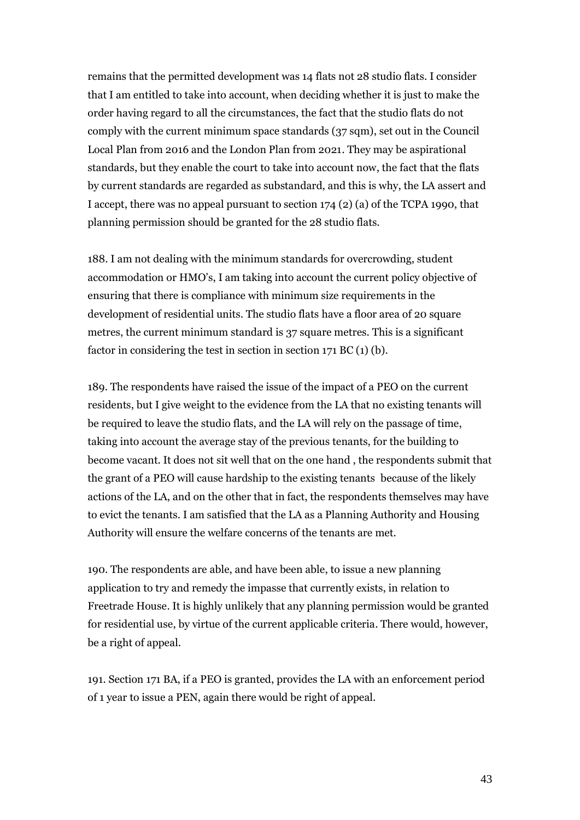remains that the permitted development was 14 flats not 28 studio flats. I consider that I am entitled to take into account, when deciding whether it is just to make the order having regard to all the circumstances, the fact that the studio flats do not comply with the current minimum space standards (37 sqm), set out in the Council Local Plan from 2016 and the London Plan from 2021. They may be aspirational standards, but they enable the court to take into account now, the fact that the flats by current standards are regarded as substandard, and this is why, the LA assert and I accept, there was no appeal pursuant to section 174 (2) (a) of the TCPA 1990, that planning permission should be granted for the 28 studio flats.

188. I am not dealing with the minimum standards for overcrowding, student accommodation or HMO's, I am taking into account the current policy objective of ensuring that there is compliance with minimum size requirements in the development of residential units. The studio flats have a floor area of 20 square metres, the current minimum standard is 37 square metres. This is a significant factor in considering the test in section in section 171 BC (1) (b).

189. The respondents have raised the issue of the impact of a PEO on the current residents, but I give weight to the evidence from the LA that no existing tenants will be required to leave the studio flats, and the LA will rely on the passage of time, taking into account the average stay of the previous tenants, for the building to become vacant. It does not sit well that on the one hand , the respondents submit that the grant of a PEO will cause hardship to the existing tenants because of the likely actions of the LA, and on the other that in fact, the respondents themselves may have to evict the tenants. I am satisfied that the LA as a Planning Authority and Housing Authority will ensure the welfare concerns of the tenants are met.

190. The respondents are able, and have been able, to issue a new planning application to try and remedy the impasse that currently exists, in relation to Freetrade House. It is highly unlikely that any planning permission would be granted for residential use, by virtue of the current applicable criteria. There would, however, be a right of appeal.

191. Section 171 BA, if a PEO is granted, provides the LA with an enforcement period of 1 year to issue a PEN, again there would be right of appeal.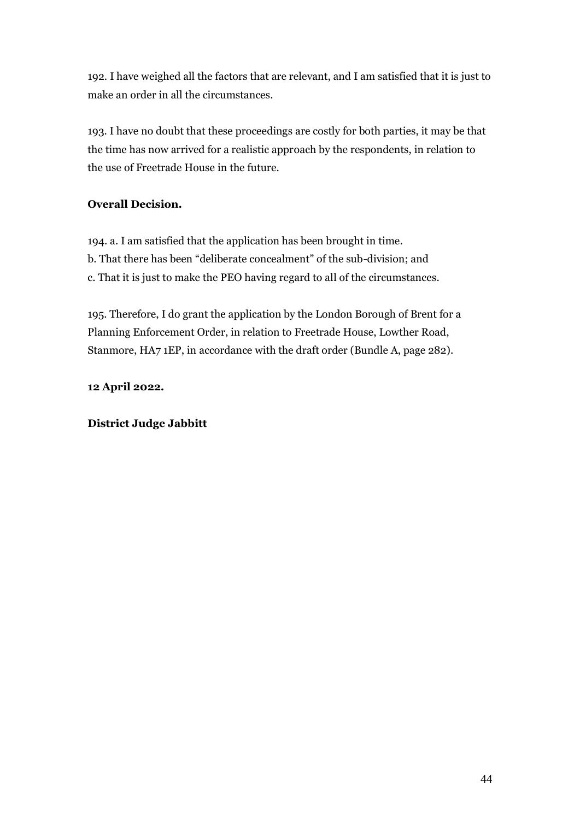192. I have weighed all the factors that are relevant, and I am satisfied that it is just to make an order in all the circumstances.

193. I have no doubt that these proceedings are costly for both parties, it may be that the time has now arrived for a realistic approach by the respondents, in relation to the use of Freetrade House in the future.

## **Overall Decision.**

194. a. I am satisfied that the application has been brought in time. b. That there has been "deliberate concealment" of the sub-division; and c. That it is just to make the PEO having regard to all of the circumstances.

195. Therefore, I do grant the application by the London Borough of Brent for a Planning Enforcement Order, in relation to Freetrade House, Lowther Road, Stanmore, HA7 1EP, in accordance with the draft order (Bundle A, page 282).

**12 April 2022.**

## **District Judge Jabbitt**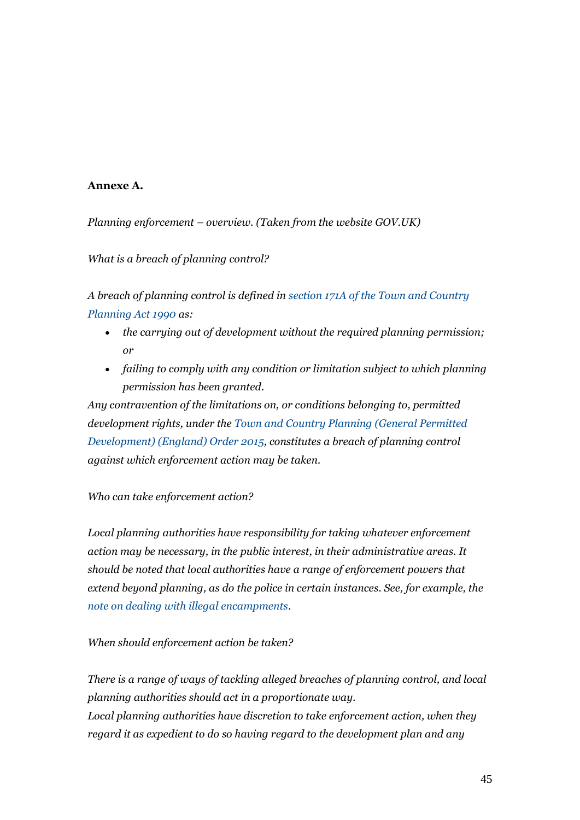## **Annexe A.**

*Planning enforcement – overview. (Taken from the website GOV.UK)*

*What is a breach of planning control?*

*A breach of planning control is defined in [section 171A of the Town and Country](http://www.legislation.gov.uk/ukpga/1990/8/section/171A)  [Planning Act 1990](http://www.legislation.gov.uk/ukpga/1990/8/section/171A) as:*

- *the carrying out of development without the required planning permission; or*
- *failing to comply with any condition or limitation subject to which planning permission has been granted.*

*Any contravention of the limitations on, or conditions belonging to, permitted development rights, under the [Town and Country Planning \(General Permitted](http://www.legislation.gov.uk/uksi/2015/596/contents/made)  [Development\) \(England\) Order 2015,](http://www.legislation.gov.uk/uksi/2015/596/contents/made) constitutes a breach of planning control against which enforcement action may be taken.*

## *Who can take enforcement action?*

*Local planning authorities have responsibility for taking whatever enforcement action may be necessary, in the public interest, in their administrative areas. It should be noted that local authorities have a range of enforcement powers that extend beyond planning, as do the police in certain instances. See, for example, the [note on dealing with illegal encampments.](https://www.gov.uk/government/publications/dealing-with-illegal-and-unauthorised-encampments)*

### *When should enforcement action be taken?*

*There is a range of ways of tackling alleged breaches of planning control, and local planning authorities should act in a proportionate way. Local planning authorities have discretion to take enforcement action, when they regard it as expedient to do so having regard to the development plan and any*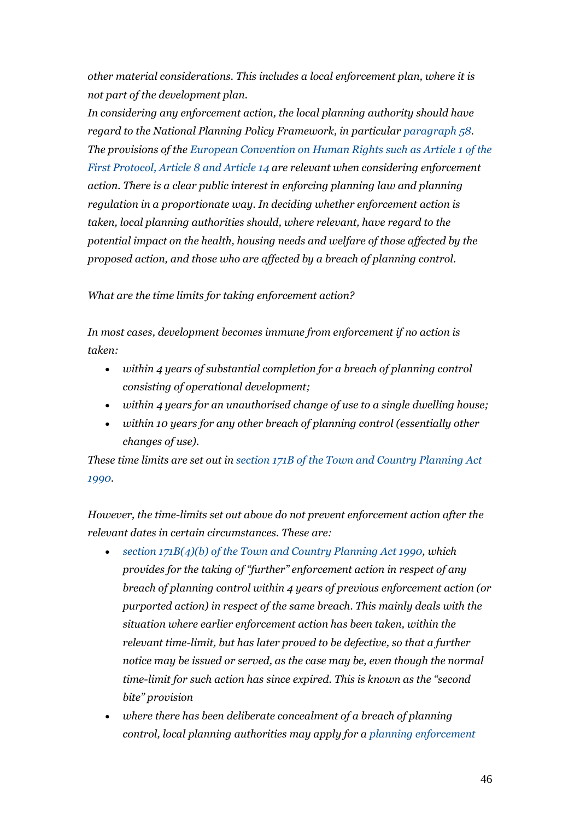*other material considerations. This includes a local enforcement plan, where it is not part of the development plan.*

*In considering any enforcement action, the local planning authority should have regard to the National Planning Policy Framework, in particular [paragraph](https://gov.uk/guidance/national-planning-policy-framework/4-decision-making/#para58) 58. The provisions of the European Convention on [Human Rights such as Article 1 of the](http://www.echr.coe.int/Documents/Convention_ENG.pdf)  [First Protocol, Article 8 and Article 14](http://www.echr.coe.int/Documents/Convention_ENG.pdf) are relevant when considering enforcement action. There is a clear public interest in enforcing planning law and planning regulation in a proportionate way. In deciding whether enforcement action is taken, local planning authorities should, where relevant, have regard to the potential impact on the health, housing needs and welfare of those affected by the proposed action, and those who are affected by a breach of planning control.*

### *What are the time limits for taking enforcement action?*

*In most cases, development becomes immune from enforcement if no action is taken:*

- *within 4 years of substantial completion for a breach of planning control consisting of operational development;*
- *within 4 years for an unauthorised change of use to a single dwelling house;*
- *within 10 years for any other breach of planning control (essentially other changes of use).*

*These time limits are set out in [section 171B of the Town and Country Planning](http://www.legislation.gov.uk/ukpga/1990/8/section/171B) Act [1990.](http://www.legislation.gov.uk/ukpga/1990/8/section/171B)*

*However, the time-limits set out above do not prevent enforcement action after the relevant dates in certain circumstances. These are:*

- *[section 171B\(4\)\(b\) of the Town and Country Planning Act 1990,](http://www.legislation.gov.uk/ukpga/1990/8/section/171B) which provides for the taking of "further" enforcement action in respect of any breach of planning control within 4 years of previous enforcement action (or purported action) in respect of the same breach. This mainly deals with the situation where earlier enforcement action has been taken, within the relevant time-limit, but has later proved to be defective, so that a further notice may be issued or served, as the case may be, even though the normal time-limit for such action has since expired. This is known as the "second bite" provision*
- *where there has been deliberate concealment of a breach of planning control, local planning authorities may apply for a [planning enforcement](https://www.gov.uk/guidance/ensuring-effective-enforcement#Planning-Enforcement-Order)*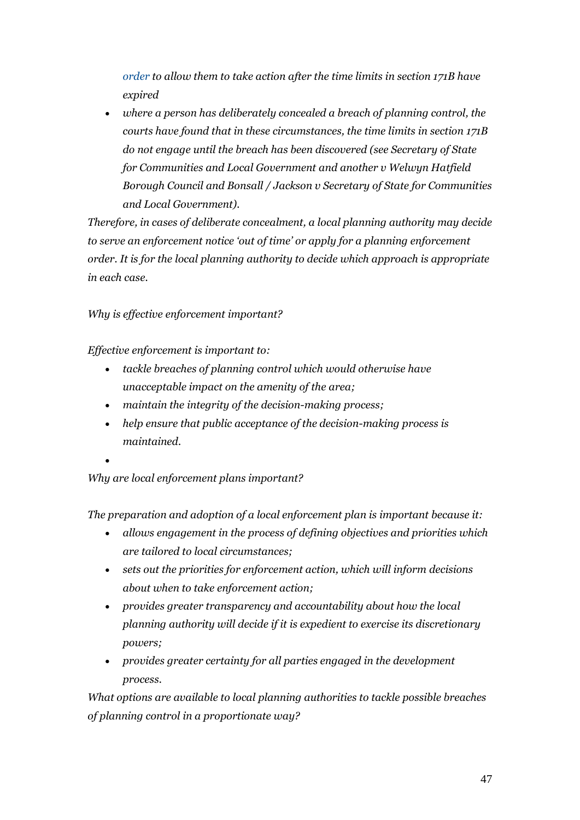*[order](https://www.gov.uk/guidance/ensuring-effective-enforcement#Planning-Enforcement-Order) to allow them to take action after the time limits in section 171B have expired*

• *where a person has deliberately concealed a breach of planning control, the courts have found that in these circumstances, the time limits in section 171B do not engage until the breach has been discovered (see Secretary of State for Communities and Local Government and another v Welwyn Hatfield Borough Council and Bonsall / Jackson v Secretary of State for Communities and Local Government).*

*Therefore, in cases of deliberate concealment, a local planning authority may decide to serve an enforcement notice 'out of time' or apply for a planning enforcement order. It is for the local planning authority to decide which approach is appropriate in each case.*

## *Why is effective enforcement important?*

*Effective enforcement is important to:*

- *tackle breaches of planning control which would otherwise have unacceptable impact on the amenity of the area;*
- *maintain the integrity of the decision-making process;*
- *help ensure that public acceptance of the decision-making process is maintained.*
- •

*Why are local enforcement plans important?*

*The preparation and adoption of a local enforcement plan is important because it:*

- *allows engagement in the process of defining objectives and priorities which are tailored to local circumstances;*
- *sets out the priorities for enforcement action, which will inform decisions about when to take enforcement action;*
- *provides greater transparency and accountability about how the local planning authority will decide if it is expedient to exercise its discretionary powers;*
- *provides greater certainty for all parties engaged in the development process.*

*What options are available to local planning authorities to tackle possible breaches of planning control in a proportionate way?*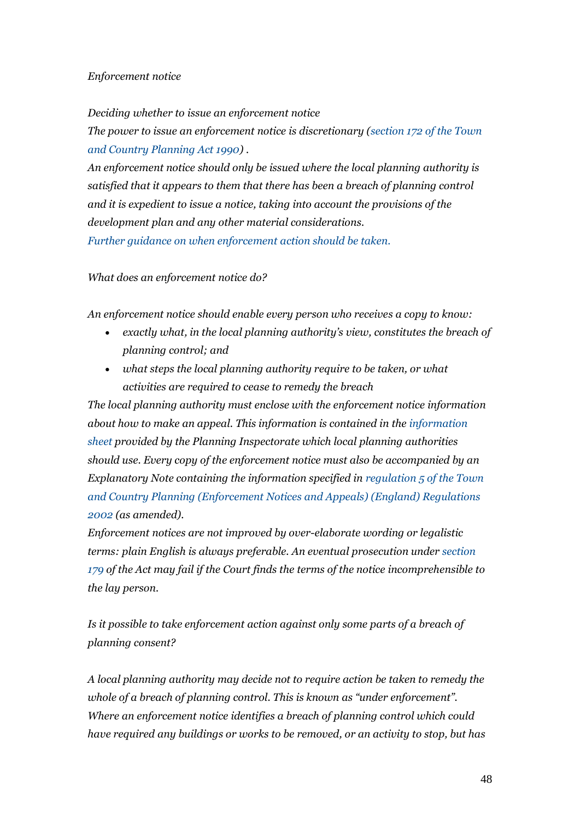### *Enforcement notice*

*Deciding whether to issue an enforcement notice The power to issue an enforcement notice is discretionary (section 172 [of the Town](http://www.legislation.gov.uk/ukpga/1990/8/section/172)  [and Country Planning Act 1990\)](http://www.legislation.gov.uk/ukpga/1990/8/section/172) .*

*An enforcement notice should only be issued where the local planning authority is satisfied that it appears to them that there has been a breach of planning control and it is expedient to issue a notice, taking into account the provisions of the development plan and any other material considerations. [Further guidance on when enforcement action should be taken.](https://www.gov.uk/guidance/ensuring-effective-enforcement#When-should-enforcement-action-be-taken)*

*What does an enforcement notice do?*

*An enforcement notice should enable every person who receives a copy to know:*

- *exactly what, in the local planning authority's view, constitutes the breach of planning control; and*
- *what steps the local planning authority require to be taken, or what activities are required to cease to remedy the breach*

*The local planning authority must enclose with the enforcement notice information about how to make an appeal. This information is contained in the [information](https://www.gov.uk/government/publications/enforcement-appeals-appeal-information-sheet-for-local-planning-authorities)  [sheet](https://www.gov.uk/government/publications/enforcement-appeals-appeal-information-sheet-for-local-planning-authorities) provided by the Planning Inspectorate which local planning authorities should use. Every copy of the enforcement notice must also be accompanied by an Explanatory Note containing the information specified in [regulation 5 of the Town](http://www.legislation.gov.uk/uksi/2002/2682/regulation/5/made)  [and Country Planning \(Enforcement Notices and](http://www.legislation.gov.uk/uksi/2002/2682/regulation/5/made) Appeals) (England) Regulations [2002](http://www.legislation.gov.uk/uksi/2002/2682/regulation/5/made) (as amended).*

*Enforcement notices are not improved by over-elaborate wording or legalistic terms: plain English is always preferable. An eventual prosecution unde[r section](http://www.legislation.gov.uk/ukpga/1990/8/section/179) [179](http://www.legislation.gov.uk/ukpga/1990/8/section/179) of the Act may fail if the Court finds the terms of the notice incomprehensible to the lay person.*

*Is it possible to take enforcement action against only some parts of a breach of planning consent?*

*A local planning authority may decide not to require action be taken to remedy the whole of a breach of planning control. This is known as "under enforcement". Where an enforcement notice identifies a breach of planning control which could have required any buildings or works to be removed, or an activity to stop, but has*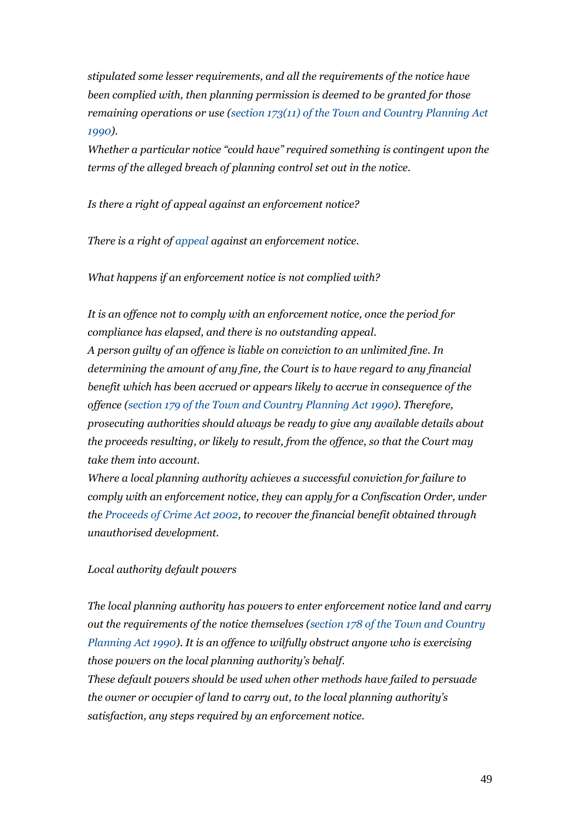*stipulated some lesser requirements, and all the requirements of the notice have been complied with, then planning permission is deemed to be granted for those remaining operations or use [\(section 173\(11\) of the Town and Country Planning Act](http://www.legislation.gov.uk/ukpga/1990/8/section/173)  [1990\)](http://www.legislation.gov.uk/ukpga/1990/8/section/173).*

*Whether a particular notice "could have" required something is contingent upon the terms of the alleged breach of planning control set out in the notice.*

*Is there a right of appeal against an enforcement notice?*

*There is a right of [appeal](https://www.gov.uk/guidance/appeals#Enforcement-appeal) against an enforcement notice.*

*What happens if an enforcement notice is not complied with?*

*It is an offence not to comply with an enforcement notice, once the period for compliance has elapsed, and there is no outstanding appeal. A person guilty of an offence is liable on conviction to an unlimited fine. In determining the amount of any fine, the Court is to have regard to any financial benefit which has been accrued or appears likely to accrue in consequence of the offence [\(section 179 of the Town and Country Planning Act 1990\)](http://www.legislation.gov.uk/ukpga/1990/8/section/179). Therefore, prosecuting authorities should always be ready to give any available details about the proceeds resulting, or likely to result, from the offence, so that the Court may take them into account.*

*Where a local planning authority achieves a successful conviction for failure to comply with an enforcement notice, they can apply for a Confiscation Order, under the [Proceeds of Crime Act 2002,](http://www.legislation.gov.uk/ukpga/2002/29/part/2) to recover the financial benefit obtained through unauthorised development.*

### *Local authority default powers*

*The local planning authority has powers to enter enforcement notice land and carry out the requirements of the notice themselves [\(section 178 of the Town and Country](http://www.legislation.gov.uk/ukpga/1990/8/section/178)  [Planning Act 1990\)](http://www.legislation.gov.uk/ukpga/1990/8/section/178). It is an offence to wilfully obstruct anyone who is exercising those powers on the local planning authority's behalf.*

*These default powers should be used when other methods have failed to persuade the owner or occupier of land to carry out, to the local planning authority's satisfaction, any steps required by an enforcement notice.*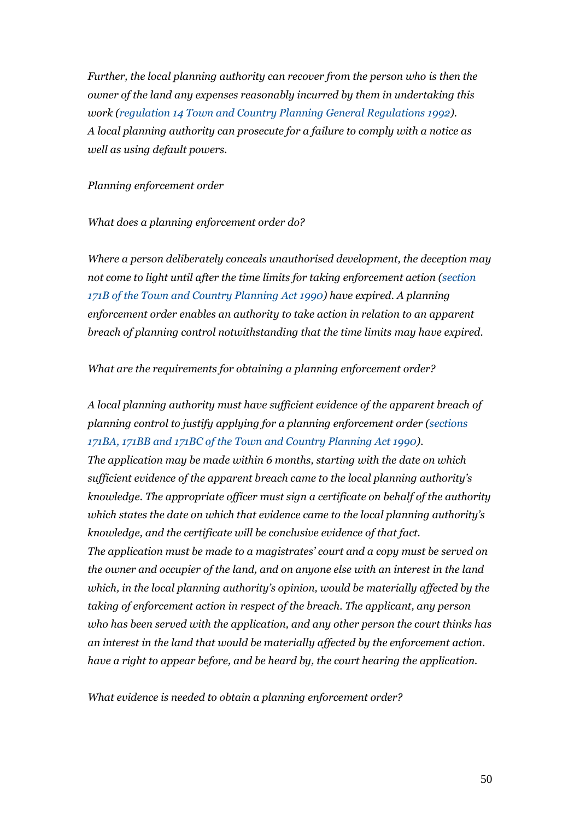*Further, the local planning authority can recover from the person who is then the owner of the land any expenses reasonably incurred by them in undertaking this work [\(regulation 14 Town and Country Planning General Regulations 1992\)](http://www.legislation.gov.uk/uksi/1992/1492/regulation/14/made). A local planning authority can prosecute for a failure to comply with a notice as well as using default powers.*

#### *Planning enforcement order*

#### *What does a planning enforcement order do?*

*Where a person deliberately conceals unauthorised development, the deception may not come to light until after the time limits for taking enforcement action (section [171B of the Town and Country Planning](http://www.legislation.gov.uk/ukpga/1990/8/section/171B) Act 1990) have expired. A planning enforcement order enables an authority to take action in relation to an apparent breach of planning control notwithstanding that the time limits may have expired.*

*What are the requirements for obtaining a planning enforcement order?*

*A local planning authority must have sufficient evidence of the apparent breach of planning control to justify applying for a planning enforcement order [\(sections](http://www.legislation.gov.uk/ukpga/2011/20/section/124/enacted)  171BA, 171BB and 171BC of the Town and [Country Planning Act 1990\)](http://www.legislation.gov.uk/ukpga/2011/20/section/124/enacted).*

*The application may be made within 6 months, starting with the date on which sufficient evidence of the apparent breach came to the local planning authority's knowledge. The appropriate officer must sign a certificate on behalf of the authority which states the date on which that evidence came to the local planning authority's knowledge, and the certificate will be conclusive evidence of that fact. The application must be made to a magistrates' court and a copy must be served on the owner and occupier of the land, and on anyone else with an interest in the land which, in the local planning authority's opinion, would be materially affected by the taking of enforcement action in respect of the breach. The applicant, any person who has been served with the application, and any other person the court thinks has an interest in the land that would be materially affected by the enforcement action. have a right to appear before, and be heard by, the court hearing the application.*

*What evidence is needed to obtain a planning enforcement order?*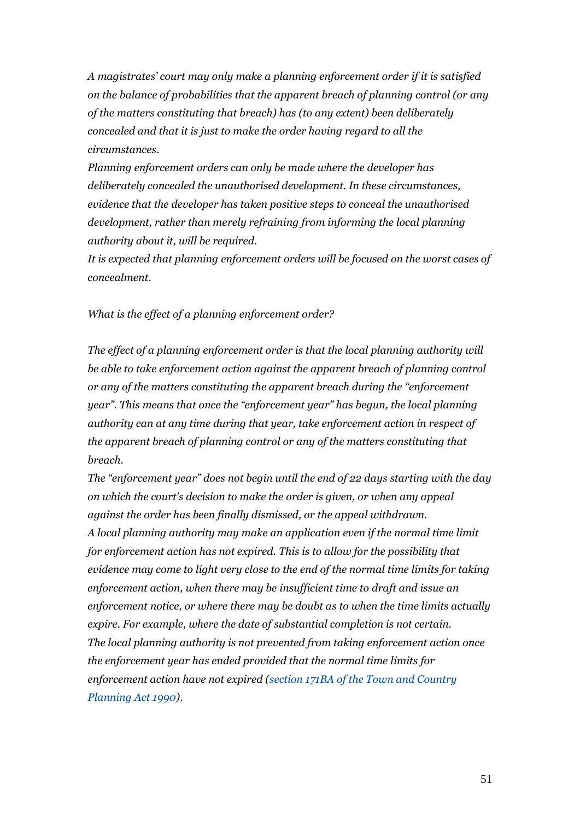*A magistrates' court may only make a planning enforcement order if it is satisfied on the balance of probabilities that the apparent breach of planning control (or any of the matters constituting that breach) has (to any extent) been deliberately concealed and that it is just to make the order having regard to all the circumstances.*

*Planning enforcement orders can only be made where the developer has deliberately concealed the unauthorised development. In these circumstances, evidence that the developer has taken positive steps to conceal the unauthorised development, rather than merely refraining from informing the local planning authority about it, will be required.*

*It is expected that planning enforcement orders will be focused on the worst cases of concealment.*

*What is the effect of a planning enforcement order?*

*The effect of a planning enforcement order is that the local planning authority will be able to take enforcement action against the apparent breach of planning control or any of the matters constituting the apparent breach during the "enforcement year". This means that once the "enforcement year" has begun, the local planning authority can at any time during that year, take enforcement action in respect of the apparent breach of planning control or any of the matters constituting that breach.*

*The "enforcement year" does not begin until the end of 22 days starting with the day on which the court's decision to make the order is given, or when any appeal against the order has been finally dismissed, or the appeal withdrawn. A local planning authority may make an application even if the normal time limit for enforcement action has not expired. This is to allow for the possibility that evidence may come to light very close to the end of the normal time limits for taking enforcement action, when there may be insufficient time to draft and issue an enforcement notice, or where there may be doubt as to when the time limits actually expire. For example, where the date of substantial completion is not certain. The local planning authority is not prevented from taking enforcement action once the enforcement year has ended provided that the normal time limits for enforcement action have not expired [\(section 171BA of the Town and Country](http://www.legislation.gov.uk/ukpga/2011/20/section/124/enacted)  [Planning Act 1990\)](http://www.legislation.gov.uk/ukpga/2011/20/section/124/enacted).*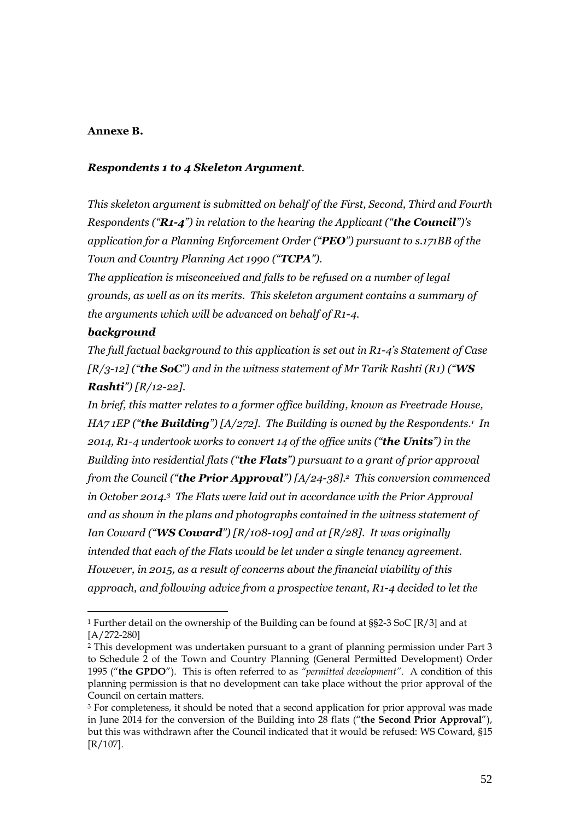### **Annexe B.**

### *Respondents 1 to 4 Skeleton Argument.*

*This skeleton argument is submitted on behalf of the First, Second, Third and Fourth Respondents ("R1-4") in relation to the hearing the Applicant ("the Council")'s application for a Planning Enforcement Order ("PEO") pursuant to s.171BB of the Town and Country Planning Act 1990 ("TCPA").* 

*The application is misconceived and falls to be refused on a number of legal grounds, as well as on its merits. This skeleton argument contains a summary of the arguments which will be advanced on behalf of R1-4.*

### *background*

*The full factual background to this application is set out in R1-4's Statement of Case [R/3-12] ("the SoC") and in the witness statement of Mr Tarik Rashti (R1) ("WS Rashti") [R/12-22].* 

*In brief, this matter relates to a former office building, known as Freetrade House, HA7 1EP ("the Building") [A/272]. The Building is owned by the Respondents.<sup>1</sup> In 2014, R1-4 undertook works to convert 14 of the office units ("the Units") in the Building into residential flats ("the Flats") pursuant to a grant of prior approval from the Council ("the Prior Approval") [A/24-38]. <sup>2</sup> This conversion commenced in October 2014.<sup>3</sup> The Flats were laid out in accordance with the Prior Approval and as shown in the plans and photographs contained in the witness statement of Ian Coward ("WS Coward") [R/108-109] and at [R/28]. It was originally intended that each of the Flats would be let under a single tenancy agreement. However, in 2015, as a result of concerns about the financial viability of this approach, and following advice from a prospective tenant, R1-4 decided to let the* 

<sup>1</sup> Further detail on the ownership of the Building can be found at §§2-3 SoC [R/3] and at [A/272-280]

<sup>2</sup> This development was undertaken pursuant to a grant of planning permission under Part 3 to Schedule 2 of the Town and Country Planning (General Permitted Development) Order 1995 ("**the GPDO**"). This is often referred to as *"permitted development"*. A condition of this planning permission is that no development can take place without the prior approval of the Council on certain matters.

<sup>&</sup>lt;sup>3</sup> For completeness, it should be noted that a second application for prior approval was made in June 2014 for the conversion of the Building into 28 flats ("**the Second Prior Approval**"), but this was withdrawn after the Council indicated that it would be refused: WS Coward, §15 [R/107].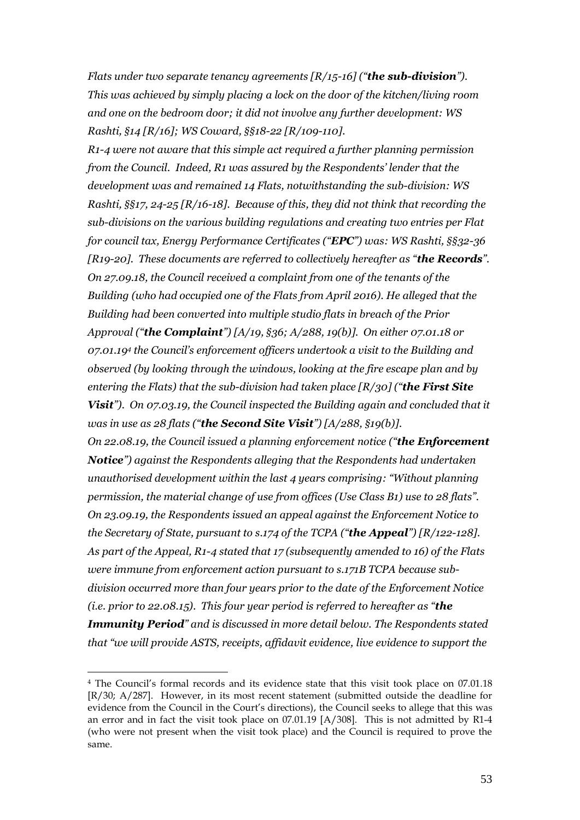*Flats under two separate tenancy agreements [R/15-16] ("the sub-division"). This was achieved by simply placing a lock on the door of the kitchen/living room and one on the bedroom door; it did not involve any further development: WS Rashti, §14 [R/16]; WS Coward, §§18-22 [R/109-110].*

*R1-4 were not aware that this simple act required a further planning permission from the Council. Indeed, R1 was assured by the Respondents' lender that the development was and remained 14 Flats, notwithstanding the sub-division: WS Rashti, §§17, 24-25 [R/16-18]. Because of this, they did not think that recording the sub-divisions on the various building regulations and creating two entries per Flat for council tax, Energy Performance Certificates ("EPC") was: WS Rashti, §§32-36 [R19-20]. These documents are referred to collectively hereafter as "the Records". On 27.09.18, the Council received a complaint from one of the tenants of the Building (who had occupied one of the Flats from April 2016). He alleged that the Building had been converted into multiple studio flats in breach of the Prior Approval ("the Complaint") [A/19, §36; A/288, 19(b)]. On either 07.01.18 or 07.01.19<sup>4</sup> the Council's enforcement officers undertook a visit to the Building and observed (by looking through the windows, looking at the fire escape plan and by entering the Flats) that the sub-division had taken place [R/30] ("the First Site Visit"). On 07.03.19, the Council inspected the Building again and concluded that it was in use as 28 flats ("the Second Site Visit") [A/288, §19(b)].* 

*On 22.08.19, the Council issued a planning enforcement notice ("the Enforcement Notice") against the Respondents alleging that the Respondents had undertaken unauthorised development within the last 4 years comprising: "Without planning permission, the material change of use from offices (Use Class B1) use to 28 flats". On 23.09.19, the Respondents issued an appeal against the Enforcement Notice to the Secretary of State, pursuant to s.174 of the TCPA ("the Appeal") [R/122-128]. As part of the Appeal, R1-4 stated that 17 (subsequently amended to 16) of the Flats were immune from enforcement action pursuant to s.171B TCPA because subdivision occurred more than four years prior to the date of the Enforcement Notice (i.e. prior to 22.08.15). This four year period is referred to hereafter as "the Immunity Period" and is discussed in more detail below. The Respondents stated that "we will provide ASTS, receipts, affidavit evidence, live evidence to support the* 

<sup>4</sup> The Council's formal records and its evidence state that this visit took place on 07.01.18 [R/30; A/287]. However, in its most recent statement (submitted outside the deadline for evidence from the Council in the Court's directions), the Council seeks to allege that this was an error and in fact the visit took place on 07.01.19 [A/308]. This is not admitted by R1-4 (who were not present when the visit took place) and the Council is required to prove the same.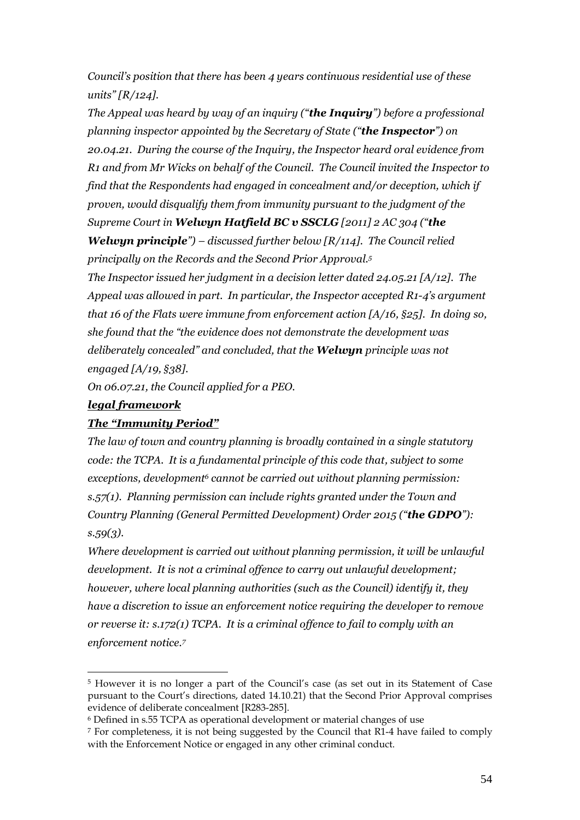*Council's position that there has been 4 years continuous residential use of these units" [R/124].*

*The Appeal was heard by way of an inquiry ("the Inquiry") before a professional planning inspector appointed by the Secretary of State ("the Inspector") on 20.04.21. During the course of the Inquiry, the Inspector heard oral evidence from R1 and from Mr Wicks on behalf of the Council. The Council invited the Inspector to find that the Respondents had engaged in concealment and/or deception, which if proven, would disqualify them from immunity pursuant to the judgment of the Supreme Court in Welwyn Hatfield BC v SSCLG [2011] 2 AC 304 ("the* 

*Welwyn principle") – discussed further below [R/114]. The Council relied principally on the Records and the Second Prior Approval.<sup>5</sup>*

*The Inspector issued her judgment in a decision letter dated 24.05.21 [A/12]. The Appeal was allowed in part. In particular, the Inspector accepted R1-4's argument that 16 of the Flats were immune from enforcement action [A/16, §25]. In doing so, she found that the "the evidence does not demonstrate the development was deliberately concealed" and concluded, that the Welwyn principle was not engaged [A/19, §38].*

*On 06.07.21, the Council applied for a PEO.* 

### *legal framework*

### *The "Immunity Period"*

*The law of town and country planning is broadly contained in a single statutory code: the TCPA. It is a fundamental principle of this code that, subject to some exceptions, development<sup>6</sup> cannot be carried out without planning permission: s.57(1). Planning permission can include rights granted under the Town and Country Planning (General Permitted Development) Order 2015 ("the GDPO"): s.59(3).*

*Where development is carried out without planning permission, it will be unlawful development. It is not a criminal offence to carry out unlawful development; however, where local planning authorities (such as the Council) identify it, they have a discretion to issue an enforcement notice requiring the developer to remove or reverse it: s.172(1) TCPA. It is a criminal offence to fail to comply with an enforcement notice.<sup>7</sup>*

<sup>5</sup> However it is no longer a part of the Council's case (as set out in its Statement of Case pursuant to the Court's directions, dated 14.10.21) that the Second Prior Approval comprises evidence of deliberate concealment [R283-285].

<sup>6</sup> Defined in s.55 TCPA as operational development or material changes of use

<sup>7</sup> For completeness, it is not being suggested by the Council that R1-4 have failed to comply with the Enforcement Notice or engaged in any other criminal conduct.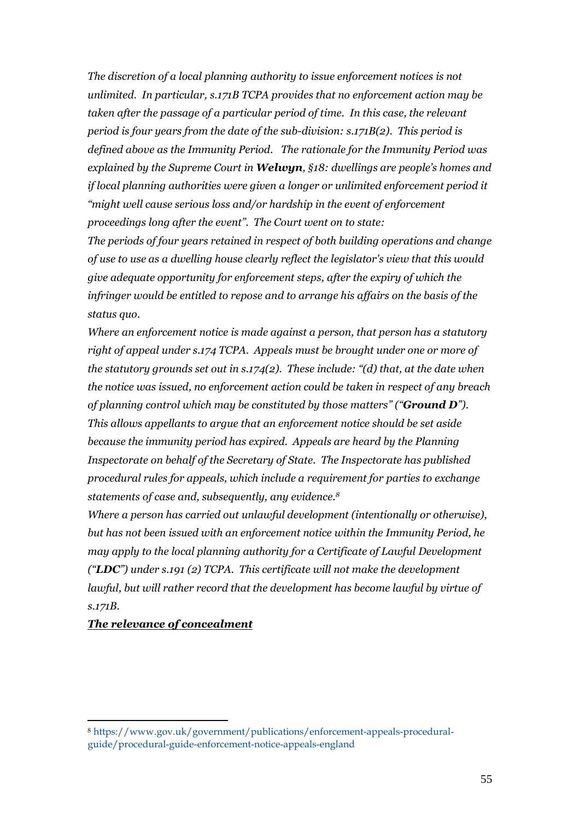*The discretion of a local planning authority to issue enforcement notices is not unlimited. In particular, s.171B TCPA provides that no enforcement action may be taken after the passage of a particular period of time. In this case, the relevant period is four years from the date of the sub-division: s.171B(2). This period is defined above as the Immunity Period. The rationale for the Immunity Period was explained by the Supreme Court in Welwyn, §18: dwellings are people's homes and if local planning authorities were given a longer or unlimited enforcement period it "might well cause serious loss and/or hardship in the event of enforcement proceedings long after the event". The Court went on to state:*

*The periods of four years retained in respect of both building operations and change of use to use as a dwelling house clearly reflect the legislator's view that this would give adequate opportunity for enforcement steps, after the expiry of which the infringer would be entitled to repose and to arrange his affairs on the basis of the status quo.*

*Where an enforcement notice is made against a person, that person has a statutory right of appeal under s.174 TCPA. Appeals must be brought under one or more of the statutory grounds set out in s.174(2). These include: "(d) that, at the date when the notice was issued, no enforcement action could be taken in respect of any breach of planning control which may be constituted by those matters" ("Ground D"). This allows appellants to argue that an enforcement notice should be set aside because the immunity period has expired. Appeals are heard by the Planning Inspectorate on behalf of the Secretary of State. The Inspectorate has published procedural rules for appeals, which include a requirement for parties to exchange statements of case and, subsequently, any evidence.<sup>8</sup>*

*Where a person has carried out unlawful development (intentionally or otherwise), but has not been issued with an enforcement notice within the Immunity Period, he may apply to the local planning authority for a Certificate of Lawful Development ("LDC") under s.191 (2) TCPA. This certificate will not make the development lawful, but will rather record that the development has become lawful by virtue of s.171B.*

### *The relevance of concealment*

<sup>8</sup> [https://www.gov.uk/government/publications/enforcement-appeals-procedural](https://www.gov.uk/government/publications/enforcement-appeals-procedural-guide/procedural-guide-enforcement-notice-appeals-england)[guide/procedural-guide-enforcement-notice-appeals-england](https://www.gov.uk/government/publications/enforcement-appeals-procedural-guide/procedural-guide-enforcement-notice-appeals-england)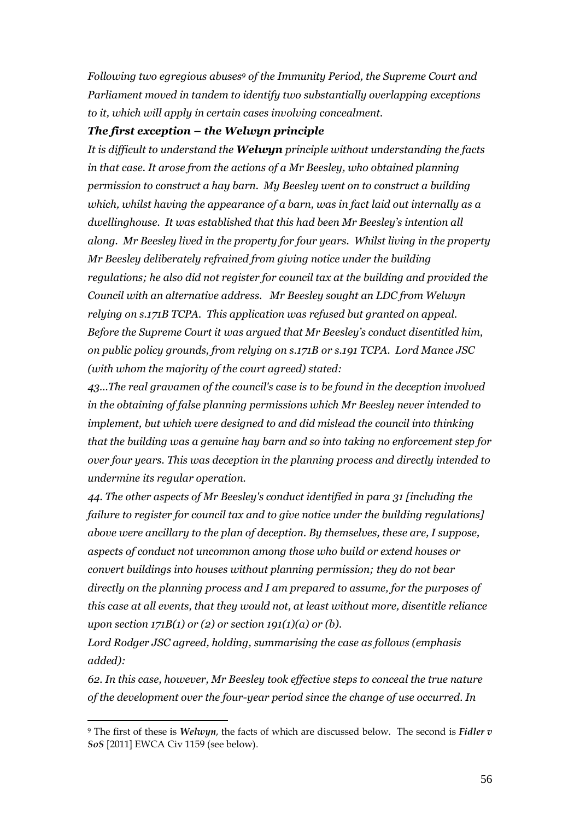*Following two egregious abuses<sup>9</sup> of the Immunity Period, the Supreme Court and Parliament moved in tandem to identify two substantially overlapping exceptions to it, which will apply in certain cases involving concealment.*

#### *The first exception – the Welwyn principle*

*It is difficult to understand the Welwyn principle without understanding the facts in that case. It arose from the actions of a Mr Beesley, who obtained planning permission to construct a hay barn. My Beesley went on to construct a building which, whilst having the appearance of a barn, was in fact laid out internally as a dwellinghouse. It was established that this had been Mr Beesley's intention all along. Mr Beesley lived in the property for four years. Whilst living in the property Mr Beesley deliberately refrained from giving notice under the building regulations; he also did not register for council tax at the building and provided the Council with an alternative address. Mr Beesley sought an LDC from Welwyn relying on s.171B TCPA. This application was refused but granted on appeal. Before the Supreme Court it was argued that Mr Beesley's conduct disentitled him, on public policy grounds, from relying on s.171B or s.191 TCPA. Lord Mance JSC (with whom the majority of the court agreed) stated:*

*43…The real gravamen of the council's case is to be found in the deception involved in the obtaining of false planning permissions which Mr Beesley never intended to implement, but which were designed to and did mislead the council into thinking that the building was a genuine hay barn and so into taking no enforcement step for over four years. This was deception in the planning process and directly intended to undermine its regular operation.*

*44. The other aspects of Mr Beesley's conduct identified in para 31 [including the failure to register for council tax and to give notice under the building regulations] above were ancillary to the plan of deception. By themselves, these are, I suppose, aspects of conduct not uncommon among those who build or extend houses or convert buildings into houses without planning permission; they do not bear directly on the planning process and I am prepared to assume, for the purposes of this case at all events, that they would not, at least without more, disentitle reliance upon section 171B(1) or (2) or section 191(1)(a) or (b).*

*Lord Rodger JSC agreed, holding, summarising the case as follows (emphasis added):*

*62. In this case, however, Mr Beesley took effective steps to conceal the true nature of the development over the four-year period since the change of use occurred. In* 

<sup>9</sup> The first of these is *Welwyn*, the facts of which are discussed below. The second is *Fidler v SoS* [2011] EWCA Civ 1159 (see below).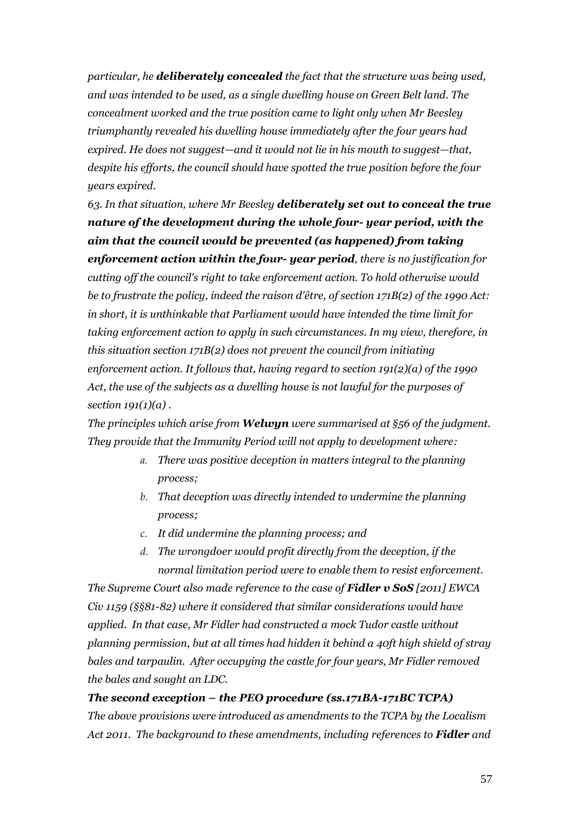*particular, he deliberately concealed the fact that the structure was being used, and was intended to be used, as a single dwelling house on Green Belt land. The concealment worked and the true position came to light only when Mr Beesley triumphantly revealed his dwelling house immediately after the four years had expired. He does not suggest—and it would not lie in his mouth to suggest—that, despite his efforts, the council should have spotted the true position before the four years expired.* 

*63. In that situation, where Mr Beesley deliberately set out to conceal the true nature of the development during the whole four- year period, with the aim that the council would be prevented (as happened) from taking enforcement action within the four- year period, there is no justification for cutting off the council's right to take enforcement action. To hold otherwise would be to frustrate the policy, indeed the raison d'être, of section 171B(2) of the 1990 Act: in short, it is unthinkable that Parliament would have intended the time limit for taking enforcement action to apply in such circumstances. In my view, therefore, in this situation section 171B(2) does not prevent the council from initiating enforcement action. It follows that, having regard to section 191(2)(a) of the 1990 Act, the use of the subjects as a dwelling house is not lawful for the purposes of section 191(1)(a) .* 

*The principles which arise from Welwyn were summarised at §56 of the judgment. They provide that the Immunity Period will not apply to development where:*

- *a. There was positive deception in matters integral to the planning process;*
- *b. That deception was directly intended to undermine the planning process;*
- *c. It did undermine the planning process; and*
- *d. The wrongdoer would profit directly from the deception, if the normal limitation period were to enable them to resist enforcement.*

*The Supreme Court also made reference to the case of Fidler v SoS [2011] EWCA Civ 1159 (§§81-82) where it considered that similar considerations would have applied. In that case, Mr Fidler had constructed a mock Tudor castle without planning permission, but at all times had hidden it behind a 40ft high shield of stray bales and tarpaulin. After occupying the castle for four years, Mr Fidler removed the bales and sought an LDC.* 

# *The second exception – the PEO procedure (ss.171BA-171BC TCPA) The above provisions were introduced as amendments to the TCPA by the Localism Act 2011. The background to these amendments, including references to Fidler and*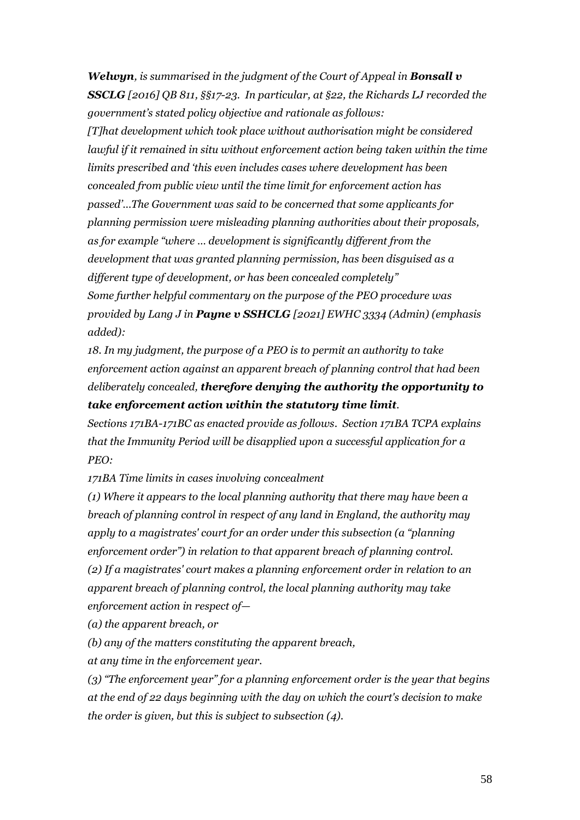*Welwyn, is summarised in the judgment of the Court of Appeal in Bonsall v SSCLG [2016] QB 811, §§17-23. In particular, at §22, the Richards LJ recorded the government's stated policy objective and rationale as follows:*

*[T]hat development which took place without authorisation might be considered lawful if it remained in situ without enforcement action being taken within the time limits prescribed and 'this even includes cases where development has been concealed from public view until the time limit for enforcement action has passed'…The Government was said to be concerned that some applicants for planning permission were misleading planning authorities about their proposals, as for example "where … development is significantly different from the development that was granted planning permission, has been disguised as a different type of development, or has been concealed completely" Some further helpful commentary on the purpose of the PEO procedure was provided by Lang J in Payne v SSHCLG [2021] EWHC 3334 (Admin) (emphasis added):*

*18. In my judgment, the purpose of a PEO is to permit an authority to take enforcement action against an apparent breach of planning control that had been deliberately concealed, therefore denying the authority the opportunity to take enforcement action within the statutory time limit.*

*Sections 171BA-171BC as enacted provide as follows. Section 171BA TCPA explains that the Immunity Period will be disapplied upon a successful application for a PEO:*

*171BA Time limits in cases involving concealment*

*(1) Where it appears to the local planning authority that there may have been a breach of planning control in respect of any land in England, the authority may apply to a magistrates' court for an order under this subsection (a "planning enforcement order") in relation to that apparent breach of planning control. (2) If a magistrates' court makes a planning enforcement order in relation to an apparent breach of planning control, the local planning authority may take enforcement action in respect of—*

*(a) the apparent breach, or*

*(b) any of the matters constituting the apparent breach,*

*at any time in the enforcement year.*

*(3) "The enforcement year" for a planning enforcement order is the year that begins at the end of 22 days beginning with the day on which the court's decision to make the order is given, but this is subject to subsection (4).*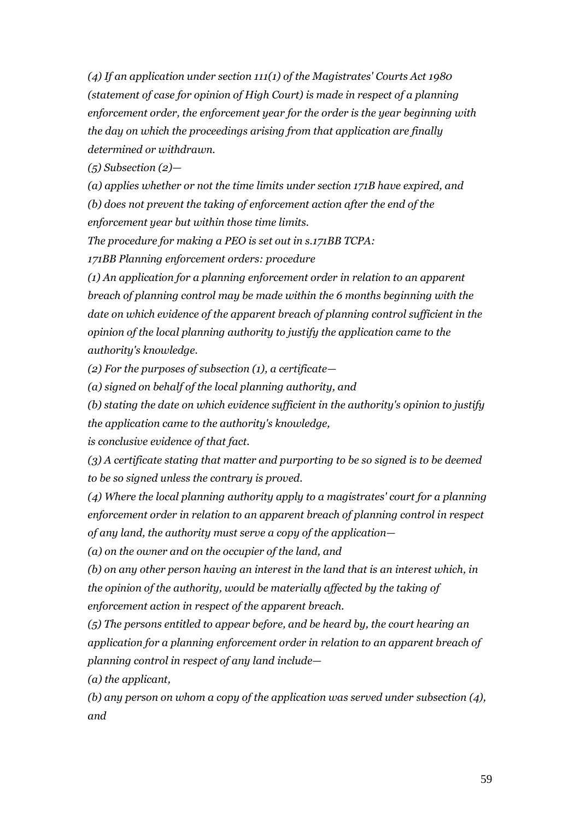*(4) If an application under section 111(1) of the Magistrates' Courts Act 1980 (statement of case for opinion of High Court) is made in respect of a planning enforcement order, the enforcement year for the order is the year beginning with the day on which the proceedings arising from that application are finally determined or withdrawn.*

*(5) Subsection (2)—*

*(a) applies whether or not the time limits under section 171B have expired, and (b) does not prevent the taking of enforcement action after the end of the enforcement year but within those time limits.*

*The procedure for making a PEO is set out in s.171BB TCPA:*

*171BB Planning enforcement orders: procedure*

*(1) An application for a planning enforcement order in relation to an apparent breach of planning control may be made within the 6 months beginning with the date on which evidence of the apparent breach of planning control sufficient in the opinion of the local planning authority to justify the application came to the authority's knowledge.*

*(2) For the purposes of subsection (1), a certificate—*

*(a) signed on behalf of the local planning authority, and*

*(b) stating the date on which evidence sufficient in the authority's opinion to justify the application came to the authority's knowledge,*

*is conclusive evidence of that fact.*

*(3) A certificate stating that matter and purporting to be so signed is to be deemed to be so signed unless the contrary is proved.*

*(4) Where the local planning authority apply to a magistrates' court for a planning enforcement order in relation to an apparent breach of planning control in respect of any land, the authority must serve a copy of the application—*

*(a) on the owner and on the occupier of the land, and*

*(b) on any other person having an interest in the land that is an interest which, in the opinion of the authority, would be materially affected by the taking of enforcement action in respect of the apparent breach.*

*(5) The persons entitled to appear before, and be heard by, the court hearing an application for a planning enforcement order in relation to an apparent breach of planning control in respect of any land include—*

*(a) the applicant,*

*(b) any person on whom a copy of the application was served under subsection (4), and*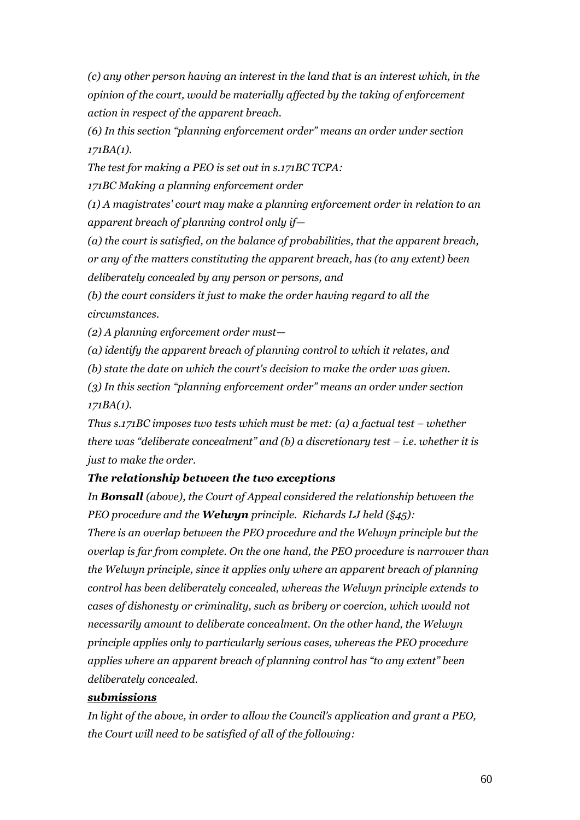*(c) any other person having an interest in the land that is an interest which, in the opinion of the court, would be materially affected by the taking of enforcement action in respect of the apparent breach.*

*(6) In this section "planning enforcement order" means an order under section 171BA(1).*

*The test for making a PEO is set out in s.171BC TCPA:*

*171BC Making a planning enforcement order*

*(1) A magistrates' court may make a planning enforcement order in relation to an apparent breach of planning control only if—*

*(a) the court is satisfied, on the balance of probabilities, that the apparent breach, or any of the matters constituting the apparent breach, has (to any extent) been deliberately concealed by any person or persons, and*

*(b) the court considers it just to make the order having regard to all the circumstances.*

*(2) A planning enforcement order must—*

*(a) identify the apparent breach of planning control to which it relates, and*

*(b) state the date on which the court's decision to make the order was given.*

*(3) In this section "planning enforcement order" means an order under section 171BA(1).*

*Thus s.171BC imposes two tests which must be met: (a) a factual test – whether there was "deliberate concealment" and (b) a discretionary test – i.e. whether it is just to make the order.*

## *The relationship between the two exceptions*

*In Bonsall (above), the Court of Appeal considered the relationship between the PEO procedure and the Welwyn principle. Richards LJ held (§45):*

*There is an overlap between the PEO procedure and the Welwyn principle but the overlap is far from complete. On the one hand, the PEO procedure is narrower than the Welwyn principle, since it applies only where an apparent breach of planning control has been deliberately concealed, whereas the Welwyn principle extends to cases of dishonesty or criminality, such as bribery or coercion, which would not necessarily amount to deliberate concealment. On the other hand, the Welwyn principle applies only to particularly serious cases, whereas the PEO procedure applies where an apparent breach of planning control has "to any extent" been deliberately concealed.*

## *submissions*

*In light of the above, in order to allow the Council's application and grant a PEO, the Court will need to be satisfied of all of the following:*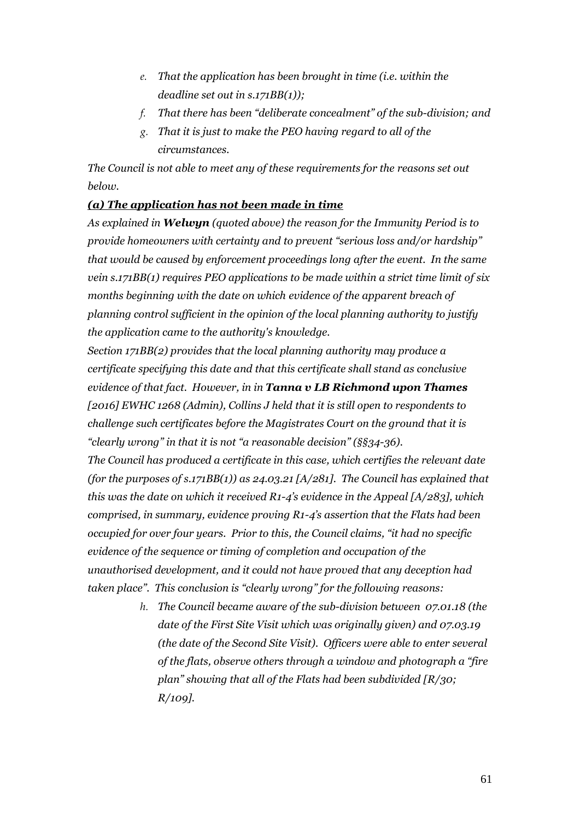- *e. That the application has been brought in time (i.e. within the deadline set out in s.171BB(1));*
- *f. That there has been "deliberate concealment" of the sub-division; and*
- *g. That it is just to make the PEO having regard to all of the circumstances.*

*The Council is not able to meet any of these requirements for the reasons set out below.*

## *(a) The application has not been made in time*

*As explained in Welwyn (quoted above) the reason for the Immunity Period is to provide homeowners with certainty and to prevent "serious loss and/or hardship" that would be caused by enforcement proceedings long after the event. In the same vein s.171BB(1) requires PEO applications to be made within a strict time limit of six months beginning with the date on which evidence of the apparent breach of planning control sufficient in the opinion of the local planning authority to justify the application came to the authority's knowledge.* 

*Section 171BB(2) provides that the local planning authority may produce a certificate specifying this date and that this certificate shall stand as conclusive evidence of that fact. However, in in Tanna v LB Richmond upon Thames [2016] EWHC 1268 (Admin), Collins J held that it is still open to respondents to challenge such certificates before the Magistrates Court on the ground that it is "clearly wrong" in that it is not "a reasonable decision" (§§34-36).*

*The Council has produced a certificate in this case, which certifies the relevant date (for the purposes of s.171BB(1)) as 24.03.21 [A/281]. The Council has explained that this was the date on which it received R1-4's evidence in the Appeal [A/283], which comprised, in summary, evidence proving R1-4's assertion that the Flats had been occupied for over four years. Prior to this, the Council claims, "it had no specific evidence of the sequence or timing of completion and occupation of the unauthorised development, and it could not have proved that any deception had taken place". This conclusion is "clearly wrong" for the following reasons:*

> *h. The Council became aware of the sub-division between 07.01.18 (the date of the First Site Visit which was originally given) and 07.03.19 (the date of the Second Site Visit). Officers were able to enter several of the flats, observe others through a window and photograph a "fire plan" showing that all of the Flats had been subdivided [R/30; R/109].*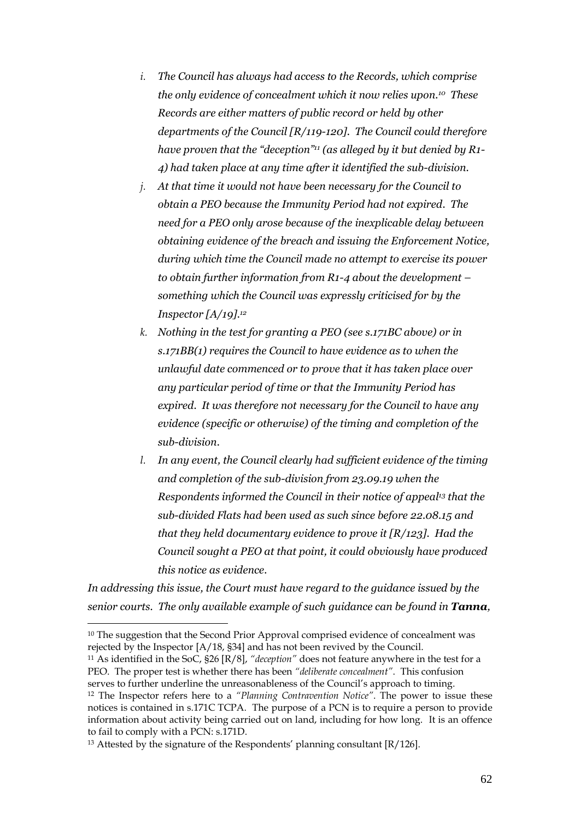- *i. The Council has always had access to the Records, which comprise the only evidence of concealment which it now relies upon. <sup>10</sup> These Records are either matters of public record or held by other departments of the Council [R/119-120]. The Council could therefore have proven that the "deception"<sup>11</sup> (as alleged by it but denied by R1- 4) had taken place at any time after it identified the sub-division.*
- *j. At that time it would not have been necessary for the Council to obtain a PEO because the Immunity Period had not expired. The need for a PEO only arose because of the inexplicable delay between obtaining evidence of the breach and issuing the Enforcement Notice, during which time the Council made no attempt to exercise its power to obtain further information from R1-4 about the development – something which the Council was expressly criticised for by the Inspector [A/19].<sup>12</sup>*
- *k. Nothing in the test for granting a PEO (see s.171BC above) or in s.171BB(1) requires the Council to have evidence as to when the unlawful date commenced or to prove that it has taken place over any particular period of time or that the Immunity Period has expired. It was therefore not necessary for the Council to have any evidence (specific or otherwise) of the timing and completion of the sub-division.*
- *l. In any event, the Council clearly had sufficient evidence of the timing and completion of the sub-division from 23.09.19 when the Respondents informed the Council in their notice of appeal<sup>13</sup> that the sub-divided Flats had been used as such since before 22.08.15 and that they held documentary evidence to prove it [R/123]. Had the Council sought a PEO at that point, it could obviously have produced this notice as evidence.*

*In addressing this issue, the Court must have regard to the guidance issued by the senior courts. The only available example of such guidance can be found in Tanna,* 

<sup>&</sup>lt;sup>10</sup> The suggestion that the Second Prior Approval comprised evidence of concealment was rejected by the Inspector [A/18, §34] and has not been revived by the Council.

<sup>11</sup> As identified in the SoC, §26 [R/8], *"deception"* does not feature anywhere in the test for a PEO. The proper test is whether there has been "deliberate concealment". This confusion serves to further underline the unreasonableness of the Council's approach to timing.

<sup>12</sup> The Inspector refers here to a *"Planning Contravention Notice"*. The power to issue these notices is contained in s.171C TCPA. The purpose of a PCN is to require a person to provide information about activity being carried out on land, including for how long. It is an offence to fail to comply with a PCN: s.171D.

<sup>&</sup>lt;sup>13</sup> Attested by the signature of the Respondents' planning consultant [R/126].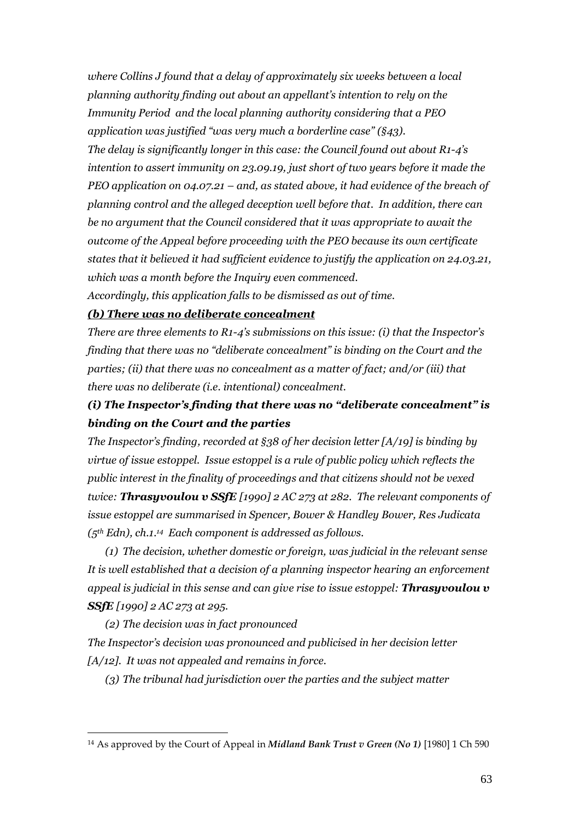*where Collins J found that a delay of approximately six weeks between a local planning authority finding out about an appellant's intention to rely on the Immunity Period and the local planning authority considering that a PEO application was justified "was very much a borderline case" (§43). The delay is significantly longer in this case: the Council found out about R1-4's intention to assert immunity on 23.09.19, just short of two years before it made the PEO application on 04.07.21 – and, as stated above, it had evidence of the breach of planning control and the alleged deception well before that. In addition, there can be no argument that the Council considered that it was appropriate to await the outcome of the Appeal before proceeding with the PEO because its own certificate states that it believed it had sufficient evidence to justify the application on 24.03.21, which was a month before the Inquiry even commenced.*

*Accordingly, this application falls to be dismissed as out of time.*

### *(b) There was no deliberate concealment*

*There are three elements to R1-4's submissions on this issue: (i) that the Inspector's finding that there was no "deliberate concealment" is binding on the Court and the parties; (ii) that there was no concealment as a matter of fact; and/or (iii) that there was no deliberate (i.e. intentional) concealment.*

# *(i) The Inspector's finding that there was no "deliberate concealment" is binding on the Court and the parties*

*The Inspector's finding, recorded at §38 of her decision letter [A/19] is binding by virtue of issue estoppel. Issue estoppel is a rule of public policy which reflects the public interest in the finality of proceedings and that citizens should not be vexed twice: Thrasyvoulou v SSfE [1990] 2 AC 273 at 282. The relevant components of issue estoppel are summarised in Spencer, Bower & Handley Bower, Res Judicata (5th Edn), ch.1. 14 Each component is addressed as follows.*

*(1) The decision, whether domestic or foreign, was judicial in the relevant sense It is well established that a decision of a planning inspector hearing an enforcement appeal is judicial in this sense and can give rise to issue estoppel: Thrasyvoulou v SSfE [1990] 2 AC 273 at 295.*

*(2) The decision was in fact pronounced The Inspector's decision was pronounced and publicised in her decision letter [A/12]. It was not appealed and remains in force.*

*(3) The tribunal had jurisdiction over the parties and the subject matter*

<sup>14</sup> As approved by the Court of Appeal in *Midland Bank Trust v Green (No 1)* [1980] 1 Ch 590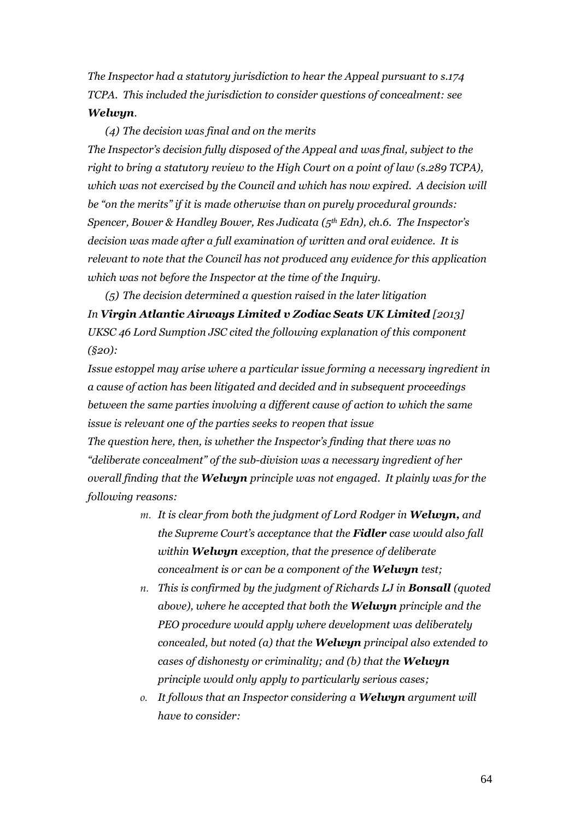*The Inspector had a statutory jurisdiction to hear the Appeal pursuant to s.174 TCPA. This included the jurisdiction to consider questions of concealment: see Welwyn.*

*(4) The decision was final and on the merits The Inspector's decision fully disposed of the Appeal and was final, subject to the right to bring a statutory review to the High Court on a point of law (s.289 TCPA), which was not exercised by the Council and which has now expired. A decision will be "on the merits" if it is made otherwise than on purely procedural grounds: Spencer, Bower & Handley Bower, Res Judicata (5th Edn), ch.6. The Inspector's decision was made after a full examination of written and oral evidence. It is relevant to note that the Council has not produced any evidence for this application which was not before the Inspector at the time of the Inquiry.*

*(5) The decision determined a question raised in the later litigation In Virgin Atlantic Airways Limited v Zodiac Seats UK Limited [2013] UKSC 46 Lord Sumption JSC cited the following explanation of this component (§20):*

*Issue estoppel may arise where a particular issue forming a necessary ingredient in a cause of action has been litigated and decided and in subsequent proceedings between the same parties involving a different cause of action to which the same issue is relevant one of the parties seeks to reopen that issue*

*The question here, then, is whether the Inspector's finding that there was no "deliberate concealment" of the sub-division was a necessary ingredient of her overall finding that the Welwyn principle was not engaged. It plainly was for the following reasons:*

- *m. It is clear from both the judgment of Lord Rodger in Welwyn, and the Supreme Court's acceptance that the Fidler case would also fall within Welwyn exception, that the presence of deliberate concealment is or can be a component of the Welwyn test;*
- *n. This is confirmed by the judgment of Richards LJ in Bonsall (quoted above), where he accepted that both the Welwyn principle and the PEO procedure would apply where development was deliberately concealed, but noted (a) that the Welwyn principal also extended to cases of dishonesty or criminality; and (b) that the Welwyn principle would only apply to particularly serious cases;*
- *o. It follows that an Inspector considering a Welwyn argument will have to consider:*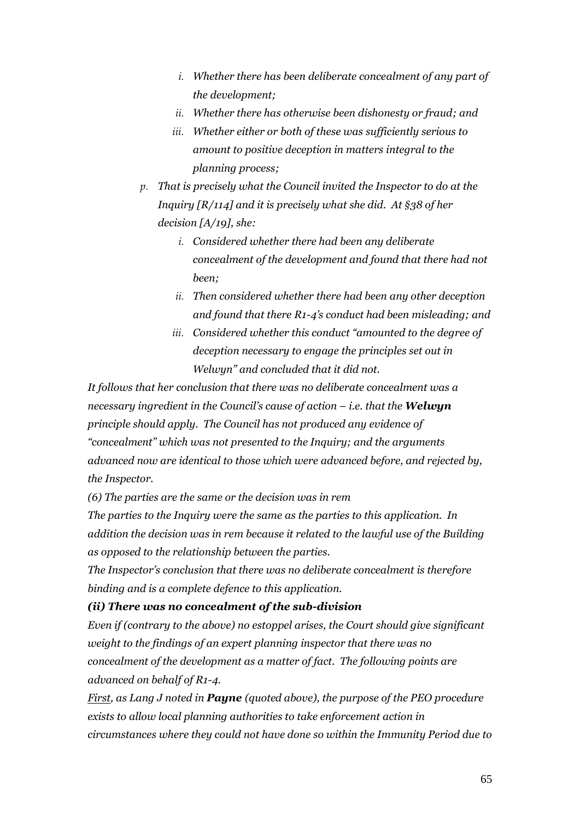- *i. Whether there has been deliberate concealment of any part of the development;*
- *ii. Whether there has otherwise been dishonesty or fraud; and*
- *iii. Whether either or both of these was sufficiently serious to amount to positive deception in matters integral to the planning process;*
- *p. That is precisely what the Council invited the Inspector to do at the Inquiry [R/114] and it is precisely what she did. At §38 of her decision [A/19], she:*
	- *i. Considered whether there had been any deliberate concealment of the development and found that there had not been;*
	- *ii. Then considered whether there had been any other deception and found that there R1-4's conduct had been misleading; and*
	- *iii. Considered whether this conduct "amounted to the degree of deception necessary to engage the principles set out in Welwyn" and concluded that it did not.*

*It follows that her conclusion that there was no deliberate concealment was a necessary ingredient in the Council's cause of action – i.e. that the Welwyn principle should apply. The Council has not produced any evidence of "concealment" which was not presented to the Inquiry; and the arguments advanced now are identical to those which were advanced before, and rejected by, the Inspector.*

*(6) The parties are the same or the decision was in rem*

*The parties to the Inquiry were the same as the parties to this application. In addition the decision was in rem because it related to the lawful use of the Building as opposed to the relationship between the parties.*

*The Inspector's conclusion that there was no deliberate concealment is therefore binding and is a complete defence to this application.*

## *(ii) There was no concealment of the sub-division*

*Even if (contrary to the above) no estoppel arises, the Court should give significant weight to the findings of an expert planning inspector that there was no concealment of the development as a matter of fact. The following points are advanced on behalf of R1-4.*

*First, as Lang J noted in Payne (quoted above), the purpose of the PEO procedure exists to allow local planning authorities to take enforcement action in circumstances where they could not have done so within the Immunity Period due to*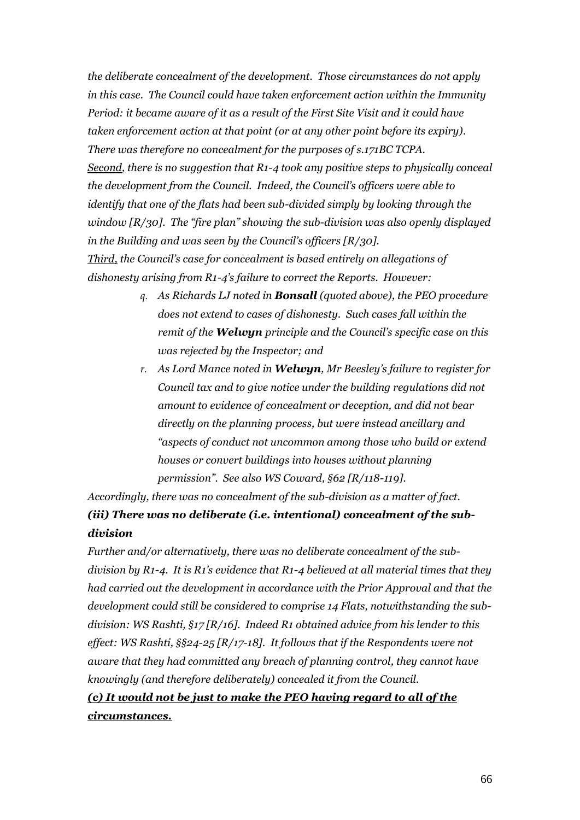*the deliberate concealment of the development. Those circumstances do not apply in this case. The Council could have taken enforcement action within the Immunity Period: it became aware of it as a result of the First Site Visit and it could have taken enforcement action at that point (or at any other point before its expiry). There was therefore no concealment for the purposes of s.171BC TCPA. Second, there is no suggestion that R1-4 took any positive steps to physically conceal the development from the Council. Indeed, the Council's officers were able to identify that one of the flats had been sub-divided simply by looking through the window [R/30]. The "fire plan" showing the sub-division was also openly displayed in the Building and was seen by the Council's officers [R/30]. Third, the Council's case for concealment is based entirely on allegations of dishonesty arising from R1-4's failure to correct the Reports. However:*

- *q. As Richards LJ noted in Bonsall (quoted above), the PEO procedure does not extend to cases of dishonesty. Such cases fall within the remit of the Welwyn principle and the Council's specific case on this was rejected by the Inspector; and*
- *r. As Lord Mance noted in Welwyn, Mr Beesley's failure to register for Council tax and to give notice under the building regulations did not amount to evidence of concealment or deception, and did not bear directly on the planning process, but were instead ancillary and "aspects of conduct not uncommon among those who build or extend houses or convert buildings into houses without planning permission". See also WS Coward, §62 [R/118-119].*

*Accordingly, there was no concealment of the sub-division as a matter of fact. (iii) There was no deliberate (i.e. intentional) concealment of the subdivision*

*Further and/or alternatively, there was no deliberate concealment of the subdivision by R1-4. It is R1's evidence that R1-4 believed at all material times that they had carried out the development in accordance with the Prior Approval and that the development could still be considered to comprise 14 Flats, notwithstanding the subdivision: WS Rashti, §17 [R/16]. Indeed R1 obtained advice from his lender to this effect: WS Rashti, §§24-25 [R/17-18]. It follows that if the Respondents were not aware that they had committed any breach of planning control, they cannot have knowingly (and therefore deliberately) concealed it from the Council.*

*(c) It would not be just to make the PEO having regard to all of the circumstances.*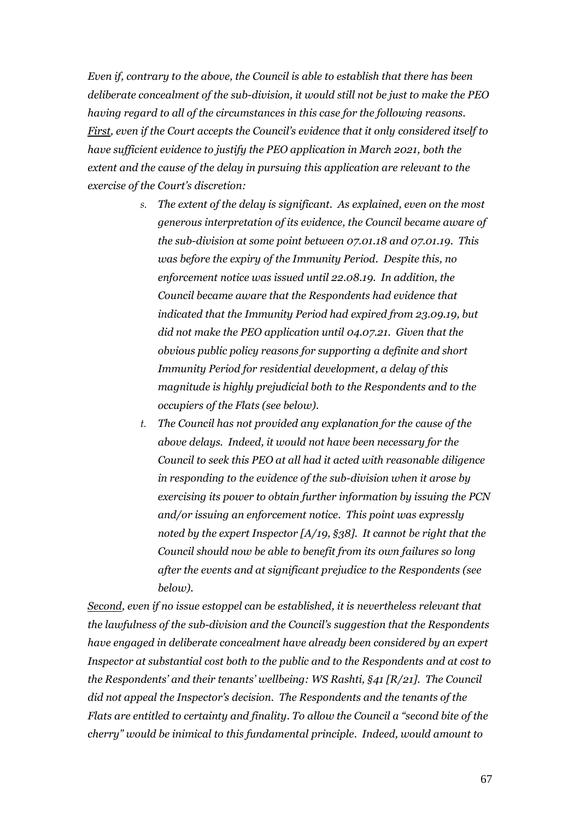*Even if, contrary to the above, the Council is able to establish that there has been deliberate concealment of the sub-division, it would still not be just to make the PEO having regard to all of the circumstances in this case for the following reasons. First, even if the Court accepts the Council's evidence that it only considered itself to have sufficient evidence to justify the PEO application in March 2021, both the extent and the cause of the delay in pursuing this application are relevant to the exercise of the Court's discretion:*

- *s. The extent of the delay is significant. As explained, even on the most generous interpretation of its evidence, the Council became aware of the sub-division at some point between 07.01.18 and 07.01.19. This was before the expiry of the Immunity Period. Despite this, no enforcement notice was issued until 22.08.19. In addition, the Council became aware that the Respondents had evidence that indicated that the Immunity Period had expired from 23.09.19, but did not make the PEO application until 04.07.21. Given that the obvious public policy reasons for supporting a definite and short Immunity Period for residential development, a delay of this magnitude is highly prejudicial both to the Respondents and to the occupiers of the Flats (see below).*
- *t. The Council has not provided any explanation for the cause of the above delays. Indeed, it would not have been necessary for the Council to seek this PEO at all had it acted with reasonable diligence in responding to the evidence of the sub-division when it arose by exercising its power to obtain further information by issuing the PCN and/or issuing an enforcement notice. This point was expressly noted by the expert Inspector [A/19, §38]. It cannot be right that the Council should now be able to benefit from its own failures so long after the events and at significant prejudice to the Respondents (see below).*

*Second, even if no issue estoppel can be established, it is nevertheless relevant that the lawfulness of the sub-division and the Council's suggestion that the Respondents have engaged in deliberate concealment have already been considered by an expert Inspector at substantial cost both to the public and to the Respondents and at cost to the Respondents' and their tenants' wellbeing: WS Rashti, §41 [R/21]. The Council did not appeal the Inspector's decision. The Respondents and the tenants of the Flats are entitled to certainty and finality. To allow the Council a "second bite of the cherry" would be inimical to this fundamental principle. Indeed, would amount to*